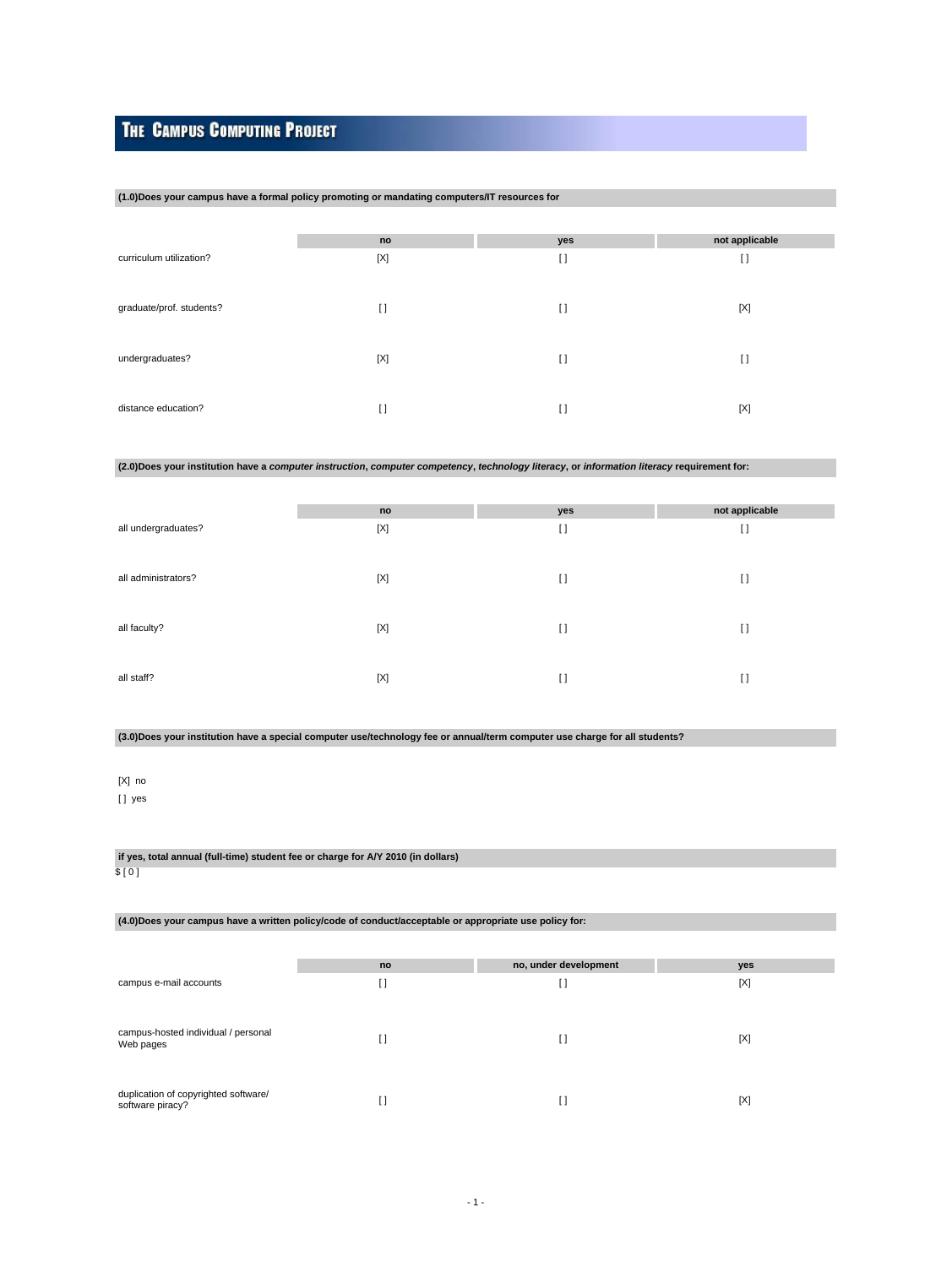# **THE CAMPUS COMPUTING PROJECT**

# **(1.0)Does your campus have a formal policy promoting or mandating computers/IT resources for**

|                          | no          | yes      | not applicable |
|--------------------------|-------------|----------|----------------|
| curriculum utilization?  | $[{\sf X}]$ | $\lceil$ | $\lceil$       |
| graduate/prof. students? | I1          | $\lceil$ | [X]            |
| undergraduates?          | [X]         | $[ \ ]$  | $[ \ ]$        |
| distance education?      | I1          | $[ \ ]$  | [X]            |

# **(2.0)Does your institution have a computer instruction, computer competency, technology literacy, or information literacy requirement for:**

|                     | no          | yes      | not applicable |
|---------------------|-------------|----------|----------------|
| all undergraduates? | $[{\sf X}]$ | $\lceil$ | $[ \ ]$        |
| all administrators? | [X]         | $\lceil$ | $\lceil$       |
| all faculty?        | [X]         | $\lceil$ | $\lceil$       |
| all staff?          | [X]         | $[ \ ]$  | I)             |

# **(3.0)Does your institution have a special computer use/technology fee or annual/term computer use charge for all students?**

# [X] no

[ ] yes

# **if yes, total annual (full-time) student fee or charge for A/Y 2010 (in dollars)** \$ [ 0 ]

# **(4.0)Does your campus have a written policy/code of conduct/acceptable or appropriate use policy for:**

|                                                          | no | no, under development | yes |
|----------------------------------------------------------|----|-----------------------|-----|
| campus e-mail accounts                                   | ы  | U                     | [X] |
|                                                          |    |                       |     |
|                                                          |    |                       |     |
| campus-hosted individual / personal<br>Web pages         |    | []                    | [X] |
|                                                          |    |                       |     |
|                                                          |    |                       |     |
| duplication of copyrighted software/<br>software piracy? |    | U                     | [X] |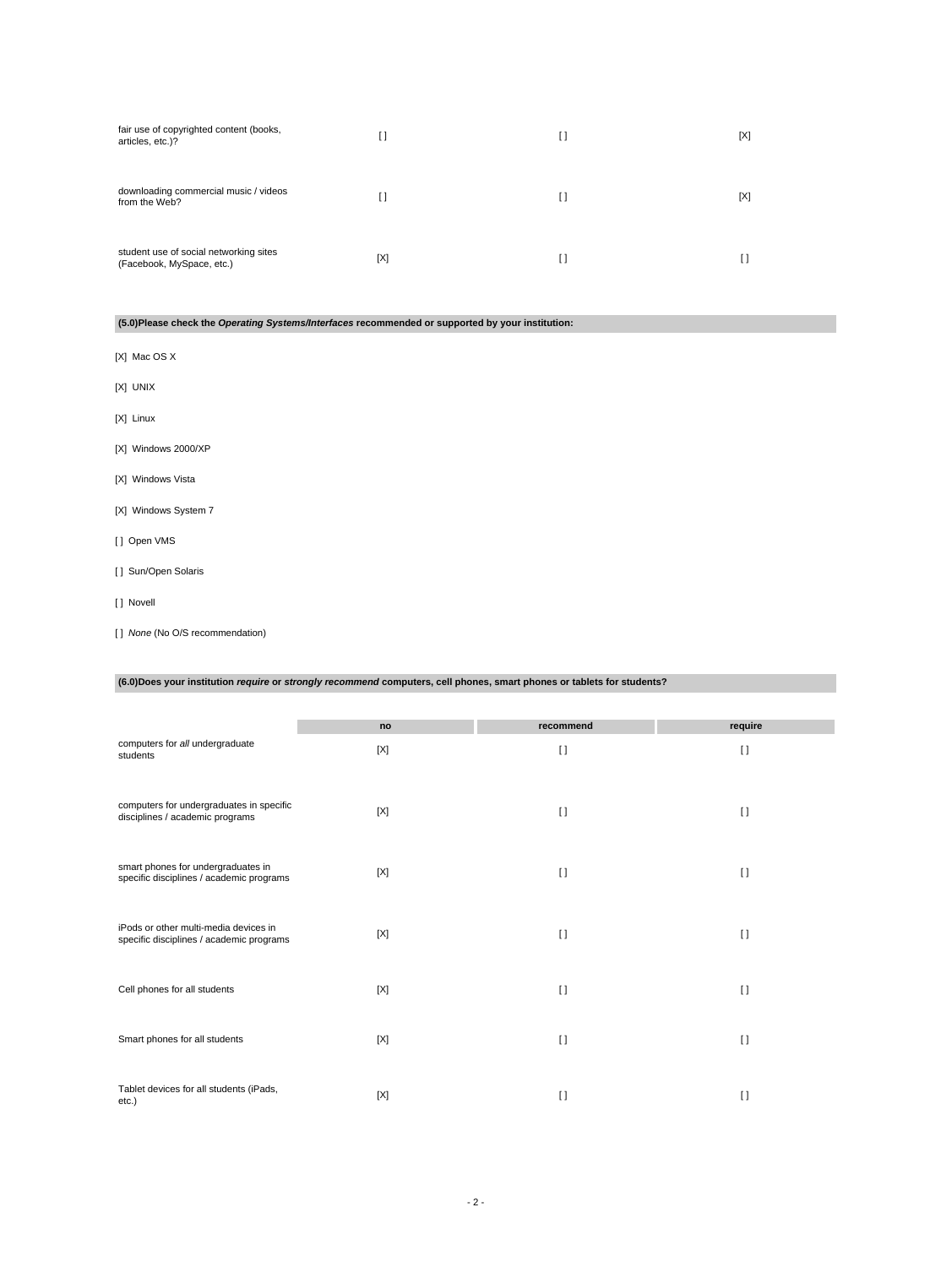| fair use of copyrighted content (books,<br>articles, etc.)?         | []  | I) | [X] |
|---------------------------------------------------------------------|-----|----|-----|
| downloading commercial music / videos<br>from the Web?              | []  | I) | [X] |
| student use of social networking sites<br>(Facebook, MySpace, etc.) | [X] | [] |     |

**(5.0)Please check the Operating Systems/Interfaces recommended or supported by your institution:**

- [X] Mac OS X
- [X] UNIX
- [X] Linux
- [X] Windows 2000/XP
- [X] Windows Vista
- [X] Windows System 7
- [ ] Open VMS
- [ ] Sun/Open Solaris
- [ ] Novell
- [ ] None (No O/S recommendation)

# **(6.0)Does your institution require or strongly recommend computers, cell phones, smart phones or tablets for students?**

|                                                                                   | no  | recommend | require  |
|-----------------------------------------------------------------------------------|-----|-----------|----------|
| computers for all undergraduate<br>students                                       | [X] | $\lceil$  | $[ \ ]$  |
| computers for undergraduates in specific<br>disciplines / academic programs       | [X] | $\lceil$  | $\lceil$ |
| smart phones for undergraduates in<br>specific disciplines / academic programs    | [X] | $\lceil$  | $\lceil$ |
| iPods or other multi-media devices in<br>specific disciplines / academic programs | [X] | $\lceil$  | $\lceil$ |
| Cell phones for all students                                                      | [X] | $\lceil$  | $\lceil$ |
| Smart phones for all students                                                     | [X] | $\lceil$  | $\lceil$ |
| Tablet devices for all students (iPads,<br>etc.)                                  | [X] | $\Box$    | $\Box$   |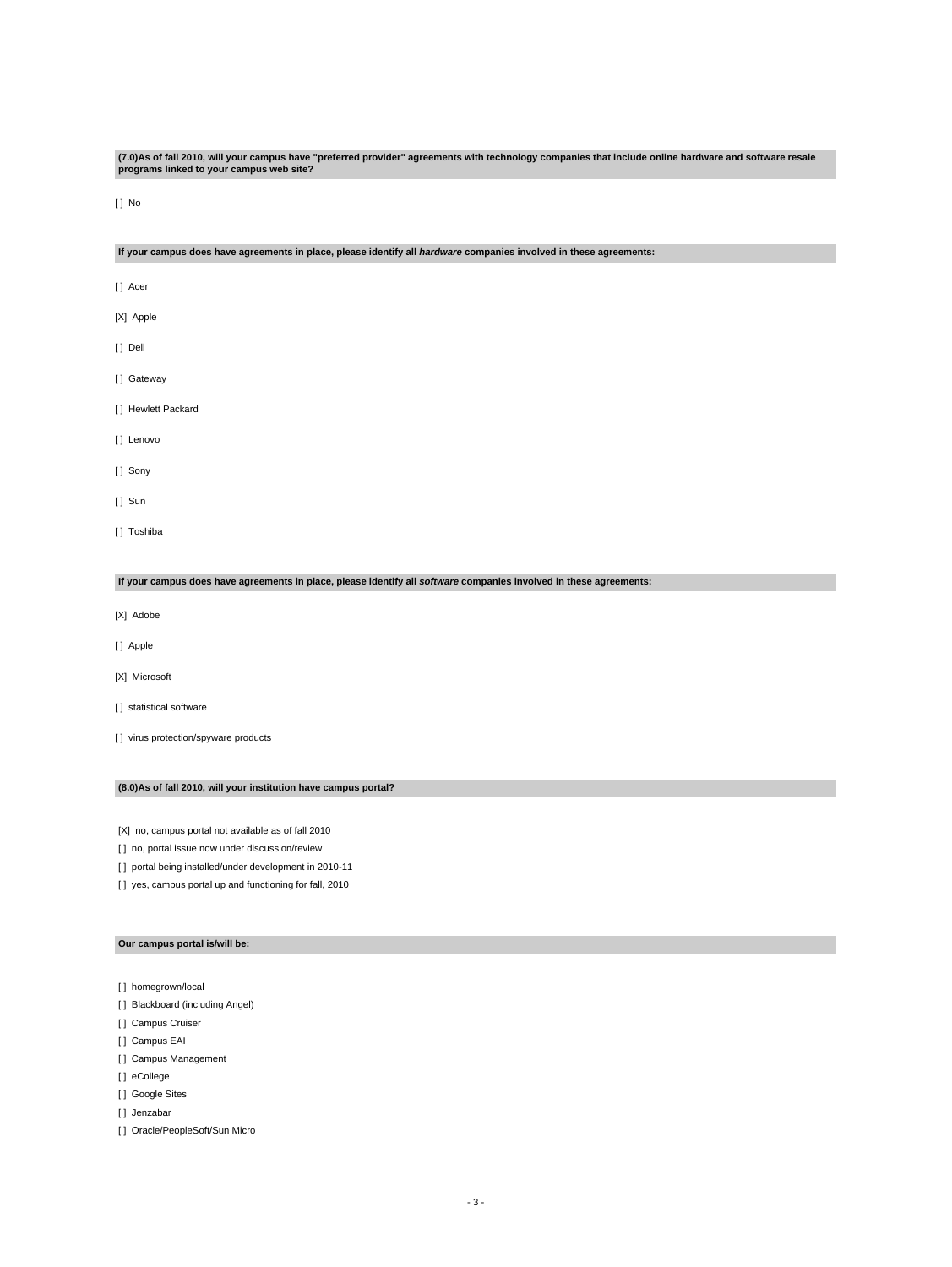**(7.0)As of fall 2010, will your campus have "preferred provider" agreements with technology companies that include online hardware and software resale programs linked to your campus web site?**

[ ] No

# **If your campus does have agreements in place, please identify all hardware companies involved in these agreements:**

- [] Acer
- [X] Apple
- [ ] Dell
- [ ] Gateway
- [ ] Hewlett Packard
- [] Lenovo
- [] Sony
- [ ] Sun
- [ ] Toshiba

# **If your campus does have agreements in place, please identify all software companies involved in these agreements:**

- [X] Adobe
- [] Apple
- [X] Microsoft
- [] statistical software
- [ ] virus protection/spyware products

# **(8.0)As of fall 2010, will your institution have campus portal?**

[X] no, campus portal not available as of fall 2010

- [] no, portal issue now under discussion/review
- [] portal being installed/under development in 2010-11
- [] yes, campus portal up and functioning for fall, 2010

# **Our campus portal is/will be:**

- [] homegrown/local
- [ ] Blackboard (including Angel)
- [ ] Campus Cruiser
- [ ] Campus EAI
- [ ] Campus Management
- [] eCollege
- [ ] Google Sites
- [] Jenzabar
- [] Oracle/PeopleSoft/Sun Micro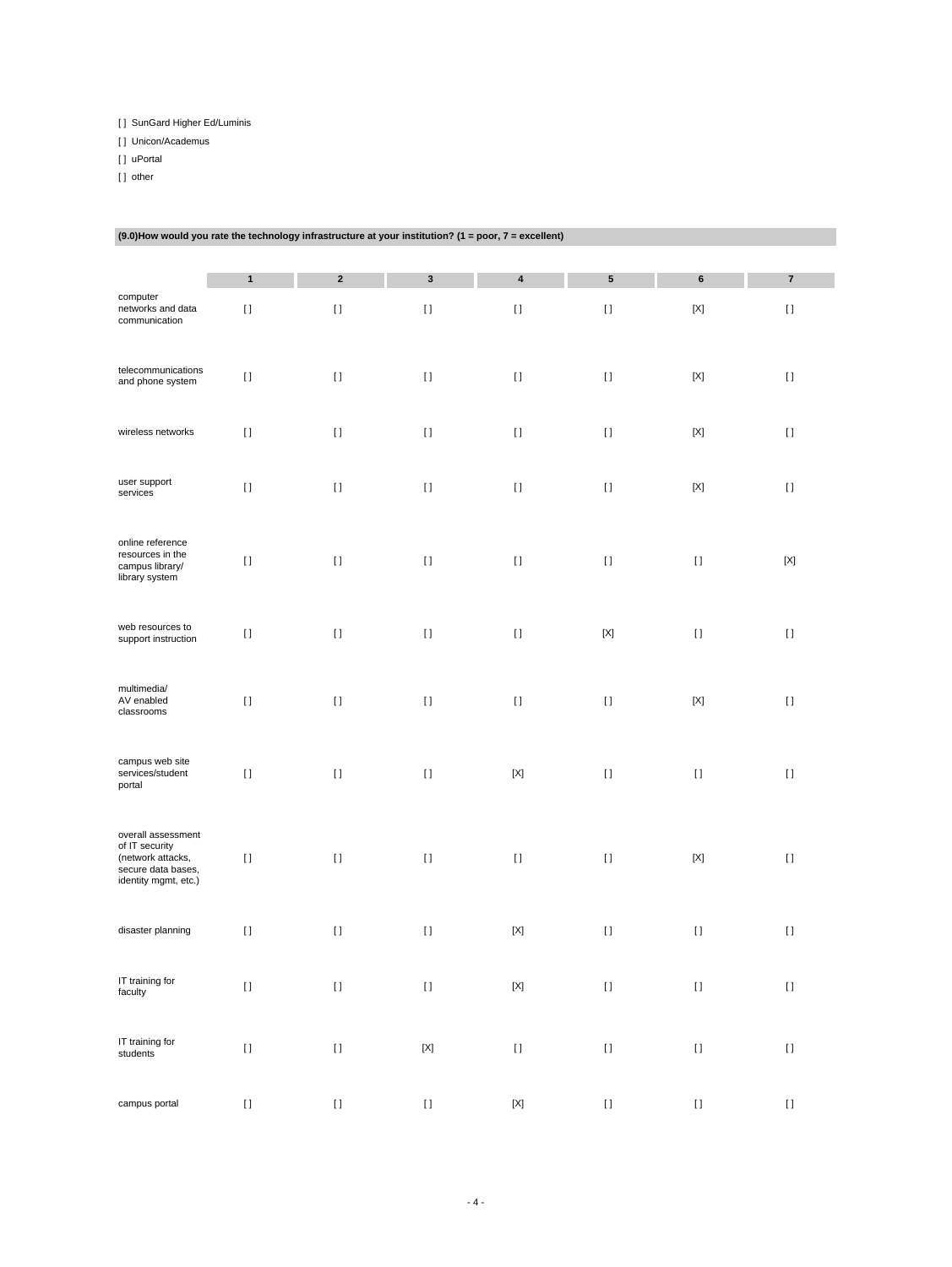[ ] SunGard Higher Ed/Luminis

[ ] Unicon/Academus

[ ] uPortal

[ ] other

|                                                                                                         |              |                                                                                                                                                                                                       | (9.0) How would you rate the technology infrastructure at your institution? (1 = poor, 7 = excellent) |                           |                                                                                                                                                                                                       |                                                                                                                                                                                                       |                                                                                                                                                                                                       |
|---------------------------------------------------------------------------------------------------------|--------------|-------------------------------------------------------------------------------------------------------------------------------------------------------------------------------------------------------|-------------------------------------------------------------------------------------------------------|---------------------------|-------------------------------------------------------------------------------------------------------------------------------------------------------------------------------------------------------|-------------------------------------------------------------------------------------------------------------------------------------------------------------------------------------------------------|-------------------------------------------------------------------------------------------------------------------------------------------------------------------------------------------------------|
|                                                                                                         | $\mathbf{1}$ | $\boldsymbol{2}$                                                                                                                                                                                      | $\mathbf 3$                                                                                           | $\pmb{4}$                 | ${\bf 5}$                                                                                                                                                                                             | 6                                                                                                                                                                                                     | $\bf 7$                                                                                                                                                                                               |
| computer<br>networks and data<br>communication                                                          | $[ \ ]$      | $[ \; ]$                                                                                                                                                                                              | $[ \ ]$                                                                                               | $[ \ ]$                   | $[ \ ]$                                                                                                                                                                                               | $[{\sf X}]$                                                                                                                                                                                           | $[ \ ]$                                                                                                                                                                                               |
| telecommunications<br>and phone system                                                                  | $[ \ ]$      | $[ \; ]$                                                                                                                                                                                              | $[ \ ]$                                                                                               | $[ \ ]$                   | $[ \ ]$                                                                                                                                                                                               | $[{\sf X}]$                                                                                                                                                                                           | H                                                                                                                                                                                                     |
| wireless networks                                                                                       | $[ \; ]$     | $[ \; ]$                                                                                                                                                                                              | $[ \; ]$                                                                                              | $[ \; ]$                  | $[ \; ]$                                                                                                                                                                                              | $[{\sf X}]$                                                                                                                                                                                           | $[ \; ]$                                                                                                                                                                                              |
| user support<br>services                                                                                | $[ \; ]$     | $[ \ ]$                                                                                                                                                                                               | $[ \; ]$                                                                                              | $[ \ ]$                   | $[ \ ]$                                                                                                                                                                                               | $[{\sf X}]$                                                                                                                                                                                           | $[ \ ]$                                                                                                                                                                                               |
| online reference<br>resources in the<br>campus library/<br>library system                               | $[ \ ]$      | $[ \ ]$                                                                                                                                                                                               | $[ \; ]$                                                                                              | $[ \ ]$                   | $[ \ ]$                                                                                                                                                                                               | $[ \; ]$                                                                                                                                                                                              | [X]                                                                                                                                                                                                   |
| web resources to<br>support instruction                                                                 | $[ \ ]$      | $[ \ ]$                                                                                                                                                                                               | $[ \; ]$                                                                                              | $[ \; ]$                  | $[{\sf X}]$                                                                                                                                                                                           | $[ \; ]$                                                                                                                                                                                              | $[ \ ]$                                                                                                                                                                                               |
| multimedia/<br>AV enabled<br>classrooms                                                                 | $[ \ ]$      | $[ \ ]$                                                                                                                                                                                               | $[ \; ]$                                                                                              | $[ \ ]$                   | $[ \ ]$                                                                                                                                                                                               | $[{\sf X}]$                                                                                                                                                                                           | $[ \ ]$                                                                                                                                                                                               |
| campus web site<br>services/student<br>portal                                                           | $[ \ ]$      | $[ \ ]$                                                                                                                                                                                               | $[ \ ]$                                                                                               | $[{\sf X}]$               | $[ \ ]$                                                                                                                                                                                               | $[ \; ]$                                                                                                                                                                                              | $[ \ ]$                                                                                                                                                                                               |
| overall assessment<br>of IT security<br>(network attacks,<br>secure data bases,<br>identity mgmt, etc.) | $[ \; ]$     | $[ \ ]$                                                                                                                                                                                               | $[ \ ]$                                                                                               | $[ \; ]$                  | $[ \ ]$                                                                                                                                                                                               | $[{\sf X}]$                                                                                                                                                                                           | $[ \ ]$                                                                                                                                                                                               |
| disaster planning                                                                                       | $[ \ ]$      | $[ \ ]$                                                                                                                                                                                               | $[ \ ]$                                                                                               | $[{\sf X}]$               | $[ \; ]$                                                                                                                                                                                              | $[ \; ]$                                                                                                                                                                                              | $[ \; ]$                                                                                                                                                                                              |
| IT training for<br>faculty                                                                              | $[ \ ]$      | $[] \centering \includegraphics[width=0.47\textwidth]{images/TrDiS-Architecture.png} \caption{The 3D (top) and 4D (bottom) are used for the 3D (bottom) and 3D (bottom).} \label{TrDiS-Architecture}$ | $[ \ ]$                                                                                               | $\left[ \text{X} \right]$ | $[] \centering \includegraphics[width=0.47\textwidth]{images/TrDiS-Architecture.png} \caption{The 3D (top) and 4D (bottom) are used for the 3D (bottom) and 3D (bottom).} \label{TrDiS-Architecture}$ | $[] \centering \includegraphics[width=0.47\textwidth]{images/TrDiS-Architecture.png} \caption{The 3D (top) and 4D (bottom) are used for the 3D (bottom) and 3D (bottom).} \label{TrDiS-Architecture}$ | $[] \centering \includegraphics[width=0.47\textwidth]{images/TrDiS-Architecture.png} \caption{The 3D (top) and 4D (bottom) are used for the 3D (bottom) and 3D (bottom).} \label{TrDiS-Architecture}$ |
| IT training for<br>students                                                                             | $[ \ ]$      | $[] \centering \includegraphics[width=0.47\textwidth]{images/TrDiS-Architecture.png} \caption{The 3D (top) and 4D (bottom) are used for the 3D (bottom) and 3D (bottom).} \label{TrDiS-Architecture}$ | $[{\sf X}]$                                                                                           | $[ \ ]$                   | $[ \ ]$                                                                                                                                                                                               | $[] \centering \includegraphics[width=0.47\textwidth]{images/TrDiS-Architecture.png} \caption{The 3D (top) and 4D (bottom) are used for the 3D (bottom) and 3D (bottom).} \label{TrDiS-Architecture}$ | $[ \: ]$                                                                                                                                                                                              |
| campus portal                                                                                           | $[ \; ]$     | $[ \ ]$                                                                                                                                                                                               | $\lceil$                                                                                              | $[{\sf X}]$               | $[ \ ]$                                                                                                                                                                                               | $[ \ ]$                                                                                                                                                                                               | $[ \ ]$                                                                                                                                                                                               |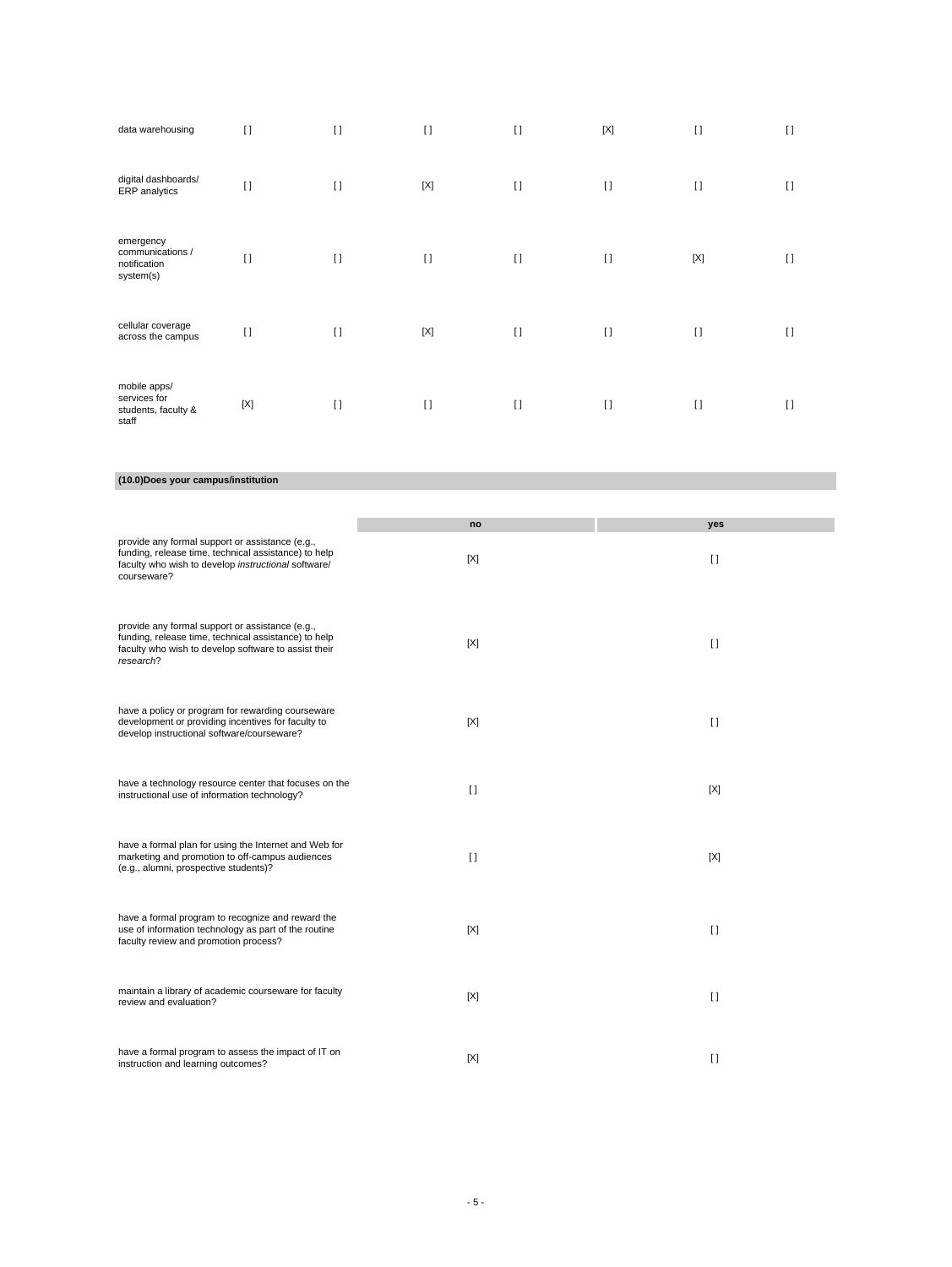| data warehousing                                             | $\lceil$    | $\mathbf{I}$ | $\lceil$    | $\lceil$ | [X]          | $[ \ ]$ | $\lceil$ |
|--------------------------------------------------------------|-------------|--------------|-------------|----------|--------------|---------|----------|
| digital dashboards/<br>ERP analytics                         | $\lceil$    | $\mathbf{I}$ | $[{\sf X}]$ | $[ \ ]$  | $\mathbf{I}$ | $[ \ ]$ | $\Box$   |
| emergency<br>communications /<br>notification<br>system(s)   | $\Box$      | $\mathbf{I}$ | $\lceil$    | $[ \ ]$  | $\mathbf{I}$ | [X]     | $\Box$   |
| cellular coverage<br>across the campus                       | $\lceil$    | I)           | $[{\sf X}]$ | $\lceil$ | $\mathbf{I}$ | $[ \ ]$ | $\Box$   |
| mobile apps/<br>services for<br>students, faculty &<br>staff | $[{\sf X}]$ | I)           | $[ \ ]$     | $[ \ ]$  | $\mathbf{I}$ | $[ \ ]$ | $\lceil$ |

**(10.0)Does your campus/institution**

|                                                                                                                                                                               | no       | yes      |
|-------------------------------------------------------------------------------------------------------------------------------------------------------------------------------|----------|----------|
| provide any formal support or assistance (e.g.,<br>funding, release time, technical assistance) to help<br>faculty who wish to develop instructional software/<br>courseware? | [X]      | $\Box$   |
| provide any formal support or assistance (e.g.,<br>funding, release time, technical assistance) to help<br>faculty who wish to develop software to assist their<br>research?  | [X]      | $\Box$   |
| have a policy or program for rewarding courseware<br>development or providing incentives for faculty to<br>develop instructional software/courseware?                         | [X]      | $[ \ ]$  |
| have a technology resource center that focuses on the<br>instructional use of information technology?                                                                         | $\Box$   | [X]      |
| have a formal plan for using the Internet and Web for<br>marketing and promotion to off-campus audiences<br>(e.g., alumni, prospective students)?                             | $\lceil$ | [X]      |
| have a formal program to recognize and reward the<br>use of information technology as part of the routine<br>faculty review and promotion process?                            | [X]      | $\lceil$ |
| maintain a library of academic courseware for faculty<br>review and evaluation?                                                                                               | [X]      | $\Box$   |
| have a formal program to assess the impact of IT on<br>instruction and learning outcomes?                                                                                     | [X]      | $[ \ ]$  |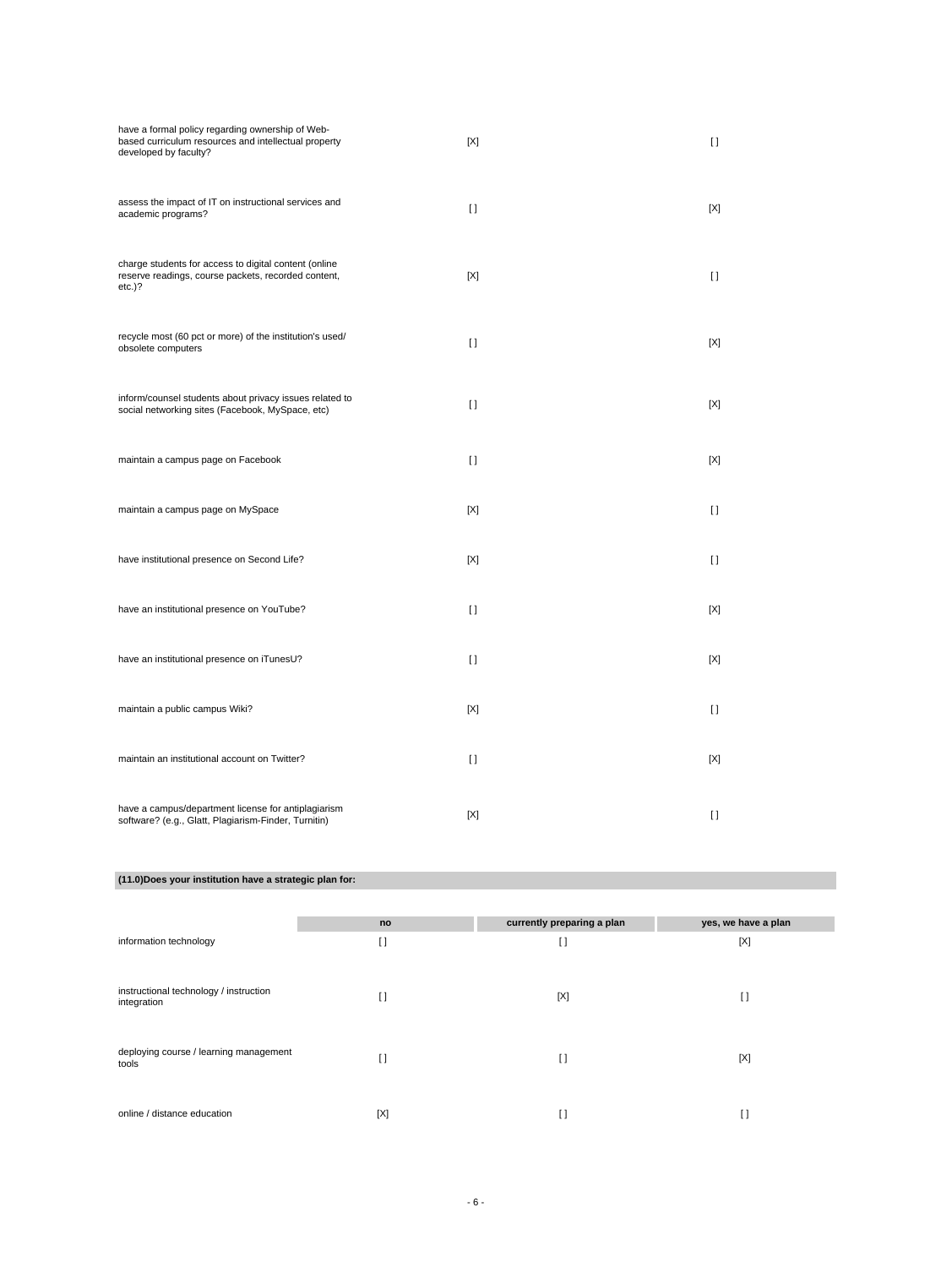| have a formal policy regarding ownership of Web-<br>based curriculum resources and intellectual property<br>developed by faculty? | [X]            | $\mathbf{I}$ |
|-----------------------------------------------------------------------------------------------------------------------------------|----------------|--------------|
| assess the impact of IT on instructional services and<br>academic programs?                                                       | $\lceil$       | [X]          |
| charge students for access to digital content (online<br>reserve readings, course packets, recorded content,<br>$etc.$ )?         | [X]            | $\Box$       |
| recycle most (60 pct or more) of the institution's used/<br>obsolete computers                                                    | $\mathfrak{g}$ | [X]          |
| inform/counsel students about privacy issues related to<br>social networking sites (Facebook, MySpace, etc)                       | $\Box$         | [X]          |
| maintain a campus page on Facebook                                                                                                | $\mathfrak{g}$ | [X]          |
| maintain a campus page on MySpace                                                                                                 | [X]            | $\Box$       |
| have institutional presence on Second Life?                                                                                       | [X]            | $\Box$       |
| have an institutional presence on YouTube?                                                                                        | $\Box$         | [X]          |
| have an institutional presence on iTunesU?                                                                                        | $[ \ ]$        | [X]          |
| maintain a public campus Wiki?                                                                                                    | [X]            | $\Box$       |
| maintain an institutional account on Twitter?                                                                                     | $\Box$         | [X]          |
| have a campus/department license for antiplagiarism<br>software? (e.g., Glatt, Plagiarism-Finder, Turnitin)                       | [X]            | $[ \ ]$      |

# **(11.0)Does your institution have a strategic plan for:**

| information technology                                | no<br>$[ \ ]$ | currently preparing a plan<br>$[ \ ]$ | yes, we have a plan<br>[X] |
|-------------------------------------------------------|---------------|---------------------------------------|----------------------------|
| instructional technology / instruction<br>integration | $\Box$        | [X]                                   | I1                         |
| deploying course / learning management<br>tools       | I)            | $\mathfrak{g}$                        | [X]                        |
| online / distance education                           | [X]           | H                                     | []                         |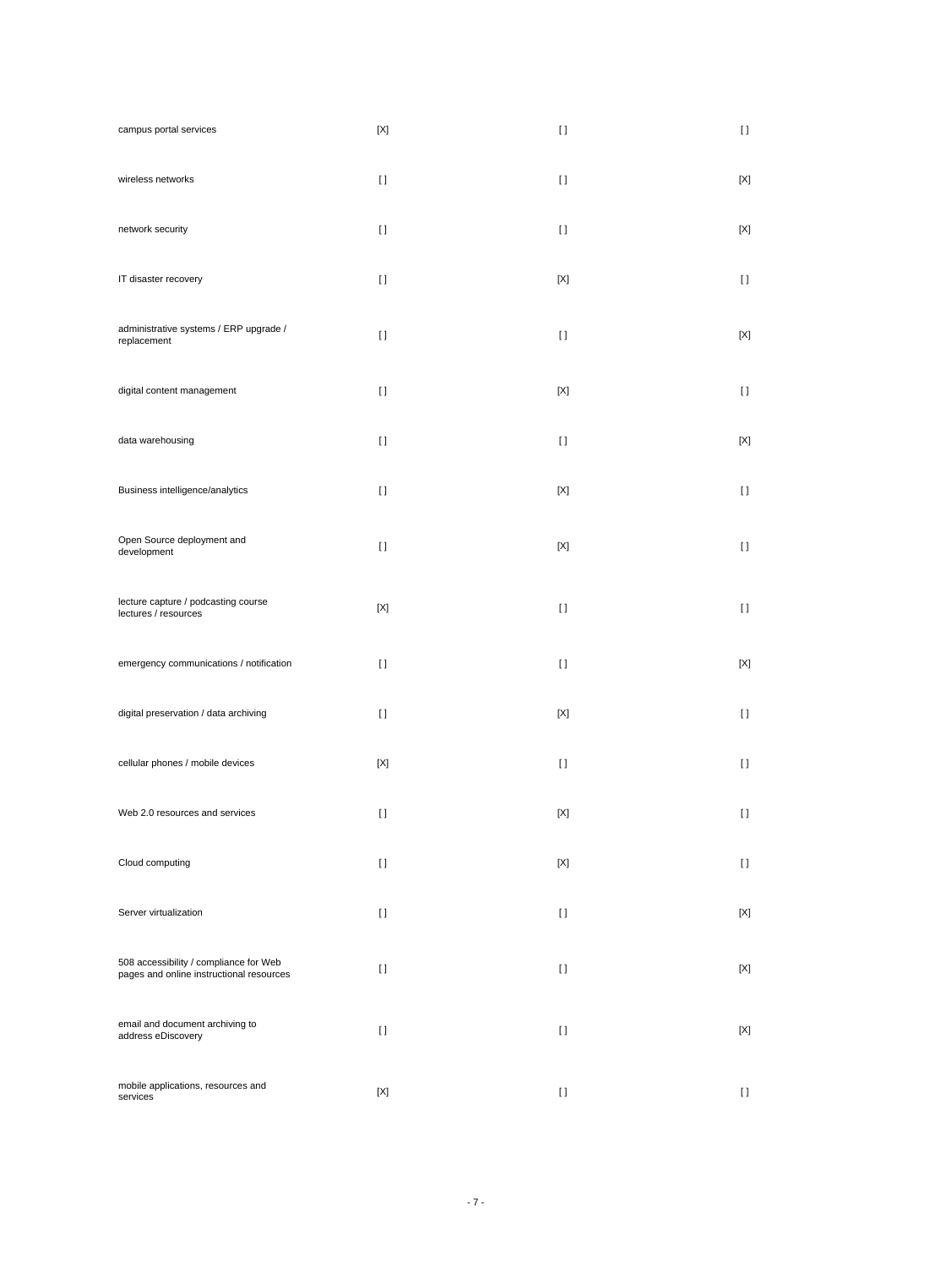| campus portal services                                                             | $[{\sf X}]$ | $[ \; ]$    | $[ \ ]$     |
|------------------------------------------------------------------------------------|-------------|-------------|-------------|
| wireless networks                                                                  | $[ \ ]$     | $[ \ ]$     | $[{\sf X}]$ |
| network security                                                                   | $[ \ ]$     | $[ \ ]$     | $[{\sf X}]$ |
| IT disaster recovery                                                               | $[ \ ]$     | $[{\sf X}]$ | $[ \ ]$     |
| administrative systems / ERP upgrade /<br>replacement                              | $[ \ ]$     | $[ \ ]$     | $[{\sf X}]$ |
| digital content management                                                         | $[ \ ]$     | $[{\sf X}]$ | $[ \ ]$     |
| data warehousing                                                                   | $[ \ ]$     | H           | $[{\sf X}]$ |
| Business intelligence/analytics                                                    | $[ \; ]$    | $[{\sf X}]$ | $[ \ ]$     |
| Open Source deployment and<br>development                                          | $[ \ ]$     | $[{\sf X}]$ | $[ \ ]$     |
| lecture capture / podcasting course<br>lectures / resources                        | $[{\sf X}]$ | $\lceil$    | $[ \ ]$     |
| emergency communications / notification                                            | $[ \ ]$     | $[ \ ]$     | $[{\sf X}]$ |
| digital preservation / data archiving                                              | $[ \ ]$     | $[{\sf X}]$ | $[ \ ]$     |
| cellular phones / mobile devices                                                   | $[{\sf X}]$ | $[ \; ]$    | $[ \ ]$     |
| Web 2.0 resources and services                                                     | $[ \ ]$     | $[{\sf X}]$ | $[ \ ]$     |
| Cloud computing                                                                    | $[ \ ]$     | $[{\sf X}]$ | $[ \ ]$     |
| Server virtualization                                                              | $[ \ ]$     | $[ \ ]$     | $[{\sf X}]$ |
| 508 accessibility / compliance for Web<br>pages and online instructional resources | $[ \ ]$     | H           | $[{\sf X}]$ |
| email and document archiving to<br>address eDiscovery                              | $[ \ ]$     | $[ \ ]$     | $[{\sf X}]$ |
| mobile applications, resources and<br>services                                     | $[{\sf X}]$ | $[ \; ]$    | $[ \ ]$     |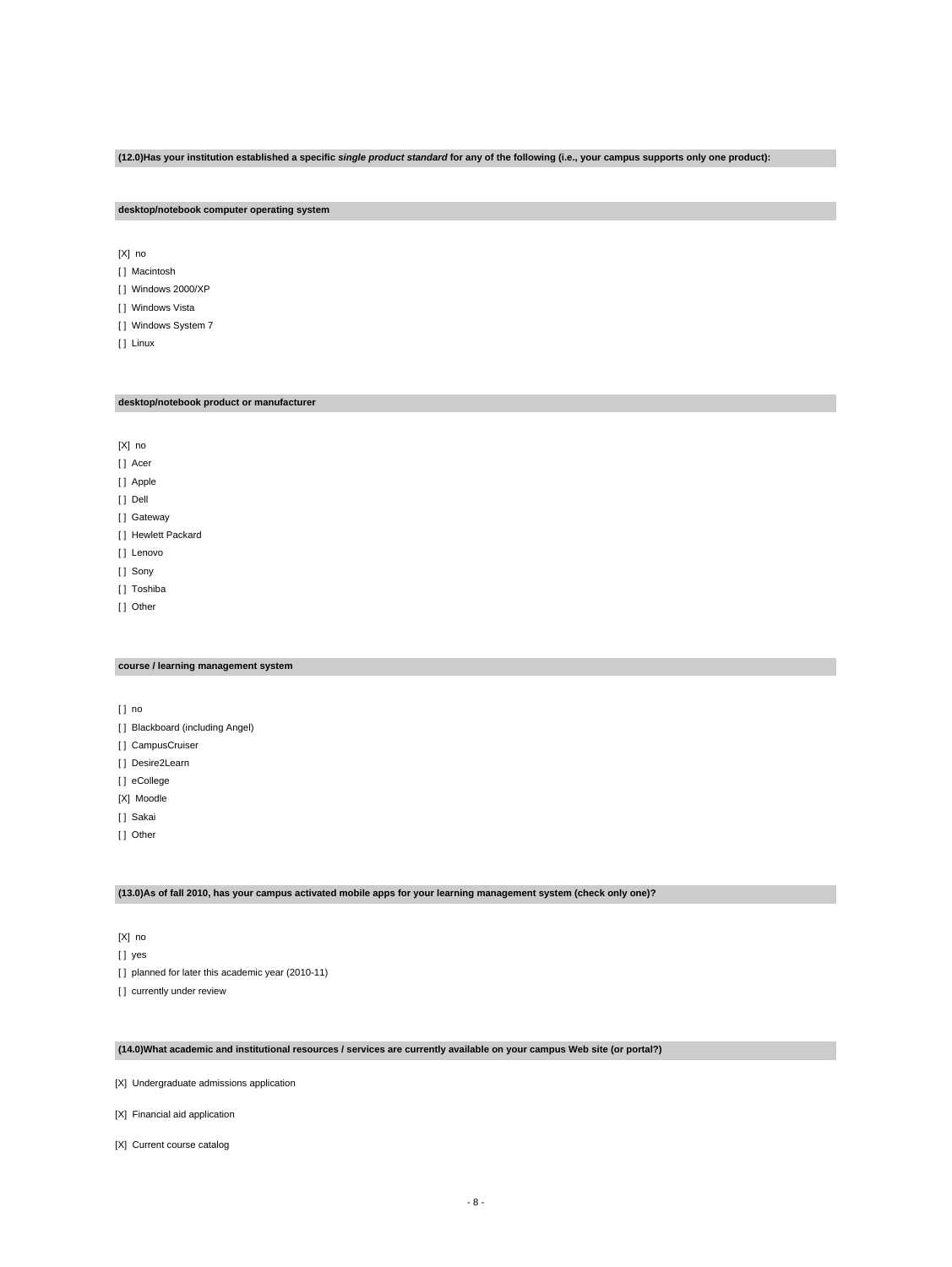# **(12.0)Has your institution established a specific single product standard for any of the following (i.e., your campus supports only one product):**

# **desktop/notebook computer operating system**

[X] no

- [ ] Macintosh
- [ ] Windows 2000/XP
- [ ] Windows Vista
- [ ] Windows System 7
- [ ] Linux

# **desktop/notebook product or manufacturer**

[X] no

#### [ ] Acer

[ ] Apple

[ ] Dell

- [] Gateway
- [ ] Hewlett Packard

[ ] Lenovo

[ ] Sony

- [ ] Toshiba
- [] Other

# **course / learning management system**

[ ] no

- [ ] Blackboard (including Angel)
- [] CampusCruiser
- [ ] Desire2Learn
- [] eCollege
- [X] Moodle

[] Sakai

[] Other

# **(13.0)As of fall 2010, has your campus activated mobile apps for your learning management system (check only one)?**

[X] no

[ ] yes

[ ] planned for later this academic year (2010-11)

[] currently under review

#### **(14.0)What academic and institutional resources / services are currently available on your campus Web site (or portal?)**

[X] Undergraduate admissions application

[X] Financial aid application

[X] Current course catalog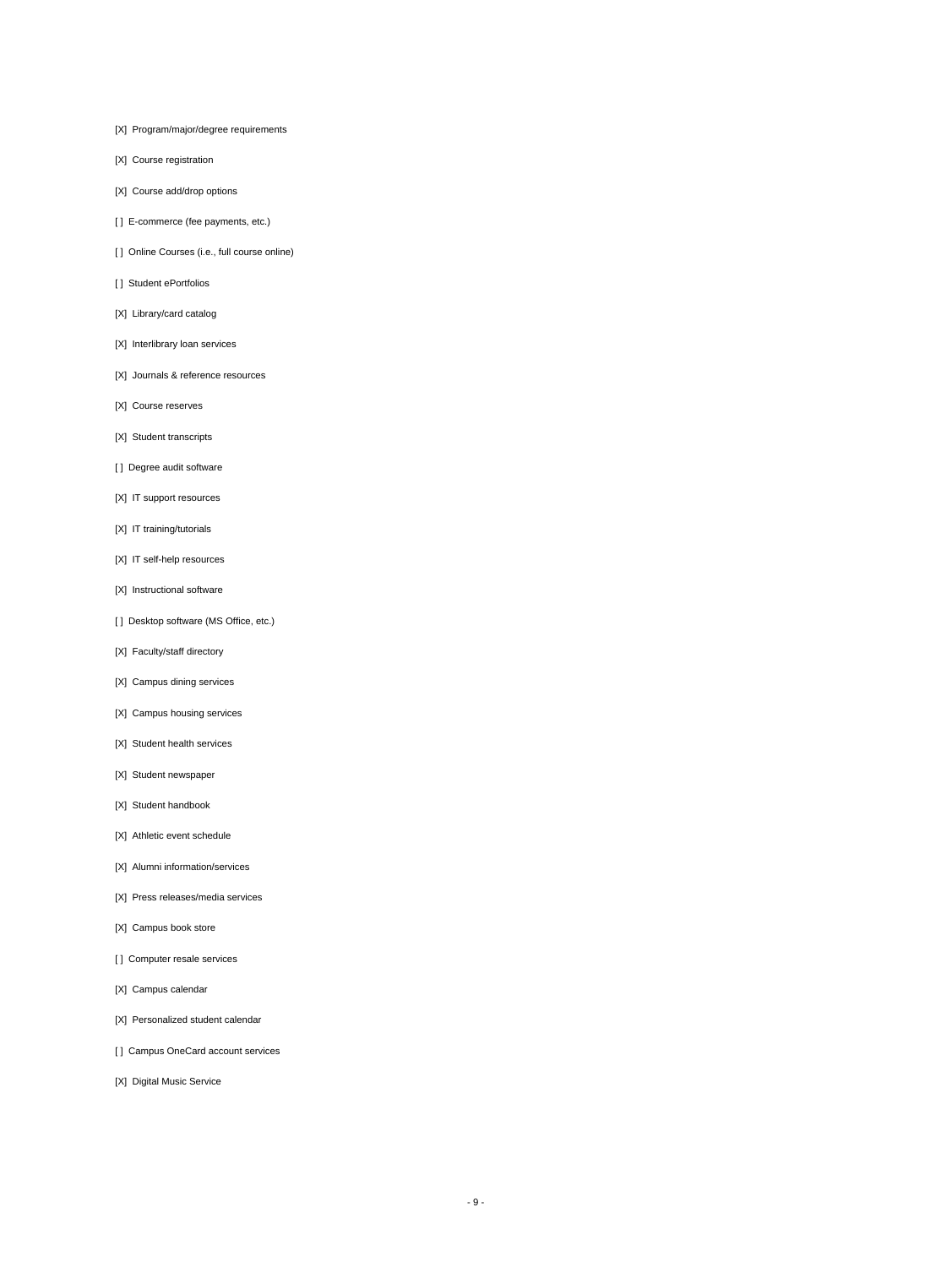- [X] Program/major/degree requirements
- [X] Course registration
- [X] Course add/drop options
- [ ] E-commerce (fee payments, etc.)
- [ ] Online Courses (i.e., full course online)
- [ ] Student ePortfolios
- [X] Library/card catalog
- [X] Interlibrary loan services
- [X] Journals & reference resources
- [X] Course reserves
- [X] Student transcripts
- [ ] Degree audit software
- [X] IT support resources
- [X] IT training/tutorials
- [X] IT self-help resources
- [X] Instructional software
- [] Desktop software (MS Office, etc.)
- [X] Faculty/staff directory
- [X] Campus dining services
- [X] Campus housing services
- [X] Student health services
- [X] Student newspaper
- [X] Student handbook
- [X] Athletic event schedule
- [X] Alumni information/services
- [X] Press releases/media services
- [X] Campus book store
- [ ] Computer resale services
- [X] Campus calendar
- [X] Personalized student calendar
- [] Campus OneCard account services
- [X] Digital Music Service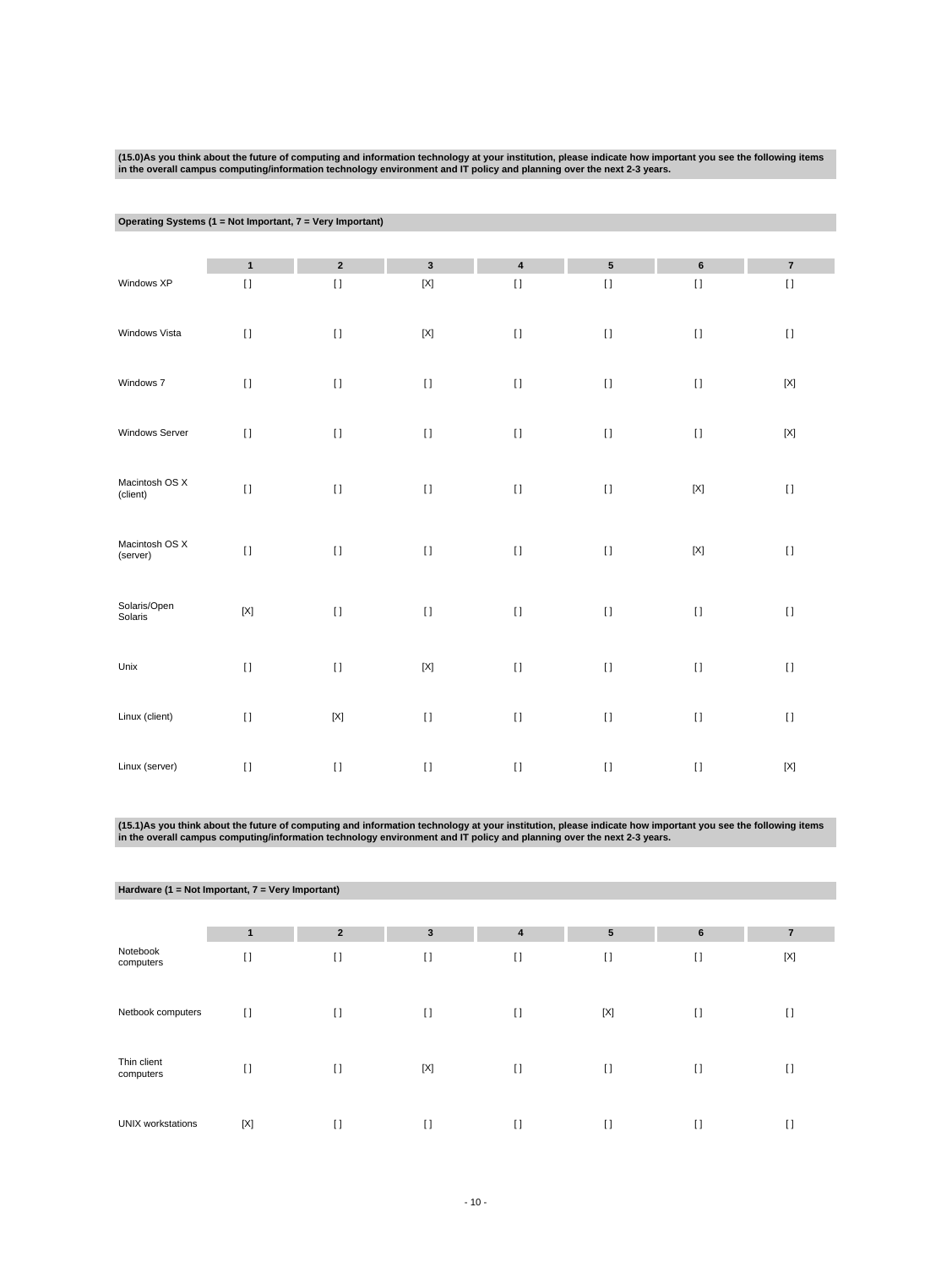(15.0)As you think about the future of computing and information technology at your institution, please indicate how important you see the following items<br>in the overall campus computing/information technology environment

| Operating Systems (1 = Not Important, 7 = Very Important) |              |                           |              |           |           |             |                           |  |
|-----------------------------------------------------------|--------------|---------------------------|--------------|-----------|-----------|-------------|---------------------------|--|
|                                                           |              |                           |              |           |           |             |                           |  |
|                                                           | $\mathbf{1}$ | $\mathbf 2$               | $\mathbf{3}$ | $\pmb{4}$ | ${\bf 5}$ | $\bf 6$     | $\overline{\mathbf{7}}$   |  |
| Windows XP                                                | $[ \; ]$     | $[ \; ]$                  | $[{\sf X}]$  | $[ \ ]$   | $[ \ ]$   | $[ \ ]$     | $[ \ ]$                   |  |
| Windows Vista                                             | $[ \ ]$      | $[ \; ]$                  | $[{\sf X}]$  | $[ \ ]$   | $[ \ ]$   | $[ \ ]$     | $[ \; ]$                  |  |
| Windows 7                                                 | $[ \; ]$     | $\bar{\Pi}$               | $[ \ ]$      | $[ \ ]$   | $[ \ ]$   | $[ \; ]$    | $\left[ \text{X} \right]$ |  |
| Windows Server                                            | $[ \ ]$      | $[ \, ]$                  | $[ \; ]$     | $[ \ ]$   | $[ \ ]$   | $[ \, ]$    | $[{\sf X}]$               |  |
| Macintosh OS X<br>(client)                                | $[ \ ]$      | $[ \ ]$                   | $[ \; ]$     | $[ \ ]$   | $[ \ ]$   | $[{\sf X}]$ | $[ \ ]$                   |  |
| Macintosh OS X<br>(server)                                | $[ \ ]$      | $\bar{\Pi}$               | $[ \; ]$     | $[ \ ]$   | $[ \ ]$   | $[{\sf X}]$ | $[ \ ]$                   |  |
| Solaris/Open<br>Solaris                                   | $[{\sf X}]$  | $[ \ ]$                   | $[ \ ]$      | $[ \ ]$   | $[ \; ]$  | $[ \; ]$    | $[ \ ]$                   |  |
| Unix                                                      | $[ \ ]$      | $[ \ ]$                   | $[{\sf X}]$  | $[ \ ]$   | $[ \; ]$  | $[ \, ]$    | $[ \ ]$                   |  |
| Linux (client)                                            | $[ \; ]$     | $\left[ \text{X} \right]$ | $[ \ ]$      | $[ \ ]$   | $[ \ ]$   | $[ \, ]$    | $[ \ ]$                   |  |
| Linux (server)                                            | $[ \ ]$      | $[ \ ]$                   | $[ \ ]$      | $[ \ ]$   | $[ \ ]$   | $[ \ ]$     | [X]                       |  |

(15.1)As you think about the future of computing and information technology at your institution, please indicate how important you see the following items<br>in the overall campus computing/information technology environment

|                          | Hardware (1 = Not Important, 7 = Very Important) |                |              |          |                 |                |                |  |  |  |
|--------------------------|--------------------------------------------------|----------------|--------------|----------|-----------------|----------------|----------------|--|--|--|
|                          |                                                  |                |              |          |                 |                |                |  |  |  |
|                          | 1                                                | $\overline{2}$ | $\mathbf{3}$ | 4        | $5\phantom{.0}$ | $6\phantom{1}$ | $\overline{7}$ |  |  |  |
| Notebook<br>computers    | $\lceil$                                         | $[ \ ]$        | $[ \ ]$      | $[ \ ]$  | $\mathbf{I}$    | $[ \ ]$        | [X]            |  |  |  |
| Netbook computers        | $[ \ ]$                                          | $[ \ ]$        | $[ \ ]$      | $[ \ ]$  | [X]             | $[ \ ]$        | $\mathfrak{g}$ |  |  |  |
| Thin client<br>computers | $[ \ ]$                                          | $\lceil$       | $[{\sf X}]$  | $[ \ ]$  | $\mathbf{I}$    | $[ \ ]$        | $\mathfrak{g}$ |  |  |  |
| <b>UNIX workstations</b> | [X]                                              | $\lceil$       | $[ \ ]$      | $\lceil$ | $\mathbf{I}$    | $[ \ ]$        | I)             |  |  |  |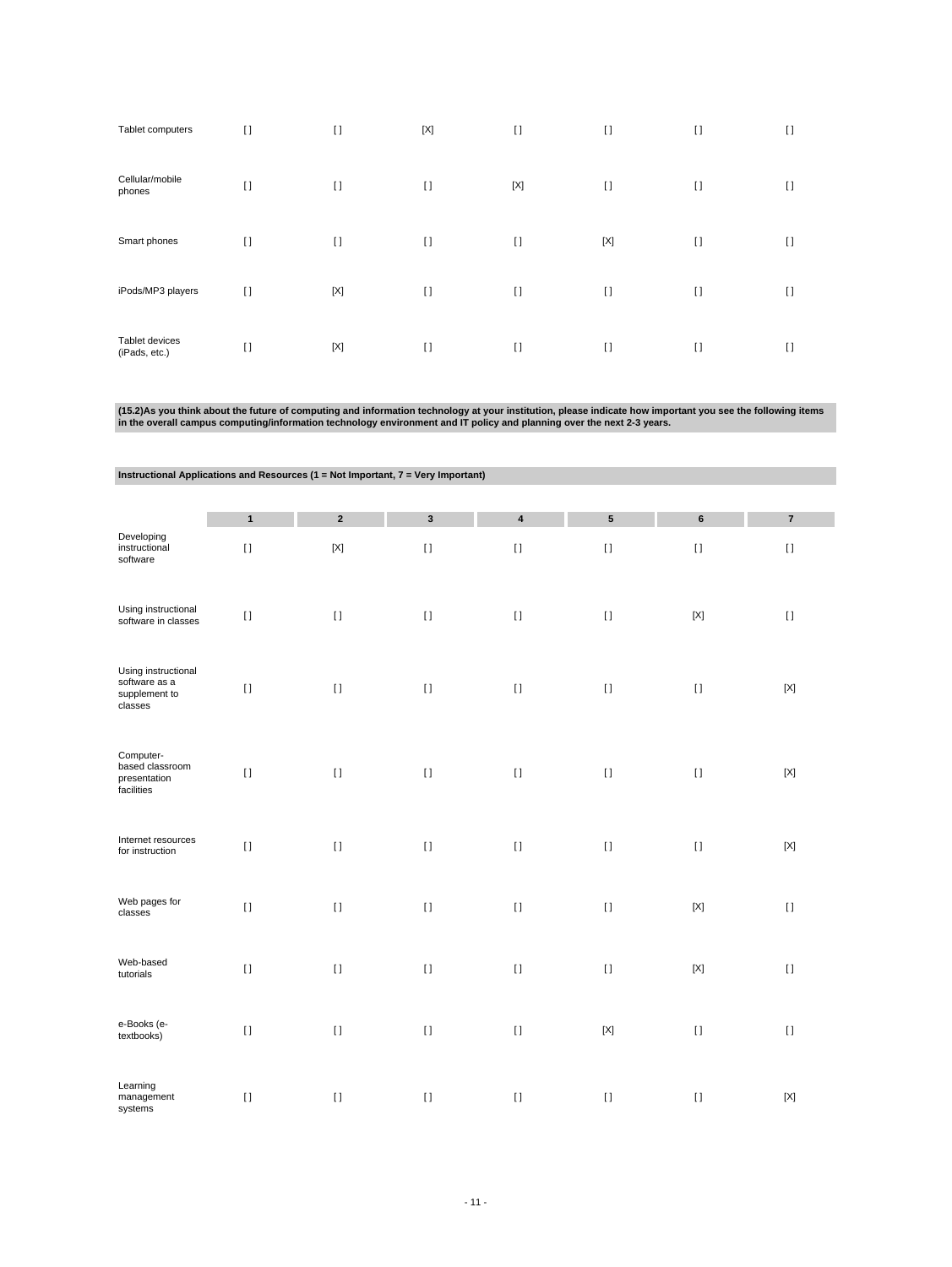| Tablet computers                | $[ \ ]$  | $\mathbf{I}$ | $[{\sf X}]$ | $[ \ ]$     | $\mathbf{I}$ | $[ \ ]$ | $\lceil$ |
|---------------------------------|----------|--------------|-------------|-------------|--------------|---------|----------|
| Cellular/mobile<br>phones       | $\lceil$ | $\mathbf{I}$ | $[ \ ]$     | $[{\sf X}]$ | $\lceil$     | $[ \ ]$ | $\lceil$ |
| Smart phones                    | $[ \ ]$  | $\mathbf{I}$ | $[ \ ]$     | $\lceil$    | $[{\sf X}]$  | $[ \ ]$ | $\lceil$ |
| iPods/MP3 players               | $[ \ ]$  | $[{\sf X}]$  | $\lceil$    | $\lceil$    | $\lceil$     | $\Box$  | $\lceil$ |
| Tablet devices<br>(iPads, etc.) | $\lceil$ | $[{\sf X}]$  | $[ \ ]$     | $\lceil$    | $\lceil$     | $[ \ ]$ | $\lceil$ |

(15.2)As you think about the future of computing and information technology at your institution, please indicate how important you see the following items<br>in the overall campus computing/information technology environment

| Instructional Applications and Resources (1 = Not Important, 7 = Very Important) |              |                |                         |                         |                         |                            |                |  |  |  |
|----------------------------------------------------------------------------------|--------------|----------------|-------------------------|-------------------------|-------------------------|----------------------------|----------------|--|--|--|
|                                                                                  |              |                |                         |                         |                         |                            |                |  |  |  |
|                                                                                  | $\mathbf{1}$ | $\overline{2}$ | $\overline{\mathbf{3}}$ | $\overline{\mathbf{4}}$ | $\overline{\mathbf{5}}$ | 6                          | $\overline{7}$ |  |  |  |
| Developing<br>instructional<br>software                                          | $[ \ ]$      | $[{\sf X}]$    | $[ \ ]$                 | $[ \ ]$                 | $[ \ ]$                 | $[ \ ]$                    | $[ \; ]$       |  |  |  |
| Using instructional<br>software in classes                                       | $[ \; ]$     | $[ \; ]$       | $[ \; ]$                | $[ \; ]$                | $[ \; ]$                | $[{\sf X}]$                | $[ \; ]$       |  |  |  |
| Using instructional<br>software as a<br>supplement to<br>classes                 | $[ \ ]$      | $[ \; ]$       | $\left[ \ \right]$      | $[ \ ]$                 | $[ \; ]$                | $[ \ ]$                    | $[{\sf X}]$    |  |  |  |
| Computer-<br>based classroom<br>presentation<br>facilities                       | $[ \; ]$     | $\mathbf{I}$   | $[ \; ]$                | $[ \ ]$                 | $[ \; ]$                | $[ \ ]$                    | $[{\sf X}]$    |  |  |  |
| Internet resources<br>for instruction                                            | $[ \ ]$      | $[ \ ]$        | $\left[ \ \right]$      | $\left[ \ \right]$      | $[ \ ]$                 | $[ \ ]$                    | $[{\sf X}]$    |  |  |  |
| Web pages for<br>classes                                                         | $[ \; ]$     | $[ \ ]$        | $\left[ \ \right]$      | $[ \; ]$                | $[ \; ]$                | $\left[ \mathrm{X}\right]$ | $\mathbf{I}$   |  |  |  |
| Web-based<br>tutorials                                                           | $[ \; ]$     | $[ \ ]$        | $[ \; ]$                | $[ \ ]$                 | $[ \ ]$                 | $\left[ \mathrm{X}\right]$ | $[ \; ]$       |  |  |  |
| e-Books (e-<br>textbooks)                                                        | $[ \; ]$     | $[ \; ]$       | $[ \ ]$                 | $[ \ ]$                 | $[{\sf X}]$             | $[ \; ]$                   | $[ \; ]$       |  |  |  |
| Learning<br>management<br>systems                                                | $[ \ ]$      | $[ \; ]$       | $[ \ ]$                 | $[ \ ]$                 | $[ \ ]$                 | $[ \ ]$                    | $[{\sf X}]$    |  |  |  |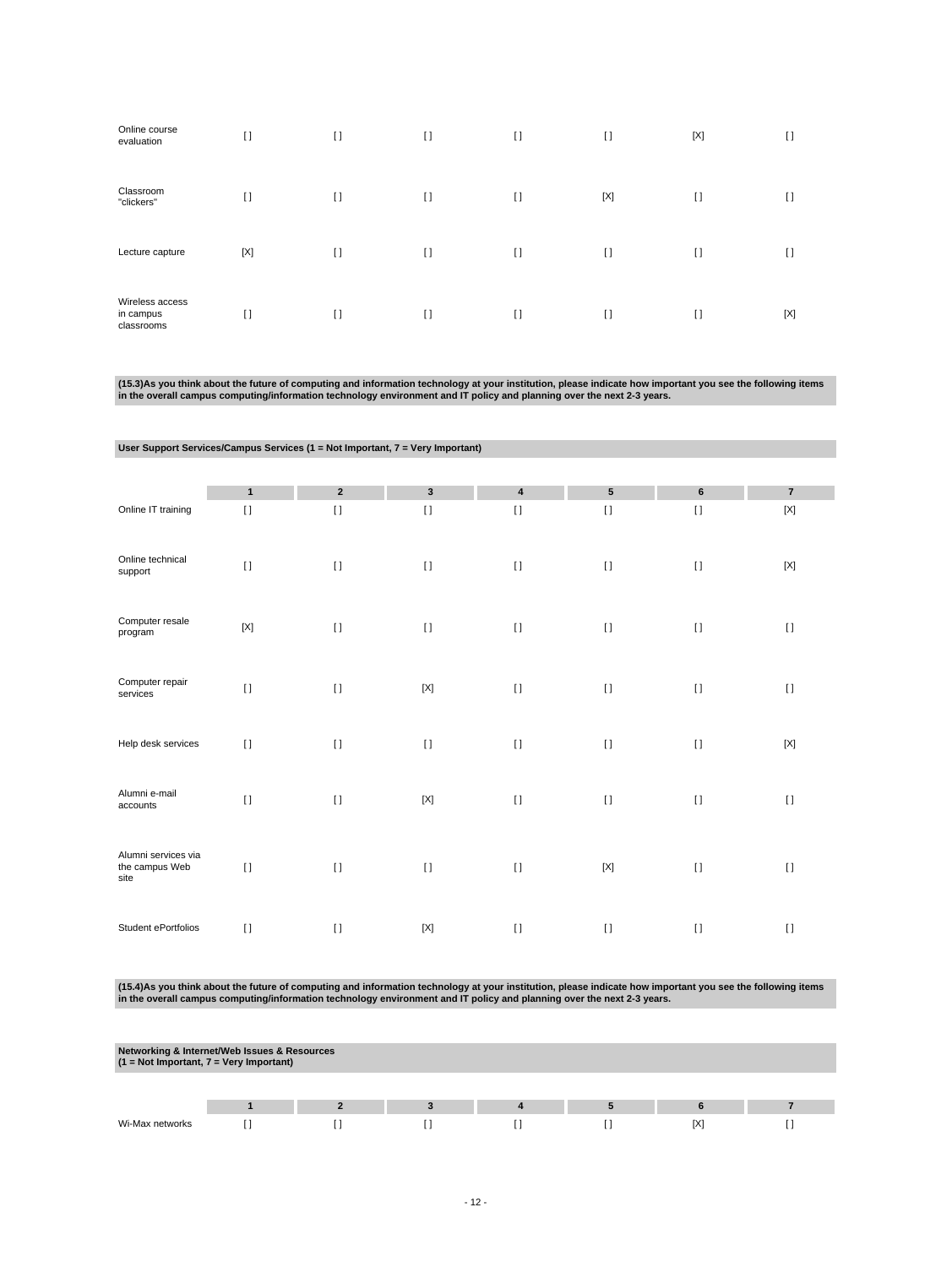| Online course<br>evaluation                | $\lceil$    | $\mathbf{I}$ | $[ \ ]$ | $\lceil$ | $\lceil$     | [X]          | H   |
|--------------------------------------------|-------------|--------------|---------|----------|--------------|--------------|-----|
| Classroom<br>"clickers"                    | $\lceil$    | $\mathbf{I}$ | $[ \ ]$ | $\lceil$ | [X]          | H            | H   |
| Lecture capture                            | $[{\sf X}]$ | $\mathbf{I}$ | $[ \ ]$ | $\lceil$ | $\mathbf{I}$ | $\mathbf{I}$ | H   |
| Wireless access<br>in campus<br>classrooms | $\lceil$    | $\Box$       | $[ \ ]$ | $\lceil$ | $\lceil$     | $[ \ ]$      | [X] |

(15.3)As you think about the future of computing and information technology at your institution, please indicate how important you see the following items<br>in the overall campus computing/information technology environment

|                                               | User Support Services/Campus Services (1 = Not Important, 7 = Very Important) |                |              |           |              |          |                |  |  |  |  |
|-----------------------------------------------|-------------------------------------------------------------------------------|----------------|--------------|-----------|--------------|----------|----------------|--|--|--|--|
|                                               |                                                                               |                |              |           |              |          |                |  |  |  |  |
|                                               | $\mathbf{1}$                                                                  | $\overline{2}$ | $\mathbf{3}$ | $\pmb{4}$ | ${\bf 5}$    | 6        | $\overline{7}$ |  |  |  |  |
| Online IT training                            | $\mathbf{I}$                                                                  | $\mathbf{I}$   | $\lceil$     | $[ \ ]$   | $\mathbf{I}$ | $\lceil$ | [X]            |  |  |  |  |
| Online technical<br>support                   | $[ \ ]$                                                                       | $[ \ ]$        | $[ \ ]$      | $[ \ ]$   | $[ \ ]$      | $[ \ ]$  | $[{\sf X}]$    |  |  |  |  |
| Computer resale<br>program                    | $[{\sf X}]$                                                                   | $[ \ ]$        | $[ \; ]$     | $[ \; ]$  | $\mathbf{I}$ | $[ \ ]$  | $\mathbf{I}$   |  |  |  |  |
| Computer repair<br>services                   | $[ \ ]$                                                                       | $[ \ ]$        | $[{\sf X}]$  | $[ \; ]$  | $[ \ ]$      | $[ \ ]$  | $\mathbf{I}$   |  |  |  |  |
| Help desk services                            | $\mathbf{I}$                                                                  | $\lceil$       | $\lceil$     | $[ \; ]$  | $[ \ ]$      | $[ \ ]$  | $[{\sf X}]$    |  |  |  |  |
| Alumni e-mail<br>accounts                     | $[ \ ]$                                                                       | $[ \ ]$        | $[{\sf X}]$  | $[ \ ]$   | $[ \ ]$      | $[ \ ]$  | $\mathbf{I}$   |  |  |  |  |
| Alumni services via<br>the campus Web<br>site | $\lceil$                                                                      | $[ \ ]$        | $[ \ ]$      | $[ \; ]$  | $[{\sf X}]$  | $[ \ ]$  | $\mathbf{I}$   |  |  |  |  |
| Student ePortfolios                           | $\mathbf{I}$                                                                  | $\mathbf{I}$   | $[{\sf X}]$  | $[ \; ]$  | $\mathbf{I}$ | $[ \ ]$  | $\lceil$       |  |  |  |  |

(15.4)As you think about the future of computing and information technology at your institution, please indicate how important you see the following items<br>in the overall campus computing/information technology environment

|                 | Networking & Internet/Web Issues & Resources<br>$(1 = Not Important, 7 = Very Important)$ |  |  |  |  |           |  |  |  |  |
|-----------------|-------------------------------------------------------------------------------------------|--|--|--|--|-----------|--|--|--|--|
|                 |                                                                                           |  |  |  |  |           |  |  |  |  |
|                 |                                                                                           |  |  |  |  |           |  |  |  |  |
| Wi-Max networks |                                                                                           |  |  |  |  | <b>IX</b> |  |  |  |  |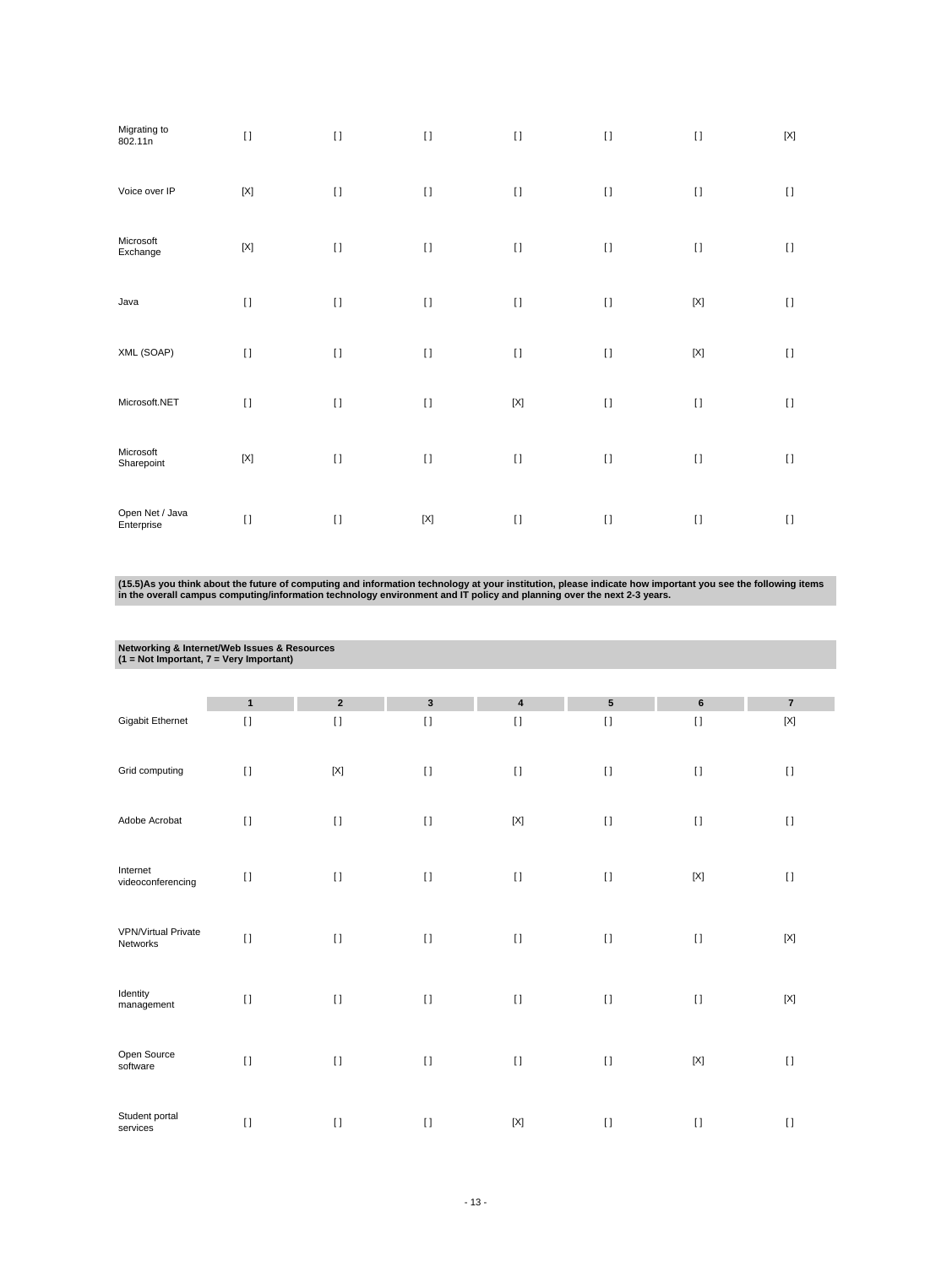| Migrating to<br>802.11n       | $[ \ ]$                   | $[ \; ]$ | $[ \; ]$                  | $[ \; ]$    | $[ \; ]$ | $[ \; ]$     | $[{\sf X}]$ |
|-------------------------------|---------------------------|----------|---------------------------|-------------|----------|--------------|-------------|
| Voice over IP                 | $[{\sf X}]$               | $[ \; ]$ | $[ \ ]$                   | $[ \ ]$     | $\lceil$ | $[ \ ]$      | $[ \ ]$     |
| Microsoft<br>Exchange         | $\left[ \text{X} \right]$ | $[ \; ]$ | $[ \; ]$                  | $[ \ ]$     | $[ \; ]$ | $\mathbf{I}$ | $[ \ ]$     |
| Java                          | $\lceil$                  | $\lceil$ | $[ \ ]$                   | $[ \ ]$     | $[ \; ]$ | $[{\sf X}]$  | $[ \ ]$     |
| XML (SOAP)                    | $[ \; ]$                  | $\lceil$ | $[ \; ]$                  | $\lceil$    | $\lceil$ | $[{\sf X}]$  | $[ \ ]$     |
| Microsoft.NET                 | $\lceil$                  | $\lceil$ | $[ \; ]$                  | $[{\sf X}]$ | $[ \; ]$ | $[ \; ]$     | $\lceil$    |
| Microsoft<br>Sharepoint       | $[\mathsf{X}]$            | $[ \; ]$ | $[ \; ]$                  | $[ \; ]$    | $[ \; ]$ | $[ \; ]$     | $[ \ ]$     |
| Open Net / Java<br>Enterprise | $[ \; ]$                  | $\lceil$ | $\left[ \text{X} \right]$ | $\lceil$    | $\lceil$ | $[ \ ]$      | $[ \ ]$     |

(15.5)As you think about the future of computing and information technology at your institution, please indicate how important you see the following items<br>in the overall campus computing/information technology environment

|                                        | Networking & Internet/Web Issues & Resources<br>$(1 = Not Important, 7 = Very Important)$ |              |             |             |                 |             |                         |  |  |  |  |
|----------------------------------------|-------------------------------------------------------------------------------------------|--------------|-------------|-------------|-----------------|-------------|-------------------------|--|--|--|--|
|                                        |                                                                                           |              |             |             |                 |             |                         |  |  |  |  |
|                                        | $\mathbf{1}$                                                                              | $\mathbf 2$  | $\mathbf 3$ | $\pmb{4}$   | $5\phantom{.0}$ | 6           | $\overline{\mathbf{z}}$ |  |  |  |  |
| Gigabit Ethernet                       | $[ \; ]$                                                                                  | $\mathbf{I}$ | $[ \; ]$    | $[ \; ]$    | $[ \; ]$        | $[ \ ]$     | $[{\sf X}]$             |  |  |  |  |
| Grid computing                         | $\lceil$                                                                                  | $[{\sf X}]$  | $[ \ ]$     | $[ \; ]$    | $\lceil$        | $[ \; ]$    | $[ \; ]$                |  |  |  |  |
| Adobe Acrobat                          | $[ \; ]$                                                                                  | $\lceil$     | $[ \; ]$    | $[{\sf X}]$ | $\lceil$        | $[ \; ]$    | $[ \; ]$                |  |  |  |  |
| Internet<br>videoconferencing          | $\lceil$                                                                                  | $[ \ ]$      | $[ \; ]$    | $[ \; ]$    | $\Box$          | $[{\sf X}]$ | $\lceil$                |  |  |  |  |
| <b>VPN/Virtual Private</b><br>Networks | $[ \ ]$                                                                                   | $\lceil$     | $[ \ ]$     | $[ \; ]$    | $\lceil$        | $[ \ ]$     | $[{\sf X}]$             |  |  |  |  |
| Identity<br>management                 | $[ \ ]$                                                                                   | $\lceil$     | $[ \ ]$     | $\lceil$    | $\Box$          | $[ \ ]$     | $[{\sf X}]$             |  |  |  |  |
| Open Source<br>software                | $[ \; ]$                                                                                  | $[ \; ]$     | $[ \; ]$    | $[ \; ]$    | $\lceil$        | $[{\sf X}]$ | $[ \; ]$                |  |  |  |  |
| Student portal<br>services             | $[ \; ]$                                                                                  | $\lceil$     | $[ \ ]$     | $[{\sf X}]$ | $\lceil$        | $[ \ ]$     | $[ \ ]$                 |  |  |  |  |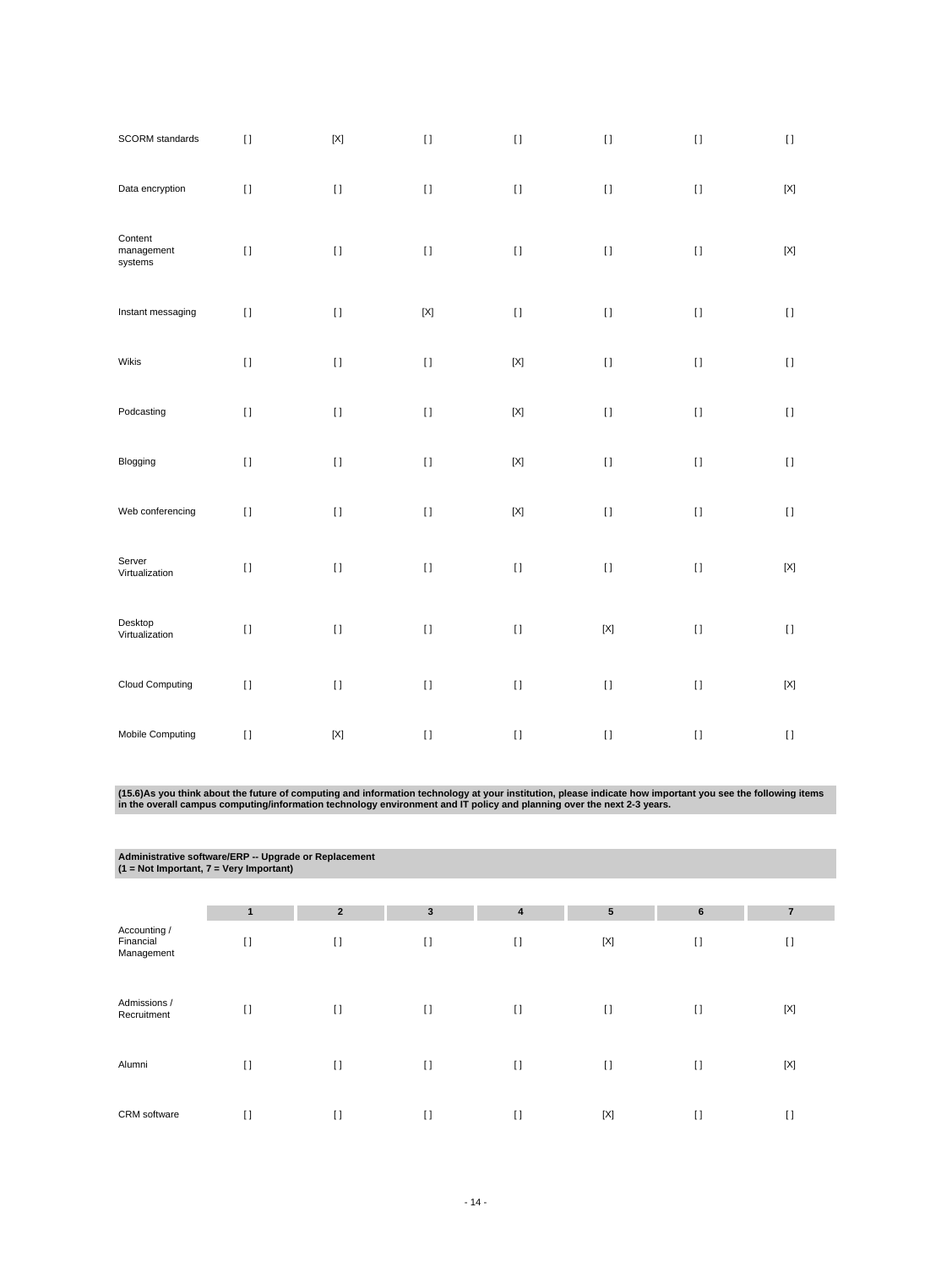| SCORM standards                  | $[ \; ]$ | $[{\sf X}]$ | $[ \; ]$                               | $[ \ ]$                   |                            | $[ \; ]$ | $[ \ ]$     |
|----------------------------------|----------|-------------|----------------------------------------|---------------------------|----------------------------|----------|-------------|
| Data encryption                  | $[ \ ]$  | $[ \, ]$    | $\begin{array}{c} \square \end{array}$ | $[ \ ]$                   | $[ \: ]$                   | $[ \; ]$ | $[{\sf X}]$ |
| Content<br>management<br>systems | $[ \ ]$  | $[ \, ]$    | $[ \; ]$                               | $[ \; ]$                  |                            | $[ \ ]$  | $[{\sf X}]$ |
| Instant messaging                | $[ \ ]$  | $[ \; ]$    | $[{\sf X}]$                            | $[ \ ]$                   | $[ \, ]$                   | $[ \; ]$ | $[ \; ]$    |
| Wikis                            | $[ \ ]$  | $[ \, ]$    | $[ \ ]$                                | $\left[ \text{X} \right]$ | $[ \: ]$                   | $[ \ ]$  | $[ \ ]$     |
| Podcasting                       | $[ \; ]$ | $[ \; ]$    | $[ \ ]$                                | $[{\sf X}]$               | $[ \; ]$                   | $[ \ ]$  | $[ \ ]$     |
| Blogging                         | $[ \ ]$  | $[ \; ]$    | $[ \; ]$                               | $[{\sf X}]$               | $[ \; ]$                   | $[ \; ]$ | $[ \; ]$    |
| Web conferencing                 | $[ \ ]$  | $[ \, ]$    | $[ \ ]$                                | $[{\sf X}]$               | $[ \: ]$                   | $[ \ ]$  | $[ \; ]$    |
| Server<br>Virtualization         | $[ \; ]$ | $[ \; ]$    | $[ \ ]$                                | $[ \; ]$                  | $[ \; ]$                   | $[ \; ]$ | $[{\sf X}]$ |
| Desktop<br>Virtualization        | $\lceil$ | $[ \; ]$    | $[ \; ]$                               | $[ \; ]$                  | $\left[ \mathrm{X}\right]$ | $[ \; ]$ | $[ \ ]$     |
| Cloud Computing                  | $[ \ ]$  | $[ \; ]$    | $[ \ ]$                                | $[ \; ]$                  |                            | $[ \ ]$  | $[{\sf X}]$ |
| Mobile Computing                 | $[ \ ]$  | $[{\sf X}]$ | $[ \; ]$                               | $[ \; ]$                  | $[ \; ]$                   | $[ \; ]$ | $[ \; ]$    |

(15.6)As you think about the future of computing and information technology at your institution, please indicate how important you see the following items<br>in the overall campus computing/information technology environment

| Administrative software/ERP -- Upgrade or Replacement<br>$(1 = Not Important, 7 = Very Important)$ |             |                |              |               |        |              |                |  |  |  |
|----------------------------------------------------------------------------------------------------|-------------|----------------|--------------|---------------|--------|--------------|----------------|--|--|--|
|                                                                                                    |             | $\overline{2}$ | $\mathbf{3}$ |               | 5      |              | $\overline{7}$ |  |  |  |
| Accounting /<br>Financial<br>Management                                                            | 1<br>$\Box$ | $[ \ ]$        | $[ \ ]$      | 4<br>$\lceil$ | [X]    | 6<br>$[ \ ]$ | $[ \ ]$        |  |  |  |
| Admissions /<br>Recruitment                                                                        | $\Box$      | $\Box$         | $\lceil$     | $\lceil$      | $\Box$ | $\Box$       | [X]            |  |  |  |
| Alumni                                                                                             | $\Box$      | $\Box$         | $[ \ ]$      | $[ \ ]$       | $\Box$ | $\Box$       | [X]            |  |  |  |
| CRM software                                                                                       | $\Box$      | $\Box$         | $[ \ ]$      | $\lceil$      | [X]    | $[ \ ]$      | $\lceil$       |  |  |  |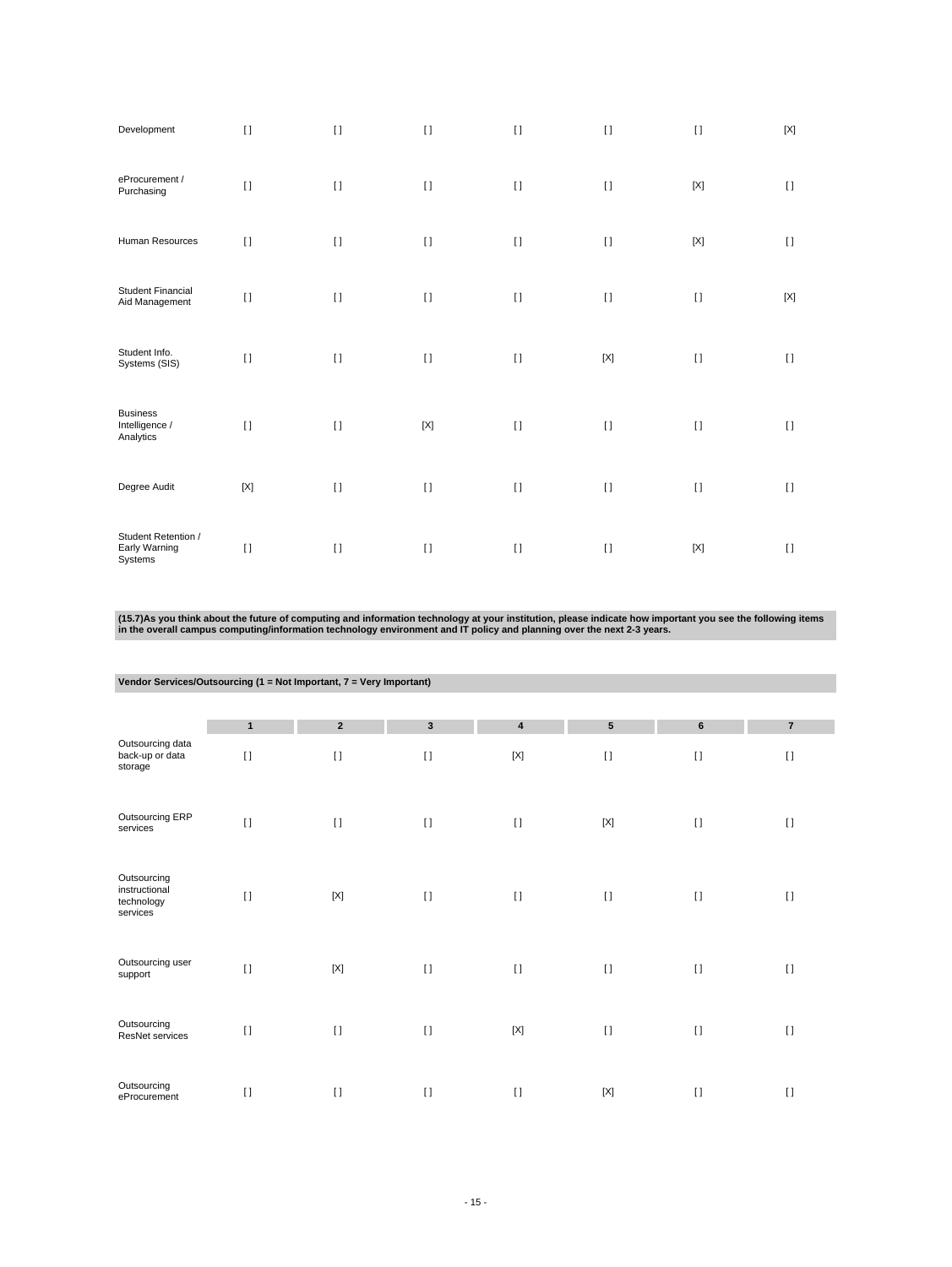| Development                                     | $[ \ ]$      | $[ \; ]$     | $\lceil$    | $\lceil$ | $\Box$      | $\mathbf{I}$ | [X]     |
|-------------------------------------------------|--------------|--------------|-------------|----------|-------------|--------------|---------|
| eProcurement /<br>Purchasing                    | $\mathbf{I}$ | $\mathbf{I}$ | $[ \; ]$    | $[ \ ]$  | $[ \ ]$     | $[{\sf X}]$  | $[ \ ]$ |
| Human Resources                                 | $\Box$       | $\mathbf{I}$ | $[ \ ]$     | $[ \ ]$  | $\Box$      | $[{\sf X}]$  | $[ \ ]$ |
| <b>Student Financial</b><br>Aid Management      | $\lceil$     | $\mathbf{I}$ | $[ \; ]$    | $[ \ ]$  | $\Box$      | $[ \ ]$      | [X]     |
| Student Info.<br>Systems (SIS)                  | $[ \ ]$      | $[ \ ]$      | $[ \; ]$    | $[ \ ]$  | $[{\sf X}]$ | $[ \ ]$      | $[ \ ]$ |
| <b>Business</b><br>Intelligence /<br>Analytics  | $\mathbf{I}$ | $\mathbf{I}$ | $[{\sf X}]$ | $[ \ ]$  | $[ \ ]$     | $[ \ ]$      | $[ \ ]$ |
| Degree Audit                                    | $[{\sf X}]$  | $\mathbf{I}$ | $[ \ ]$     | $[ \ ]$  | $[ \ ]$     | $[ \ ]$      | $\Box$  |
| Student Retention /<br>Early Warning<br>Systems | $\mathbf{I}$ | $[ \; ]$     | $[ \ ]$     | $[ \ ]$  | $\lceil$    | [X]          | $[ \ ]$ |

(15.7)As you think about the future of computing and information technology at your institution, please indicate how important you see the following items<br>in the overall campus computing/information technology environment

|                                                        | Vendor Services/Outsourcing (1 = Not Important, 7 = Very Important) |              |              |                         |              |              |                |
|--------------------------------------------------------|---------------------------------------------------------------------|--------------|--------------|-------------------------|--------------|--------------|----------------|
|                                                        |                                                                     |              |              |                         |              |              |                |
|                                                        | $\mathbf{1}$                                                        | $\mathbf 2$  | $\mathbf{3}$ | $\overline{\mathbf{4}}$ | ${\bf 5}$    | $\bf 6$      | $\overline{7}$ |
| Outsourcing data<br>back-up or data<br>storage         | $\lceil$                                                            | $[ \ ]$      | $[ \ ]$      | $[{\sf X}]$             | $[ \ ]$      | $[ \ ]$      | $[ \ ]$        |
| Outsourcing ERP<br>services                            | $\lceil$                                                            | $\mathbf{I}$ | $[ \ ]$      | $[ \; ]$                | $[{\sf X}]$  | $\mathbf{I}$ | $[ \; ]$       |
| Outsourcing<br>instructional<br>technology<br>services | $\lceil$                                                            | $[{\sf X}]$  | $\lceil$     | $[ \ ]$                 | $\Box$       | $\mathbf{I}$ | $\mathbf{I}$   |
| Outsourcing user<br>support                            | $\lceil$                                                            | [X]          | $\lceil$     | $[ \ ]$                 | $\lceil$     | $\mathbf{I}$ | $[ \ ]$        |
| Outsourcing<br>ResNet services                         | $\lceil$                                                            | $\mathbf{I}$ | $\lceil$     | $[{\sf X}]$             | $\mathbf{I}$ | $\mathbf{I}$ | $\mathbf{I}$   |
| Outsourcing<br>eProcurement                            | $\lceil$                                                            | $[ \ ]$      | $[ \ ]$      | $[ \ ]$                 | $[{\sf X}]$  | $\lceil$     | $[ \ ]$        |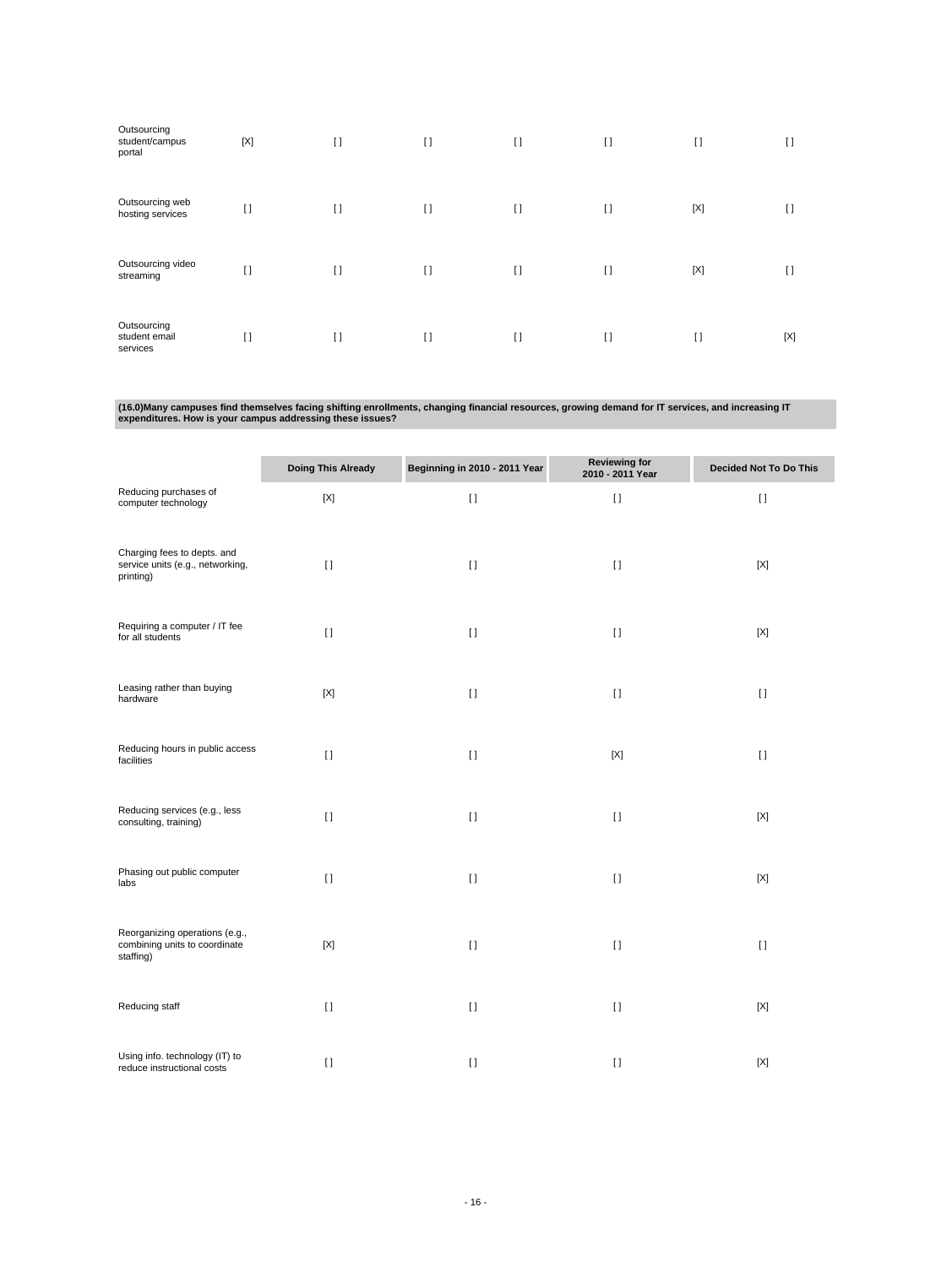| Outsourcing<br>student/campus<br>portal  | $[{\sf X}]$ | $\lceil$     | $[ \ ]$  | $\lceil$ | $[ \ ]$      | $[ \ ]$      | $\mathfrak{g}$ |
|------------------------------------------|-------------|--------------|----------|----------|--------------|--------------|----------------|
| Outsourcing web<br>hosting services      | $\lceil$    | $\lceil$     | $\lceil$ | $\lceil$ | $[ \ ]$      | $[{\sf X}]$  | $\Box$         |
| Outsourcing video<br>streaming           | $[ \ ]$     | $\lceil$     | $[ \ ]$  | $\lceil$ | $\lceil$     | $[{\sf X}]$  | IJ             |
| Outsourcing<br>student email<br>services | $\Box$      | $\mathbf{I}$ | $[ \ ]$  | $\lceil$ | $\mathbf{I}$ | $\mathbf{I}$ | [X]            |

**(16.0)Many campuses find themselves facing shifting enrollments, changing financial resources, growing demand for IT services, and increasing IT expenditures. How is your campus addressing these issues?**

|                                                                 |                           |                               | <b>Reviewing for</b> | <b>Decided Not To Do This</b> |
|-----------------------------------------------------------------|---------------------------|-------------------------------|----------------------|-------------------------------|
|                                                                 | <b>Doing This Already</b> | Beginning in 2010 - 2011 Year | 2010 - 2011 Year     |                               |
| Reducing purchases of<br>computer technology                    | $[{\sf X}]$               | $[ \; ]$                      | $[ \ ]$              | $[ \ ]$                       |
|                                                                 |                           |                               |                      |                               |
| Charging fees to depts. and                                     |                           |                               |                      |                               |
| service units (e.g., networking,<br>printing)                   | $\lceil$                  | $[ \; ]$                      | $[ \; ]$             | $[{\sf X}]$                   |
|                                                                 |                           |                               |                      |                               |
| Requiring a computer / IT fee                                   | $\lceil$                  | $\lceil$                      | $[ \ ]$              | [X]                           |
| for all students                                                |                           |                               |                      |                               |
|                                                                 |                           |                               |                      |                               |
| Leasing rather than buying<br>hardware                          | $[{\sf X}]$               | $\lceil$                      | $[ \; ]$             | $[ \ ]$                       |
|                                                                 |                           |                               |                      |                               |
| Reducing hours in public access                                 |                           |                               |                      |                               |
| facilities                                                      | $\mathbf{I}$              | $[ \; ]$                      | $[{\sf X}]$          | $[ \; ]$                      |
|                                                                 |                           |                               |                      |                               |
| Reducing services (e.g., less<br>consulting, training)          | $\lceil$                  | $\lceil$                      | $\mathbf{I}$         | $[{\sf X}]$                   |
|                                                                 |                           |                               |                      |                               |
| Phasing out public computer                                     |                           |                               |                      |                               |
| labs                                                            | $\mathbf{I}$              | $\lceil$                      | $\mathbf{I}$         | $[{\sf X}]$                   |
|                                                                 |                           |                               |                      |                               |
| Reorganizing operations (e.g.,<br>combining units to coordinate | $[{\sf X}]$               | $[ \; ]$                      | $[ \; ]$             | $[ \; ]$                      |
| staffing)                                                       |                           |                               |                      |                               |
|                                                                 |                           |                               |                      |                               |
| Reducing staff                                                  | $\mathbf{I}$              | $[ \ ]$                       | $[ \ ]$              | $[{\sf X}]$                   |
|                                                                 |                           |                               |                      |                               |
| Using info. technology (IT) to<br>reduce instructional costs    | $[ \ ]$                   | $[ \ ]$                       | $\lceil$             | [X]                           |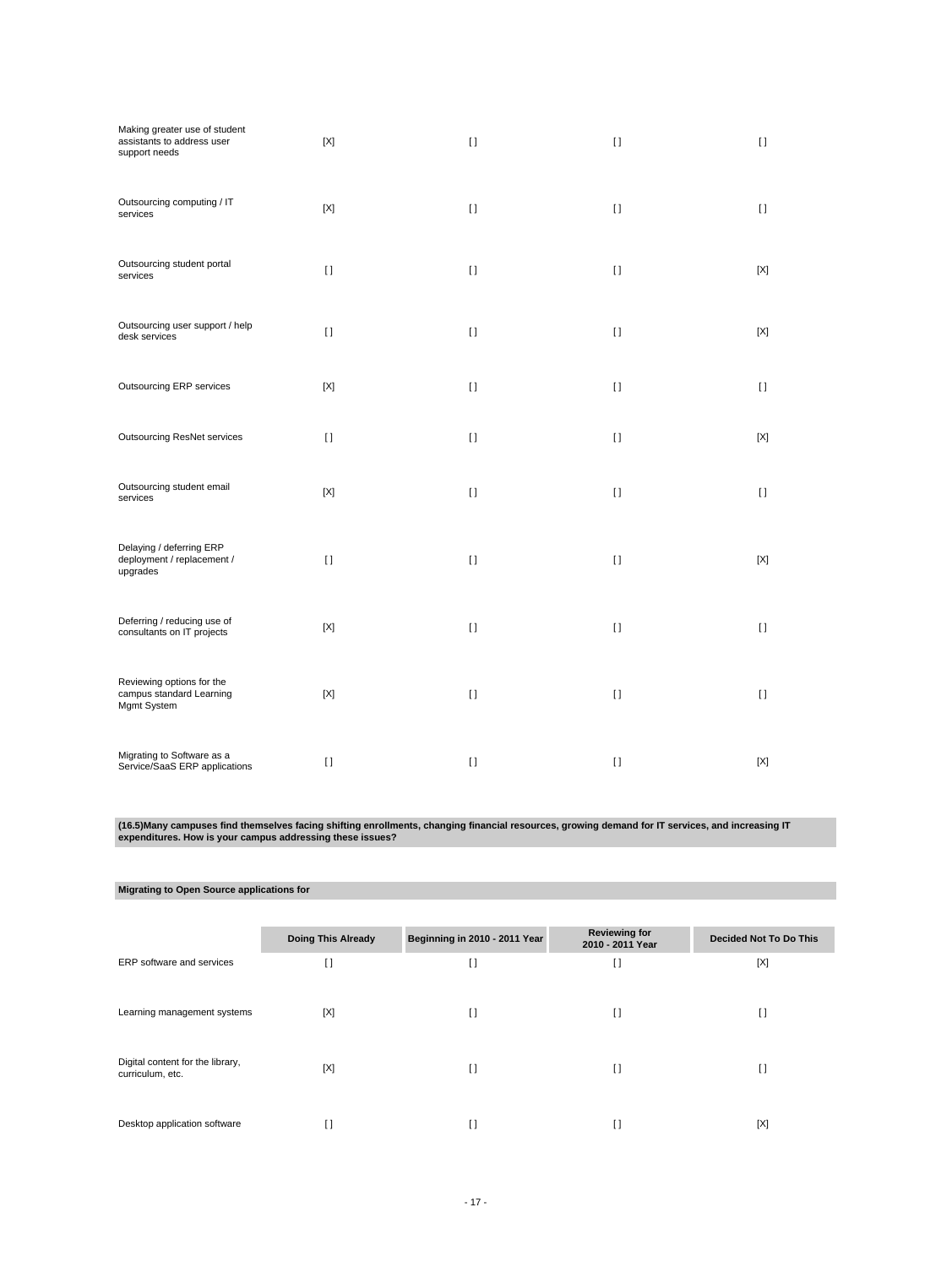| Making greater use of student<br>assistants to address user<br>support needs | [X]          | $[ \ ]$      | $\mathbf{I}$ | $\lceil$    |
|------------------------------------------------------------------------------|--------------|--------------|--------------|-------------|
| Outsourcing computing / IT<br>services                                       | [X]          | $\mathbf{I}$ | $\mathbf{I}$ | $[ \ ]$     |
| Outsourcing student portal<br>services                                       | $\lceil$     | $[ \ ]$      | $\lceil$     | [X]         |
| Outsourcing user support / help<br>desk services                             | $\mathbf{I}$ | $\mathbf{I}$ | $\lceil$     | [X]         |
| Outsourcing ERP services                                                     | [X]          | $\mathbf{I}$ | $\mathbf{I}$ | $[ \ ]$     |
| <b>Outsourcing ResNet services</b>                                           | $\Box$       | $[ \ ]$      | $[ \ ]$      | [X]         |
| Outsourcing student email<br>services                                        | [X]          | $[ \ ]$      | $\mathbf{I}$ | $\lceil$    |
| Delaying / deferring ERP<br>deployment / replacement /<br>upgrades           | $\lceil$     | $\mathbf{I}$ | $\mathbf{I}$ | $[{\sf X}]$ |
| Deferring / reducing use of<br>consultants on IT projects                    | $[{\sf X}]$  | $[ \ ]$      | $[ \ ]$      | $[ \ ]$     |
| Reviewing options for the<br>campus standard Learning<br>Mgmt System         | $[{\sf X}]$  | $[ \ ]$      | $[ \ ]$      | $[ \ ]$     |
| Migrating to Software as a<br>Service/SaaS ERP applications                  | $\lceil$     | $[ \ ]$      | $[ \ ]$      | [X]         |

**(16.5)Many campuses find themselves facing shifting enrollments, changing financial resources, growing demand for IT services, and increasing IT expenditures. How is your campus addressing these issues?**

# **Migrating to Open Source applications for**

|                                                      | <b>Doing This Already</b> | Beginning in 2010 - 2011 Year | <b>Reviewing for</b><br>2010 - 2011 Year | <b>Decided Not To Do This</b> |
|------------------------------------------------------|---------------------------|-------------------------------|------------------------------------------|-------------------------------|
| ERP software and services                            | I)                        | I)                            | H                                        | [X]                           |
|                                                      |                           |                               |                                          |                               |
| Learning management systems                          | [X]                       | n                             | H                                        | I)                            |
|                                                      |                           |                               |                                          |                               |
| Digital content for the library,<br>curriculum, etc. | [X]                       | I)                            | H                                        | []                            |
|                                                      |                           |                               |                                          |                               |
| Desktop application software                         | I l                       | []                            | I)                                       | [X]                           |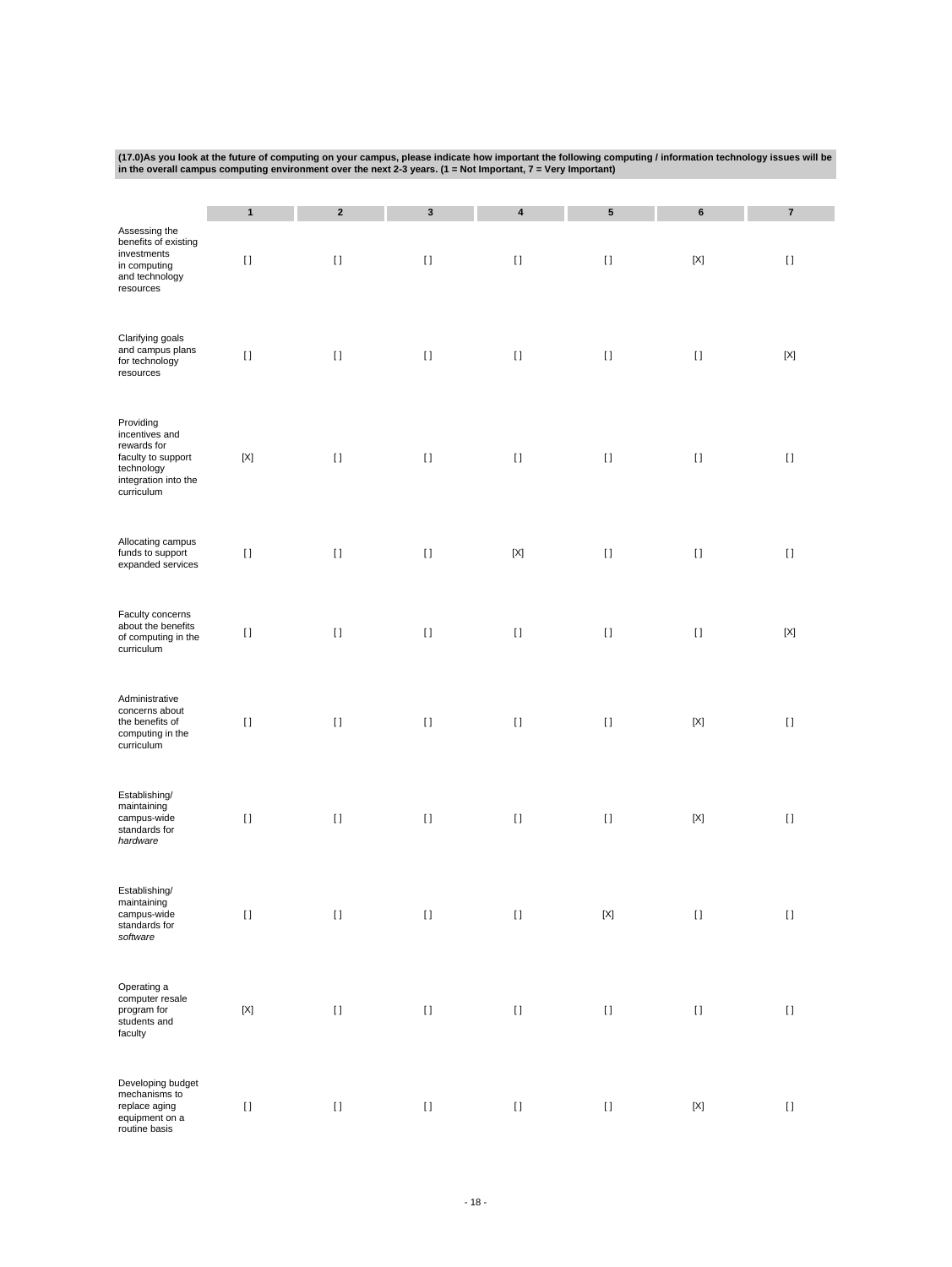|                                                                                                                      |                | in the overall campus computing environment over the next 2-3 years. $(1 = Not$ Important, $7 =$ Very Important) |          |             | rrops you look at the ruture or computing on your campus, please malcate now important the rollowing computing / information technology |             | <b>ISSUES WILL DE</b> |
|----------------------------------------------------------------------------------------------------------------------|----------------|------------------------------------------------------------------------------------------------------------------|----------|-------------|-----------------------------------------------------------------------------------------------------------------------------------------|-------------|-----------------------|
|                                                                                                                      | $\mathbf{1}$   | $\boldsymbol{2}$                                                                                                 | 3        | $\pmb{4}$   | ${\bf 5}$                                                                                                                               | $\bf 6$     | $\bf 7$               |
| Assessing the<br>benefits of existing<br>investments<br>in computing<br>and technology<br>resources                  | $[ \ ]$        | $[ \, ]$                                                                                                         | $[ \; ]$ | $[ \ ]$     | $[ \ ]$                                                                                                                                 | $[{\sf X}]$ | $[ \; ]$              |
| Clarifying goals<br>and campus plans<br>for technology<br>resources                                                  | $[ \; ]$       | $[ \; ]$                                                                                                         | $[ \ ]$  | $[ \ ]$     | $[ \ ]$                                                                                                                                 | $[ \; ]$    | $[{\sf X}]$           |
| Providing<br>incentives and<br>rewards for<br>faculty to support<br>technology<br>integration into the<br>curriculum | $[{\sf X}]$    | $[ \; ]$                                                                                                         | $[ \ ]$  | $[ \ ]$     | $[ \ ]$                                                                                                                                 | $[ \; ]$    | $[ \ ]$               |
| Allocating campus<br>funds to support<br>expanded services                                                           | $[ \ ]$        | $[ \; ]$                                                                                                         | $[ \ ]$  | $[{\sf X}]$ | $[ \; ]$                                                                                                                                | $[ \; ]$    | $[ \ ]$               |
| Faculty concerns<br>about the benefits<br>of computing in the<br>curriculum                                          | $[ \; ]$       | $[ \ ]$                                                                                                          | $[ \; ]$ | $[ \ ]$     | $[ \ ]$                                                                                                                                 | $[ \; ]$    | $[{\sf X}]$           |
| Administrative<br>concerns about<br>the benefits of<br>computing in the<br>curriculum                                | $[ \; ]$       | $[ \, ]$                                                                                                         | $[ \; ]$ | $[ \; ]$    | $[ \; ]$                                                                                                                                | $[{\sf X}]$ | $[ \; ]$              |
| Establishing/<br>maintaining<br>campus-wide<br>standards for<br>hardware                                             | $[ \; ]$       | $[ \, ]$                                                                                                         | $[ \; ]$ | $[ \; ]$    | $[ \; ]$                                                                                                                                | $[{\sf X}]$ | $[ \; ]$              |
| Establishing/<br>maintaining<br>campus-wide<br>standards for<br>software                                             | $[ \ ]$        | $[ \; ]$                                                                                                         | $[ \ ]$  | $[ \ ]$     | $[{\sf X}]$                                                                                                                             | $[ \, ]$    | $[ \; ]$              |
| Operating a<br>computer resale<br>program for<br>students and<br>faculty                                             | $[\mathsf{X}]$ | $[ \, ]$                                                                                                         | $[ \; ]$ | $[ \ ]$     | $[ \; ]$                                                                                                                                | $[ \, ]$    | $[ \; ]$              |
| Developing budget<br>mechanisms to<br>replace aging<br>equipment on a<br>routine basis                               | $[ \; ]$       | $[ \, ]$                                                                                                         | $[ \; ]$ | $[ \; ]$    | $[ \ ]$                                                                                                                                 | $[{\sf X}]$ | $[ \; ]$              |

# **(17.0)As you look at the future of computing on your campus, please indicate how important the following computing / information technology issues will be**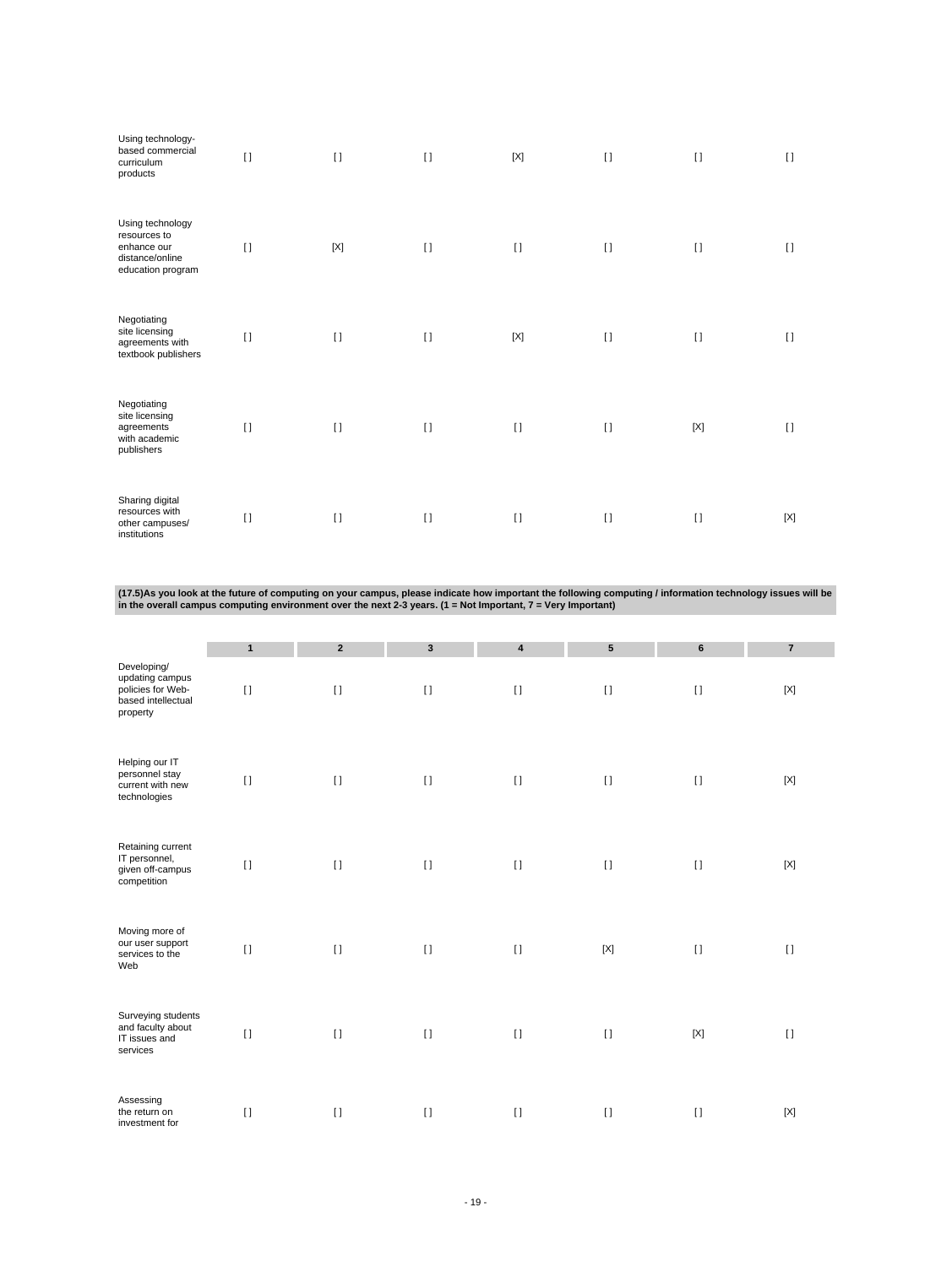| Using technology-<br>based commercial<br>curriculum<br>products                         | $\mathbf{I}$ | $[ \ ]$      | $\lceil$ | $[{\sf X}]$ | $\lceil$ | $[ \ ]$ | $[ \ ]$ |
|-----------------------------------------------------------------------------------------|--------------|--------------|----------|-------------|----------|---------|---------|
| Using technology<br>resources to<br>enhance our<br>distance/online<br>education program | $\mathbf{I}$ | $[{\sf X}]$  | $\lceil$ | $\lceil$    | $[ \ ]$  | $[ \ ]$ | $\Box$  |
| Negotiating<br>site licensing<br>agreements with<br>textbook publishers                 | $\lceil$     | $[ \ ]$      | $\lceil$ | $[{\sf X}]$ | $\Box$   | $[ \ ]$ | $\Box$  |
| Negotiating<br>site licensing<br>agreements<br>with academic<br>publishers              | $\Box$       | $\mathbf{I}$ | $\lceil$ | $\lceil$    | $[ \ ]$  | [X]     | $\Box$  |
| Sharing digital<br>resources with<br>other campuses/<br>institutions                    | $\lceil$     | $\lceil$     | $[ \ ]$  | $\lceil$    | $\lceil$ | $[ \ ]$ | [X]     |

(17.5)As you look at the future of computing on your campus, please indicate how important the following computing / information technology issues will be<br>in the overall campus computing environment over the next 2-3 years

|                                                                                       | $\mathbf{1}$ | $\overline{2}$ | $\mathbf{3}$ | $\overline{\mathbf{4}}$ | $5\phantom{.0}$ | 6            | $\overline{7}$ |
|---------------------------------------------------------------------------------------|--------------|----------------|--------------|-------------------------|-----------------|--------------|----------------|
| Developing/<br>updating campus<br>policies for Web-<br>based intellectual<br>property | $\mathbf{I}$ | $\Box$         | $\lceil$     | $[ \ ]$                 | $\mathbf{I}$    | $\mathbf{I}$ | $[{\sf X}]$    |
| Helping our IT<br>personnel stay<br>current with new<br>technologies                  | $\mathbf{I}$ | $[ \ ]$        | $[ \ ]$      | $[ \ ]$                 | $\mathbf{I}$    | $[ \ ]$      | $[{\sf X}]$    |
| Retaining current<br>IT personnel,<br>given off-campus<br>competition                 | $\Box$       | $\Box$         | $\lceil$     | $[ \ ]$                 | $\mathbf{I}$    | $[ \ ]$      | [X]            |
| Moving more of<br>our user support<br>services to the<br>Web                          | $[ \; ]$     | $\lceil$       | $\lceil$     | $[ \ ]$                 | $[{\sf X}]$     | $[ \ ]$      | $\lceil$       |
| Surveying students<br>and faculty about<br>IT issues and<br>services                  | $[ \; ]$     | $\Box$         | $[ \ ]$      | $[ \ ]$                 | $\Box$          | [X]          | $[ \ ]$        |
| Assessing<br>the return on<br>investment for                                          | $\mathbf{I}$ | $\lceil$       | $\lceil$     | $[ \ ]$                 | $\mathbf{I}$    | $\mathbf{I}$ | [X]            |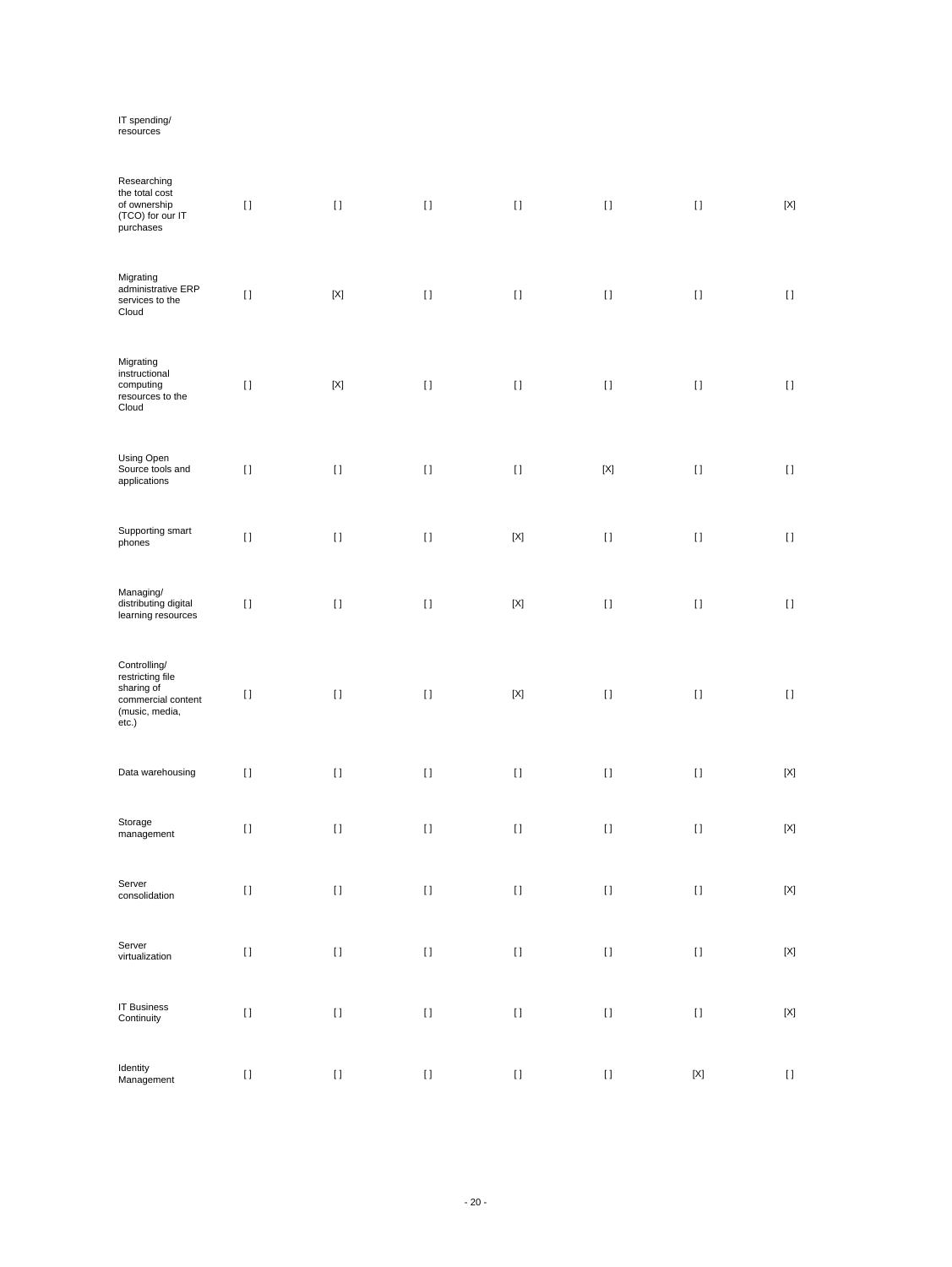# IT spending/ resources

| Researching<br>the total cost<br>of ownership<br>(TCO) for our IT<br>purchases                  | $[ \ ]$  | $\lceil$                               | $[ \ ]$  | $[ \ ]$                                | $[ \ ]$                                                                                                                                                                                                                                            | $[ \ ]$                                | $[{\sf X}]$                |
|-------------------------------------------------------------------------------------------------|----------|----------------------------------------|----------|----------------------------------------|----------------------------------------------------------------------------------------------------------------------------------------------------------------------------------------------------------------------------------------------------|----------------------------------------|----------------------------|
| Migrating<br>administrative ERP<br>services to the<br>Cloud                                     | $[ \ ]$  | $[{\sf X}]$                            | $[ \; ]$ | $[ \; ]$                               | $[ \; ]$                                                                                                                                                                                                                                           | $\begin{array}{c} \square \end{array}$ | $\left[ \ \right]$         |
| Migrating<br>instructional<br>computing<br>resources to the<br>Cloud                            | $[ \; ]$ | $[{\sf X}]$                            | $[ \; ]$ | $[ \; ]$                               | $[ \ ]$                                                                                                                                                                                                                                            | $[ \; ]$                               | $[ \ ]$                    |
| Using Open<br>Source tools and<br>applications                                                  | $[ \; ]$ | $[1]$                                  | $[ \; ]$ | $[ \; ]$                               | $[{\sf X}]$                                                                                                                                                                                                                                        | $[ \; ]$                               | $[ \ ]$                    |
| Supporting smart<br>phones                                                                      | $[ \ ]$  | $[ \ ]$                                | $[ \; ]$ | $\left[ \text{X} \right]$              | $[ \; ]$                                                                                                                                                                                                                                           | $[ \ ]$                                | $[ \; ]$                   |
| Managing/<br>distributing digital<br>learning resources                                         | $[ \; ]$ | $\lceil$                               | $[ \; ]$ | $[{\sf X}]$                            | $[ \; ]$                                                                                                                                                                                                                                           | $[ \; ]$                               | $\left[ \ \right]$         |
| Controlling/<br>restricting file<br>sharing of<br>commercial content<br>(music, media,<br>etc.) | $[ \ ]$  | $[ \; ]$                               | $[ \; ]$ | $[{\sf X}]$                            | $[ \; ]$                                                                                                                                                                                                                                           | $[ \ ]$                                | $[ \ ]$                    |
| Data warehousing                                                                                | $[ \ ]$  | $[ \; ]$                               | $[ \; ]$ | $[ \; ]$                               | $[ \ ]$                                                                                                                                                                                                                                            | $[ \ ]$                                | $[{\sf X}]$                |
| Storage<br>management                                                                           | $[ \; ]$ | $[ \; ]$                               | $[ \; ]$ | $[ \; ]$                               | $[ \; ]$                                                                                                                                                                                                                                           | $[ \ ]$                                | $[{\sf X}]$                |
| Server<br>consolidation                                                                         | $[ \ ]$  | $\begin{array}{c} \square \end{array}$ | $[ \ ]$  | $\begin{array}{c} \square \end{array}$ | $[ \, ]$                                                                                                                                                                                                                                           | $\begin{array}{c} \square \end{array}$ | $\left[ \mathrm{X}\right]$ |
| Server<br>virtualization                                                                        | $[ \ ]$  | $[ \: ]$                               | $[ \: ]$ | $[ \ ]$                                | $[] \centering \includegraphics[width=0.47\textwidth]{images/TrDiS-Architecture.png} \caption{The 3D (top) and 4D (bottom) are used for the 3D (bottom) and 3D (bottom) are used for the 3D (bottom) and 3D (bottom).} \label{TrDiS-Architecture}$ | $[ \: ]$                               | $\left[ \text{X} \right]$  |
| <b>IT Business</b><br>Continuity                                                                | $[ \ ]$  | $[ \: ]$                               | $[ \: ]$ | $[ \ ]$                                | $[] \centering \includegraphics[width=0.47\textwidth]{images/TrDiS-Architecture.png} \caption{The 3D (top) and 4D (bottom) are used for the 3D (bottom) and 3D (bottom) are used for the 3D (bottom) and 3D (bottom).} \label{TrDiS-Architecture}$ | $[ \ ]$                                | $\left[ \text{X} \right]$  |
| Identity<br>Management                                                                          | $[ \ ]$  | $[ \ ]$                                | $[ \: ]$ | $[ \ ]$                                | $[ \: ]$                                                                                                                                                                                                                                           | $[{\sf X}]$                            | $[ \ ]$                    |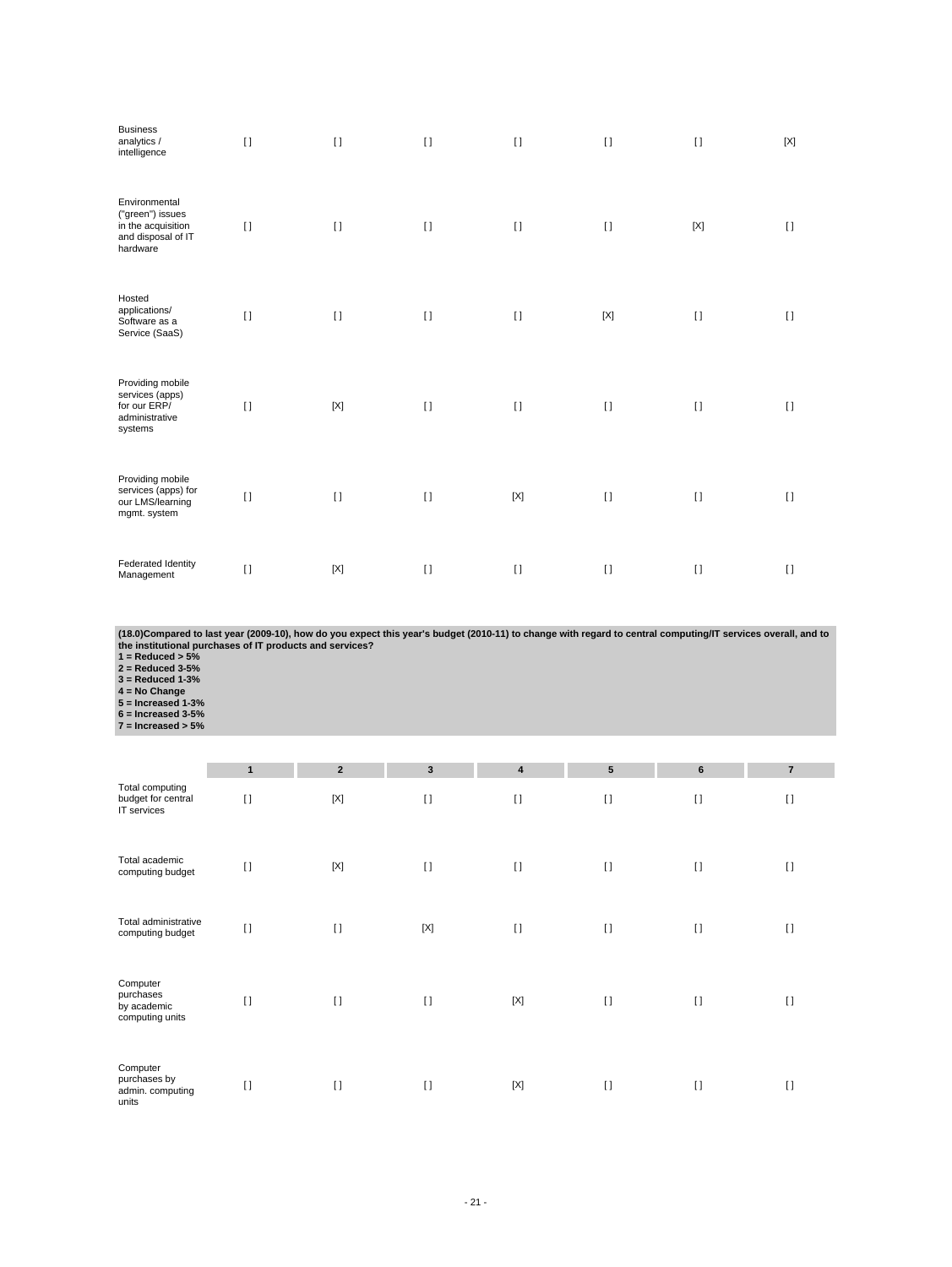| <b>Business</b><br>analytics /<br>intelligence                                            | $\lceil$     | $\lceil$                  | $\lceil$ | $\mathbf{I}$ | $\mathbf{I}$ | $[ \ ]$     | $[{\sf X}]$ |
|-------------------------------------------------------------------------------------------|--------------|---------------------------|----------|--------------|--------------|-------------|-------------|
| Environmental<br>("green") issues<br>in the acquisition<br>and disposal of IT<br>hardware | $\mathbf{I}$ | $[ \ ]$                   | $[ \ ]$  | $[ \ ]$      | $[ \ ]$      | $[{\sf X}]$ | $\lceil$    |
| Hosted<br>applications/<br>Software as a<br>Service (SaaS)                                | $\lceil$     | $[ \ ]$                   | $[ \ ]$  | $[ \ ]$      | $[{\sf X}]$  | $[ \ ]$     | $\lceil$    |
| Providing mobile<br>services (apps)<br>for our ERP/<br>administrative<br>systems          | $\Box$       | $\left[ \text{X} \right]$ | $\Box$   | $\lceil$     | $\Box$       | $[ \ ]$     | $\lceil$    |
| Providing mobile<br>services (apps) for<br>our LMS/learning<br>mgmt. system               | $\mathbf{I}$ | $\lceil$                  | $\lceil$ | $[{\sf X}]$  | $[ \ ]$      | $[ \ ]$     | $\lceil$    |
| <b>Federated Identity</b><br>Management                                                   | $[ \ ]$      | $[{\sf X}]$               | $\Box$   | $\mathbf{I}$ | $\Box$       | $[ \ ]$     | $\Box$      |

(18.0)Compared to last year (2009-10), how do you expect this year's budget (2010-11) to change with regard to central computing/IT services overall, and to<br>the institutional purchases of IT products and services?<br>1 = Redu

- 
- 
- 
- 

|                                                         | $\mathbf{1}$ | $\overline{2}$ | $\mathbf{3}$ | $\overline{\mathbf{4}}$ | 5        | $\bf 6$      | $\overline{7}$ |
|---------------------------------------------------------|--------------|----------------|--------------|-------------------------|----------|--------------|----------------|
| Total computing<br>budget for central<br>IT services    | $\lceil$     | $[{\sf X}]$    | $\lceil$     | $[ \ ]$                 | $\lceil$ | $[ \ ]$      | $\lceil$       |
| Total academic<br>computing budget                      | $\lceil$     | $[{\sf X}]$    | $\lceil$     | $[ \ ]$                 | $\lceil$ | $[ \ ]$      | $\lceil$       |
| Total administrative<br>computing budget                | $\lceil$     | $[ \ ]$        | $[{\sf X}]$  | $[ \ ]$                 | $\Box$   | $[ \ ]$      | $\lceil$       |
| Computer<br>purchases<br>by academic<br>computing units | $\Box$       | $\lceil$       | $\lceil$     | $[{\sf X}]$             | $\lceil$ | $\mathbf{I}$ | $\lceil$       |
| Computer<br>purchases by<br>admin. computing<br>units   | $\Box$       | $\lceil$       | $\lceil$     | $[{\sf X}]$             | $\lceil$ | $\lceil$     | $\lceil$       |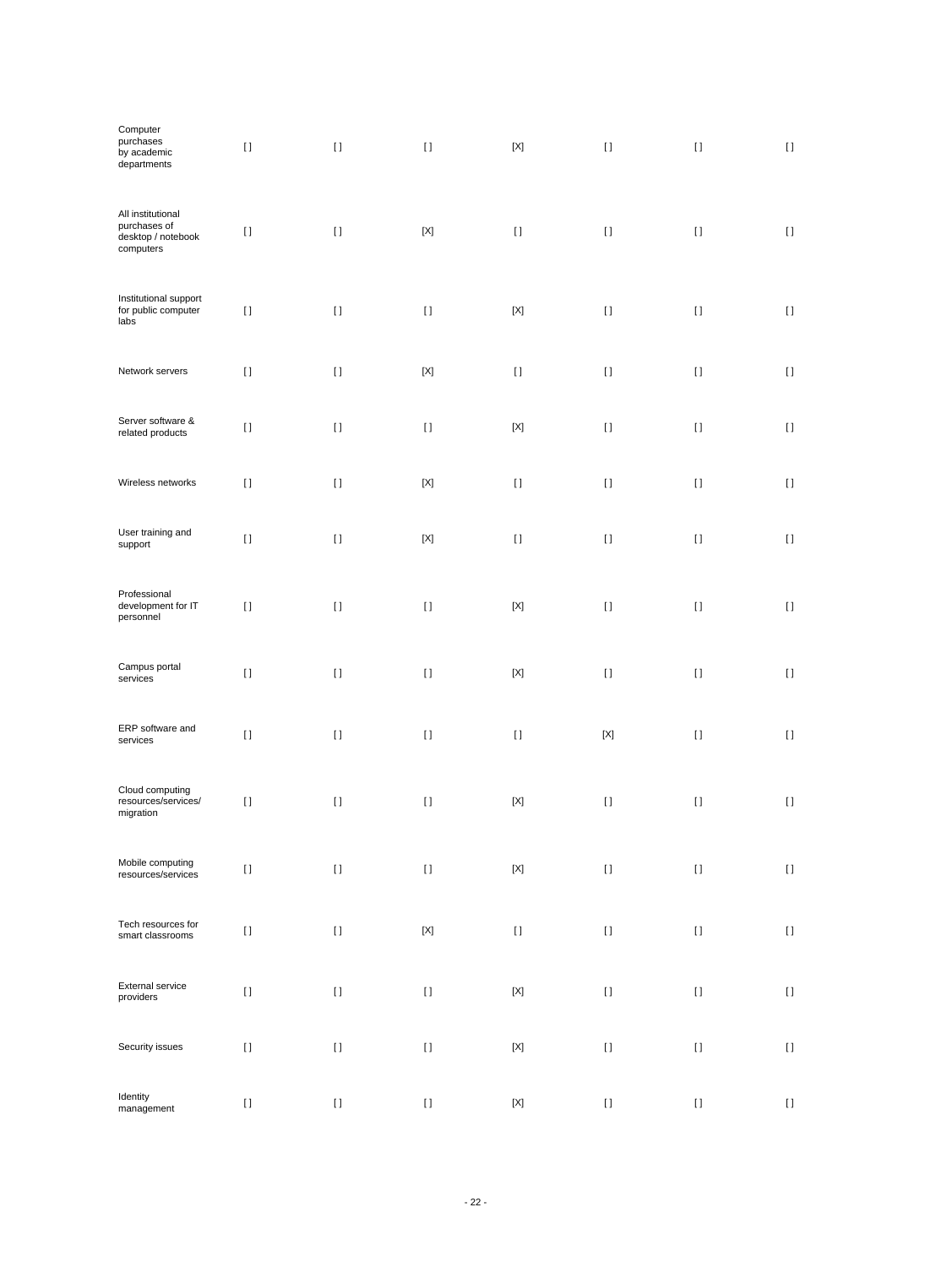| Computer<br>purchases<br>by academic<br>departments                  | $[ \ ]$  | $[ \ ]$  | $[ \ ]$                                | $[{\sf X}]$               | $[ \ ]$                                                                                                                                                                                                                                            | $[ \ ]$                                                                                                                                                                                               | $[ \; ]$ |
|----------------------------------------------------------------------|----------|----------|----------------------------------------|---------------------------|----------------------------------------------------------------------------------------------------------------------------------------------------------------------------------------------------------------------------------------------------|-------------------------------------------------------------------------------------------------------------------------------------------------------------------------------------------------------|----------|
| All institutional<br>purchases of<br>desktop / notebook<br>computers | $[ \ ]$  | $[ \; ]$ | $[{\sf X}]$                            | $[ \; ]$                  | $\begin{array}{c} \square \end{array}$                                                                                                                                                                                                             | $[ \; ]$                                                                                                                                                                                              | $[ \ ]$  |
| Institutional support<br>for public computer<br>labs                 | $[ \ ]$  | $\lceil$ | $[ \ ]$                                | $[{\sf X}]$               | $\begin{array}{c} \square \end{array}$                                                                                                                                                                                                             | $[ \ ]$                                                                                                                                                                                               | $[ \ ]$  |
| Network servers                                                      | $[ \; ]$ | $\lceil$ | $[{\sf X}]$                            | $[ \ ]$                   | $[ \ ]$                                                                                                                                                                                                                                            | $[ \ ]$                                                                                                                                                                                               | $[ \; ]$ |
| Server software &<br>related products                                | $[ \ ]$  | $\lceil$ | $[ \ ]$                                | $[{\sf X}]$               | $\begin{array}{c} \square \end{array}$                                                                                                                                                                                                             | $[ \ ]$                                                                                                                                                                                               | $[ \ ]$  |
| Wireless networks                                                    | $[ \ ]$  | $\lceil$ | $[{\sf X}]$                            | $[ \ ]$                   | H.                                                                                                                                                                                                                                                 | $[ \ ]$                                                                                                                                                                                               | $[ \ ]$  |
| User training and<br>support                                         | $[ \ ]$  | $[ \; ]$ | $[{\sf X}]$                            | $[ \; ]$                  | $[ \ ]$                                                                                                                                                                                                                                            | $[ \; ]$                                                                                                                                                                                              | $[ \ ]$  |
| Professional<br>development for IT<br>personnel                      | $[ \; ]$ | $\lceil$ | $[ \ ]$                                | $[{\sf X}]$               | $[ \ ]$                                                                                                                                                                                                                                            | $[ \; ]$                                                                                                                                                                                              | $[ \ ]$  |
| Campus portal<br>services                                            | $[ \ ]$  | $[ \; ]$ | $[ \ ]$                                | $[{\sf X}]$               | $[ \ ]$                                                                                                                                                                                                                                            | $[ \; ]$                                                                                                                                                                                              | $[ \ ]$  |
| ERP software and<br>services                                         | $\lceil$ | $[ \ ]$  | $[ \ ]$                                | $[ \ ]$                   | $[{\sf X}]$                                                                                                                                                                                                                                        | $[ \ ]$                                                                                                                                                                                               | $[ \ ]$  |
| Cloud computing<br>resources/services/<br>migration                  | H        | $\lceil$ | H                                      | $[{\sf X}]$               | H.                                                                                                                                                                                                                                                 | $[ \ ]$                                                                                                                                                                                               | $[ \ ]$  |
| Mobile computing<br>resources/services                               | $[ \; ]$ | $[ \ ]$  | $\begin{array}{c} \square \end{array}$ | $\left[ \text{X} \right]$ | $[ \ ]$                                                                                                                                                                                                                                            | $[ \; ]$                                                                                                                                                                                              | $[ \; ]$ |
| Tech resources for<br>smart classrooms                               | $[ \; ]$ | $[ \ ]$  | $[{\sf X}]$                            | $[ \; ]$                  | $[ \: ]$                                                                                                                                                                                                                                           | $[ \ ]$                                                                                                                                                                                               | $[ \ ]$  |
| <b>External service</b><br>providers                                 | $[ \ ]$  | $[ \ ]$  | $[ \; ]$                               | $\left[ \text{X} \right]$ | $[] \centering \includegraphics[width=0.47\textwidth]{images/TrDiS-Architecture.png} \caption{The 3D (top) and 4D (bottom) are used for the 3D (bottom) and 3D (bottom) are used for the 3D (bottom) and 3D (bottom).} \label{TrDiS-Architecture}$ | $[ \: ]$                                                                                                                                                                                              | $[ \: ]$ |
| Security issues                                                      | $[ \ ]$  | $[ \ ]$  | $[ \; ]$                               | $[{\sf X}]$               | $[] \centering \includegraphics[width=0.47\textwidth]{images/TrDiS-Architecture.png} \caption{The 3D (top) and 4D (bottom) are used for the 3D (bottom) and 3D (bottom) are used for the 3D (bottom) and 3D (bottom).} \label{TrDiS-Architecture}$ | $[ \: ]$                                                                                                                                                                                              | $[ \: ]$ |
| Identity<br>management                                               | $[ \: ]$ | $[ \ ]$  | $[ \: ]$                               | $\left[ \text{X} \right]$ | $[ \ ]$                                                                                                                                                                                                                                            | $[] \centering \includegraphics[width=0.47\textwidth]{images/TrDiS-Architecture.png} \caption{The 3D (top) and 4D (bottom) are used for the 3D (bottom) and 3D (bottom).} \label{TrDiS-Architecture}$ | $[ \; ]$ |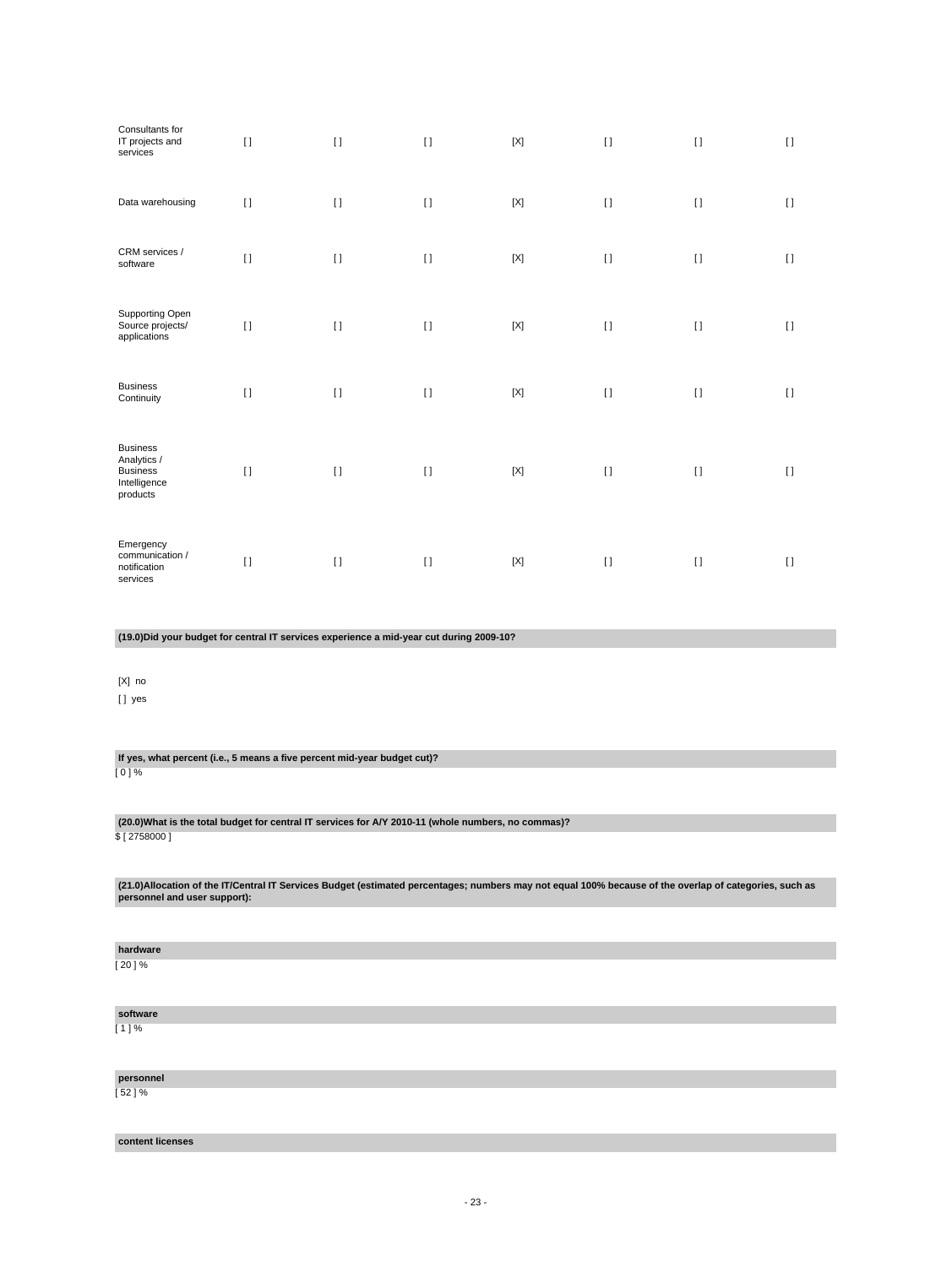| Consultants for<br>IT projects and<br>services                                | $[ \ ]$  | $\mathbf{I}$ | $\lceil$ | $[{\sf X}]$ | $[ \ ]$ | $[ \ ]$ | $[ \ ]$ |
|-------------------------------------------------------------------------------|----------|--------------|----------|-------------|---------|---------|---------|
| Data warehousing                                                              | $\lceil$ | $\mathbf{I}$ | $\lceil$ | $[{\sf X}]$ | $[ \ ]$ | $[ \ ]$ | $[ \ ]$ |
| CRM services /<br>software                                                    | $[ \; ]$ | $\mathbf{I}$ | $[ \; ]$ | $[{\sf X}]$ | $[ \ ]$ | $[ \ ]$ | $\Box$  |
| Supporting Open<br>Source projects/<br>applications                           | $\lceil$ | $\mathbf{I}$ | $[ \ ]$  | $[{\sf X}]$ | $[ \ ]$ | $[ \ ]$ | $\Box$  |
| <b>Business</b><br>Continuity                                                 | $[ \; ]$ | $[ \; ]$     | $[ \; ]$ | $[{\sf X}]$ | $[ \ ]$ | $[ \ ]$ | $[ \ ]$ |
| <b>Business</b><br>Analytics /<br><b>Business</b><br>Intelligence<br>products | $\lceil$ | $\mathbf{I}$ | $[ \ ]$  | $[{\sf X}]$ | $[ \ ]$ | $[ \ ]$ | $\Box$  |
| Emergency<br>communication /<br>notification<br>services                      | $\lceil$ | $\mathbf{I}$ | $\lceil$ | $[{\sf X}]$ | $[ \ ]$ | $[ \ ]$ | $[ \ ]$ |

# **(19.0)Did your budget for central IT services experience a mid-year cut during 2009-10?**

[X] no

[ ] yes

#### **If yes, what percent (i.e., 5 means a five percent mid-year budget cut)?** [ 0 ] %

**(20.0)What is the total budget for central IT services for A/Y 2010-11 (whole numbers, no commas)?** \$ [ 2758000 ]

**(21.0)Allocation of the IT/Central IT Services Budget (estimated percentages; numbers may not equal 100% because of the overlap of categories, such as personnel and user support):**

# **hardware**

[ 20 ] %

# **software**

[ 1 ] %

#### **personnel**

[ 52 ] %

# **content licenses**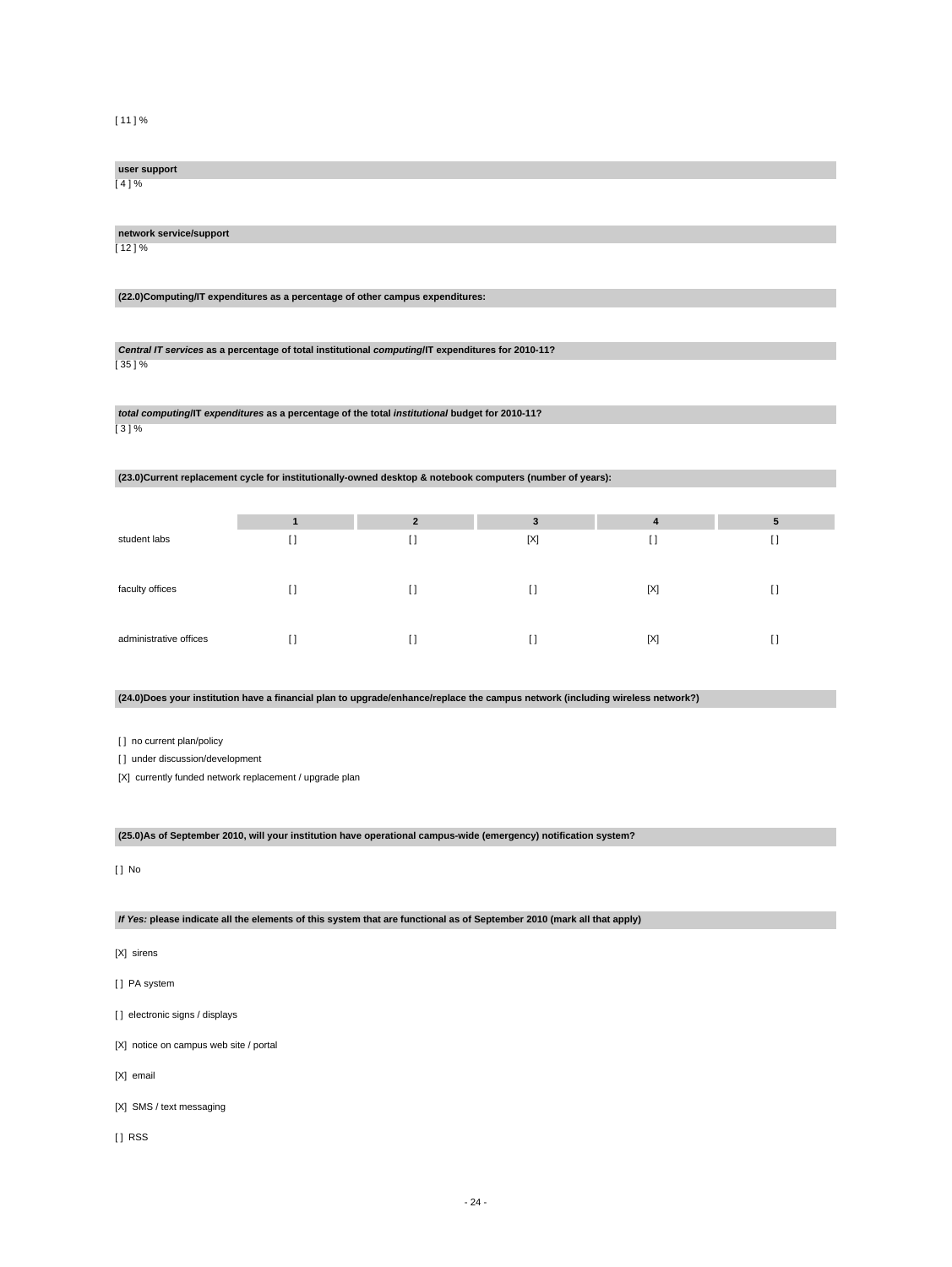### [ 11 ] %

# **user support**

[ 4 ] %

### **network service/support**

[ 12 ] %

# **(22.0)Computing/IT expenditures as a percentage of other campus expenditures:**

# **Central IT services as a percentage of total institutional computing/IT expenditures for 2010-11?** [ 35 ] %

**total computing/IT expenditures as a percentage of the total institutional budget for 2010-11?** [ 3 ] %

# **(23.0)Current replacement cycle for institutionally-owned desktop & notebook computers (number of years):**

|                        |     | $\overline{2}$ | 3   | 4   | 5 |
|------------------------|-----|----------------|-----|-----|---|
| student labs           | I1  | $\mathsf{F}$   | [X] |     |   |
|                        |     |                |     |     |   |
| faculty offices        |     |                |     | [X] |   |
|                        |     |                |     |     |   |
| administrative offices | I l |                |     | [X] |   |

#### **(24.0)Does your institution have a financial plan to upgrade/enhance/replace the campus network (including wireless network?)**

[ ] no current plan/policy

[] under discussion/development

[X] currently funded network replacement / upgrade plan

# **(25.0)As of September 2010, will your institution have operational campus-wide (emergency) notification system?**

[ ] No

# **If Yes: please indicate all the elements of this system that are functional as of September 2010 (mark all that apply)**

- [X] sirens
- [ ] PA system
- [] electronic signs / displays
- [X] notice on campus web site / portal
- [X] email
- [X] SMS / text messaging
- [ ] RSS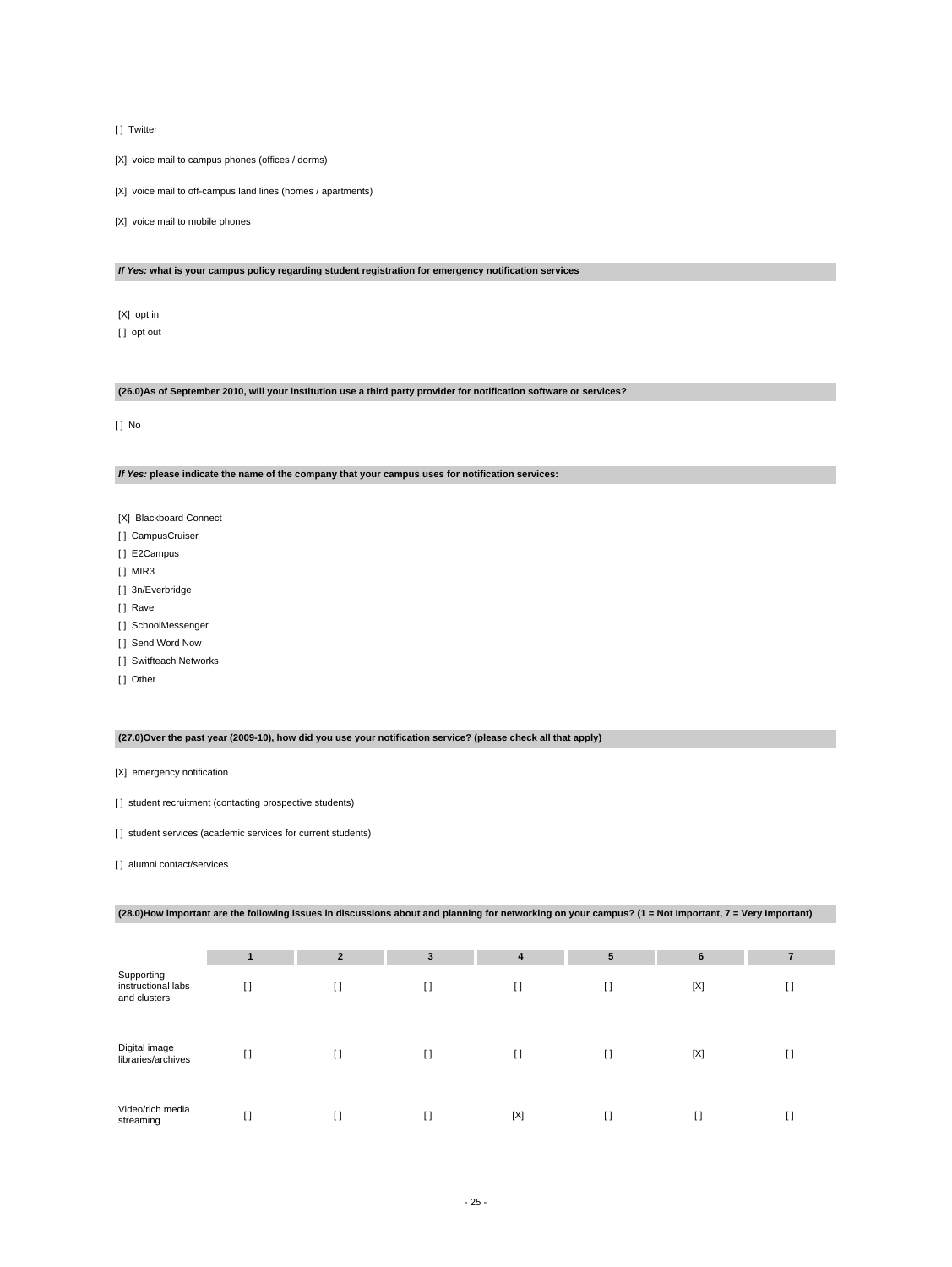[ ] Twitter

[X] voice mail to campus phones (offices / dorms)

[X] voice mail to off-campus land lines (homes / apartments)

[X] voice mail to mobile phones

# **If Yes: what is your campus policy regarding student registration for emergency notification services**

[X] opt in

[ ] opt out

# **(26.0)As of September 2010, will your institution use a third party provider for notification software or services?**

[ ] No

# **If Yes: please indicate the name of the company that your campus uses for notification services:**

- [X] Blackboard Connect
- [ ] CampusCruiser
- [ ] E2Campus
- [ ] MIR3
- [] 3n/Everbridge
- [] Rave
- [] SchoolMessenger
- [ ] Send Word Now
- [ ] Switfteach Networks
- [] Other

# **(27.0)Over the past year (2009-10), how did you use your notification service? (please check all that apply)**

[X] emergency notification

- [] student recruitment (contacting prospective students)
- [] student services (academic services for current students)
- [ ] alumni contact/services

# **(28.0)How important are the following issues in discussions about and planning for networking on your campus? (1 = Not Important, 7 = Very Important)**

|                                                  |         | $\overline{2}$ | $\mathbf{3}$ | 4              | 5      | 6           | 7  |
|--------------------------------------------------|---------|----------------|--------------|----------------|--------|-------------|----|
| Supporting<br>instructional labs<br>and clusters | $\Box$  | $\Box$         | $\Box$       | $\mathfrak{g}$ | $\Box$ | $[{\sf X}]$ | U  |
| Digital image<br>libraries/archives              | $[ \ ]$ | $\mathbf{I}$   | $[ \ ]$      | I)             | $\Box$ | $[{\sf X}]$ | U  |
| Video/rich media<br>streaming                    | I)      | I l            | $\Box$       | [X]            | I)     | I)          | I) |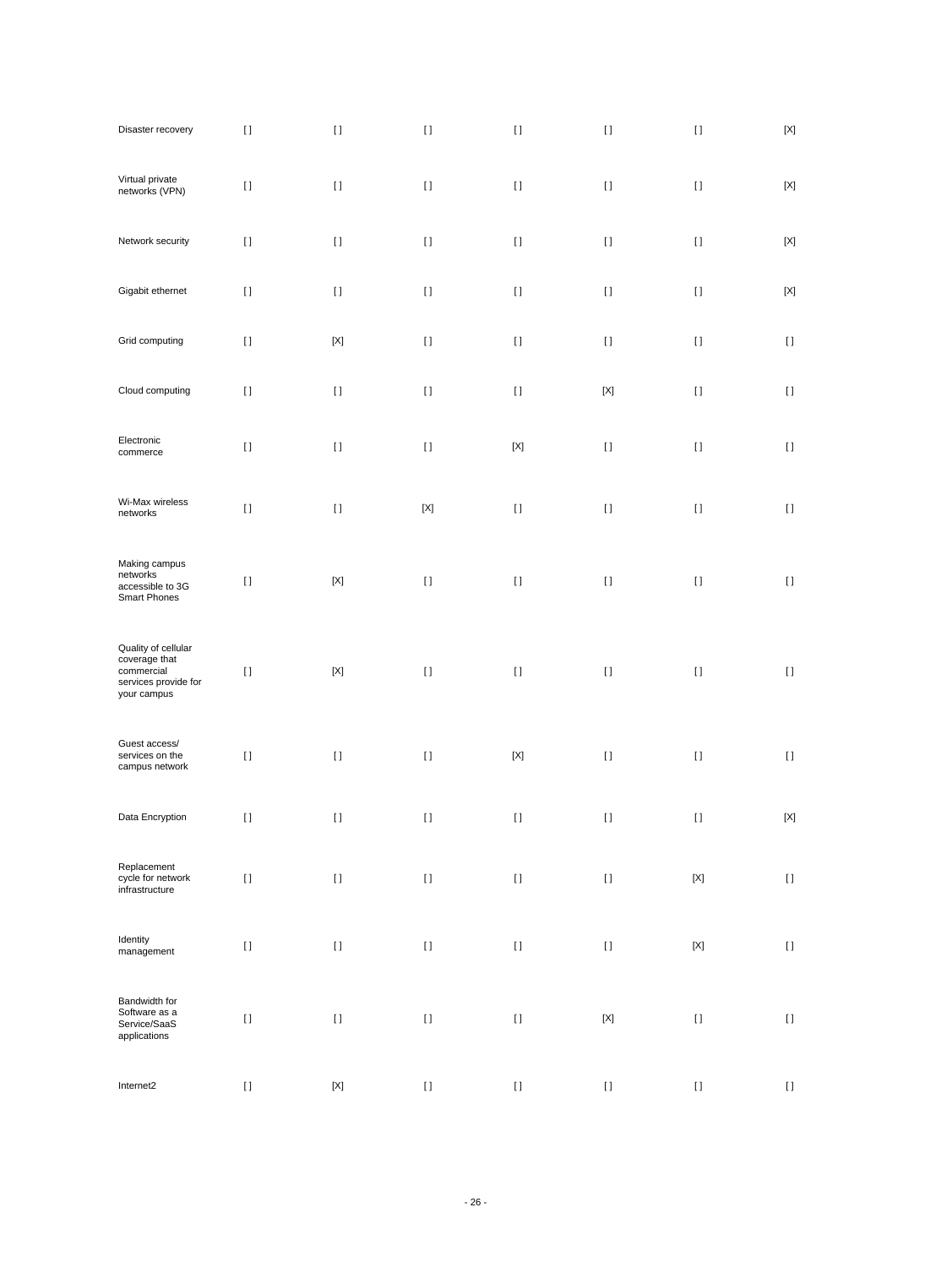| Disaster recovery                                                                         | $[ \ ]$  | $[ \ ]$     | $[ \ ]$                                | $[ \ ]$            | $[ \; ]$                                                                                                                                                                                                                                           | $[ \; ]$                                                                                                                                                                                              | $\left[ \text{X} \right]$ |
|-------------------------------------------------------------------------------------------|----------|-------------|----------------------------------------|--------------------|----------------------------------------------------------------------------------------------------------------------------------------------------------------------------------------------------------------------------------------------------|-------------------------------------------------------------------------------------------------------------------------------------------------------------------------------------------------------|---------------------------|
| Virtual private<br>networks (VPN)                                                         | $[ \ ]$  | $\lceil$    | H                                      | $[ \ ]$            | H.                                                                                                                                                                                                                                                 | $[ \ ]$                                                                                                                                                                                               | $[{\sf X}]$               |
| Network security                                                                          | $[ \ ]$  | $\lceil$    | $[ \ ]$                                | $[ \ ]$            | $[ \ ]$                                                                                                                                                                                                                                            | $[ \ ]$                                                                                                                                                                                               | $[{\sf X}]$               |
| Gigabit ethernet                                                                          | $[ \ ]$  | $\lceil$    | $[ \ ]$                                | $[ \ ]$            | $[ \ ]$                                                                                                                                                                                                                                            | $[ \ ]$                                                                                                                                                                                               | $\left[ \text{X} \right]$ |
| Grid computing                                                                            | $[ \; ]$ | $[{\sf X}]$ | $[ \ ]$                                | $[ \; ]$           | H.                                                                                                                                                                                                                                                 | $[ \ ]$                                                                                                                                                                                               | $[ \ ]$                   |
| Cloud computing                                                                           | $[ \ ]$  | $[ \ ]$     | $[ \ ]$                                | $[ \; ]$           | $[{\sf X}]$                                                                                                                                                                                                                                        | $[ \ ]$                                                                                                                                                                                               | $[ \; ]$                  |
| Electronic<br>commerce                                                                    | $[ \; ]$ | $[ \ ]$     | $[ \; ]$                               | $[{\sf X}]$        | $[ \; ]$                                                                                                                                                                                                                                           | $[ \ ]$                                                                                                                                                                                               | $[ \ ]$                   |
| Wi-Max wireless<br>networks                                                               | $[ \; ]$ | $[ \ ]$     | $[{\sf X}]$                            | $[ \; ]$           | $[ \ ]$                                                                                                                                                                                                                                            | $[ \ ]$                                                                                                                                                                                               | $[ \; ]$                  |
| Making campus<br>networks<br>accessible to 3G<br><b>Smart Phones</b>                      | $[ \; ]$ | $[{\sf X}]$ | $[ \; ]$                               | $[ \; ]$           | $[ \; ]$                                                                                                                                                                                                                                           | $[ \ ]$                                                                                                                                                                                               | $[ \; ]$                  |
| Quality of cellular<br>coverage that<br>commercial<br>services provide for<br>your campus | $[ \; ]$ | $[{\sf X}]$ | $\begin{array}{c} \square \end{array}$ | $\left[ \ \right]$ | $\rm \scriptstyle II$                                                                                                                                                                                                                              | $[ \; ]$                                                                                                                                                                                              | $[ \ ]$                   |
| Guest access/<br>services on the<br>campus network                                        | $[ \ ]$  | $[ \ ]$     | $[ \; ]$                               | $[{\sf X}]$        | $[ \; ]$                                                                                                                                                                                                                                           | $[ \; ]$                                                                                                                                                                                              | $[ \; ]$                  |
| Data Encryption                                                                           | $[ \; ]$ | $[ \; ]$    | $[ \; ]$                               | $[ \ ]$            | $[ \; ]$                                                                                                                                                                                                                                           | $[ \; ]$                                                                                                                                                                                              | $\left[ \text{X} \right]$ |
| Replacement<br>cycle for network<br>infrastructure                                        | $[ \ ]$  | $[ \: ]$    | $[ \: ]$                               | $[ \: ]$           | $[ \; ]$                                                                                                                                                                                                                                           | $\left[ \text{X} \right]$                                                                                                                                                                             | $[ \: ]$                  |
| Identity<br>management                                                                    | $[ \ ]$  | $[ \ ]$     | $[ \; ]$                               | $[ \: ]$           | $[] \centering \includegraphics[width=0.47\textwidth]{images/TrDiS-Architecture.png} \caption{The 3D (top) and 4D (bottom) are used for the 3D (bottom) and 3D (bottom) are used for the 3D (bottom) and 3D (bottom).} \label{TrDiS-Architecture}$ | $\left[ \text{X} \right]$                                                                                                                                                                             | $[ \: ]$                  |
| Bandwidth for<br>Software as a<br>Service/SaaS<br>applications                            | $[ \ ]$  | $[ \ ]$     | $[ \; ]$                               | $\left[ \ \right]$ | $[{\sf X}]$                                                                                                                                                                                                                                        | $[] \centering \includegraphics[width=0.47\textwidth]{images/TrDiS-Architecture.png} \caption{The 3D (top) and 4D (bottom) are used for the 3D (bottom) and 3D (bottom).} \label{TrDiS-Architecture}$ | $[ \; ]$                  |
| Internet2                                                                                 | $[ \ ]$  | $[{\sf X}]$ | $[ \: ]$                               | $[ \: ]$           | $[ \ ]$                                                                                                                                                                                                                                            | $[] \centering \includegraphics[width=0.47\textwidth]{images/TrDiS-Architecture.png} \caption{The 3D (top) and 4D (bottom) are used for the 3D (bottom) and 3D (bottom).} \label{TrDiS-Architecture}$ | $[ \: ]$                  |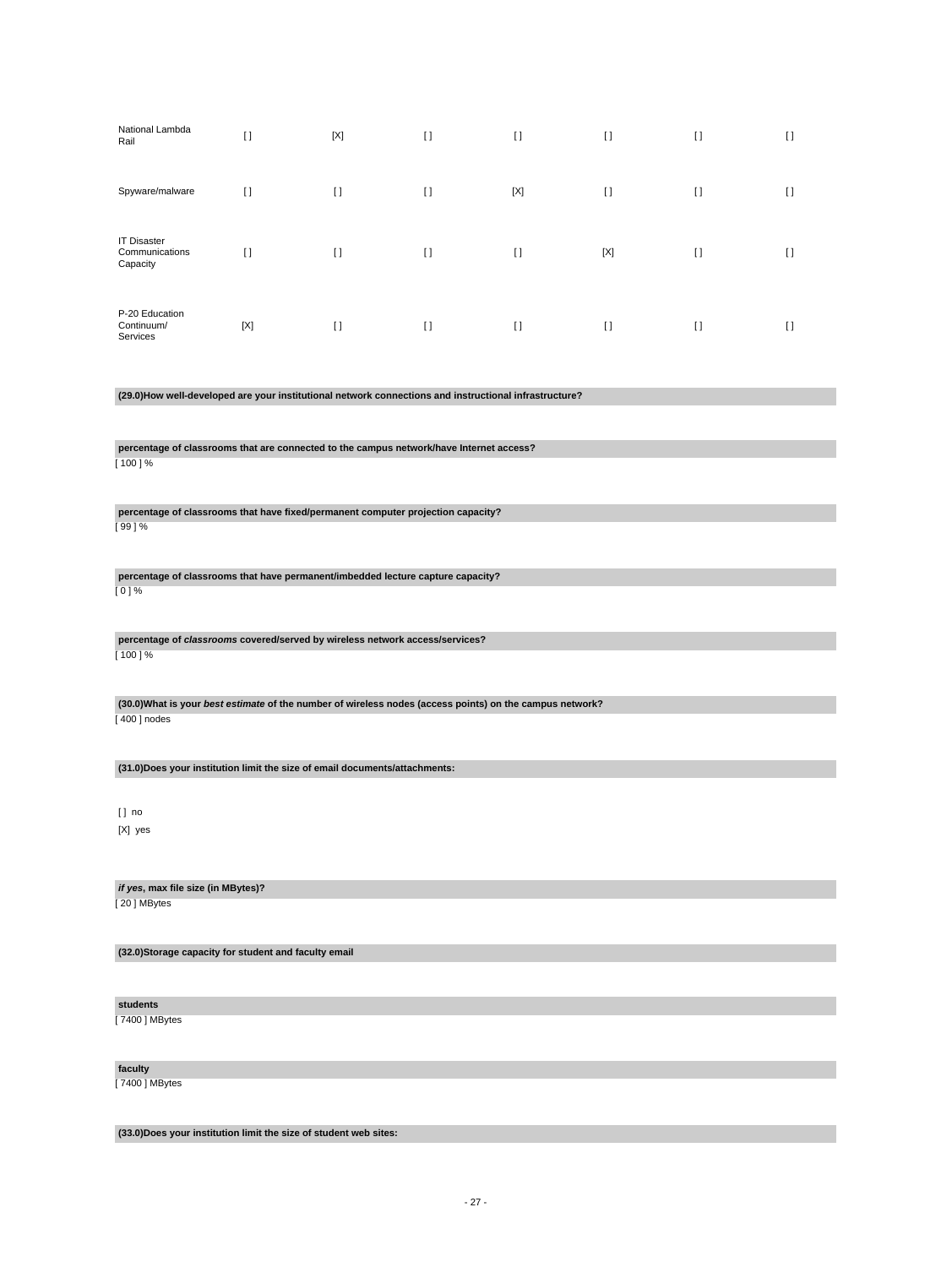| National Lambda<br>Rail                                                                                  | I)      | [X]      | $[ \ ]$ | $[ \ ]$ | H           | $[ \ ]$ | $[ \ ]$ |
|----------------------------------------------------------------------------------------------------------|---------|----------|---------|---------|-------------|---------|---------|
| Spyware/malware                                                                                          | H       | H        | $[ \ ]$ | [X]     | $[ \ ]$     | H       | $\Box$  |
| <b>IT Disaster</b><br>Communications<br>Capacity                                                         | $[ \ ]$ | $\lceil$ | $[ \ ]$ | $[ \ ]$ | $[{\sf X}]$ | H       | $[ \ ]$ |
| P-20 Education<br>Continuum/<br>Services                                                                 | [X]     | H        | $[ \ ]$ | H       | H           | H       | H       |
| (29.0) How well-developed are your institutional network connections and instructional infrastructure?   |         |          |         |         |             |         |         |
|                                                                                                          |         |          |         |         |             |         |         |
| percentage of classrooms that are connected to the campus network/have Internet access?<br>$[100]$ %     |         |          |         |         |             |         |         |
|                                                                                                          |         |          |         |         |             |         |         |
| percentage of classrooms that have fixed/permanent computer projection capacity?<br>[99]%                |         |          |         |         |             |         |         |
| percentage of classrooms that have permanent/imbedded lecture capture capacity?<br>$[0]$ %               |         |          |         |         |             |         |         |
|                                                                                                          |         |          |         |         |             |         |         |
| percentage of classrooms covered/served by wireless network access/services?<br>$[100]$ %                |         |          |         |         |             |         |         |
| (30.0) What is your best estimate of the number of wireless nodes (access points) on the campus network? |         |          |         |         |             |         |         |
| [400] nodes                                                                                              |         |          |         |         |             |         |         |
| (31.0) Does your institution limit the size of email documents/attachments:                              |         |          |         |         |             |         |         |
|                                                                                                          |         |          |         |         |             |         |         |
| [] no<br>[X] yes                                                                                         |         |          |         |         |             |         |         |
|                                                                                                          |         |          |         |         |             |         |         |
| if yes, max file size (in MBytes)?<br>[20] MBytes                                                        |         |          |         |         |             |         |         |
|                                                                                                          |         |          |         |         |             |         |         |
| (32.0) Storage capacity for student and faculty email                                                    |         |          |         |         |             |         |         |
| students                                                                                                 |         |          |         |         |             |         |         |
| [7400] MBytes                                                                                            |         |          |         |         |             |         |         |

**faculty**

[ 7400 ] MBytes

**(33.0)Does your institution limit the size of student web sites:**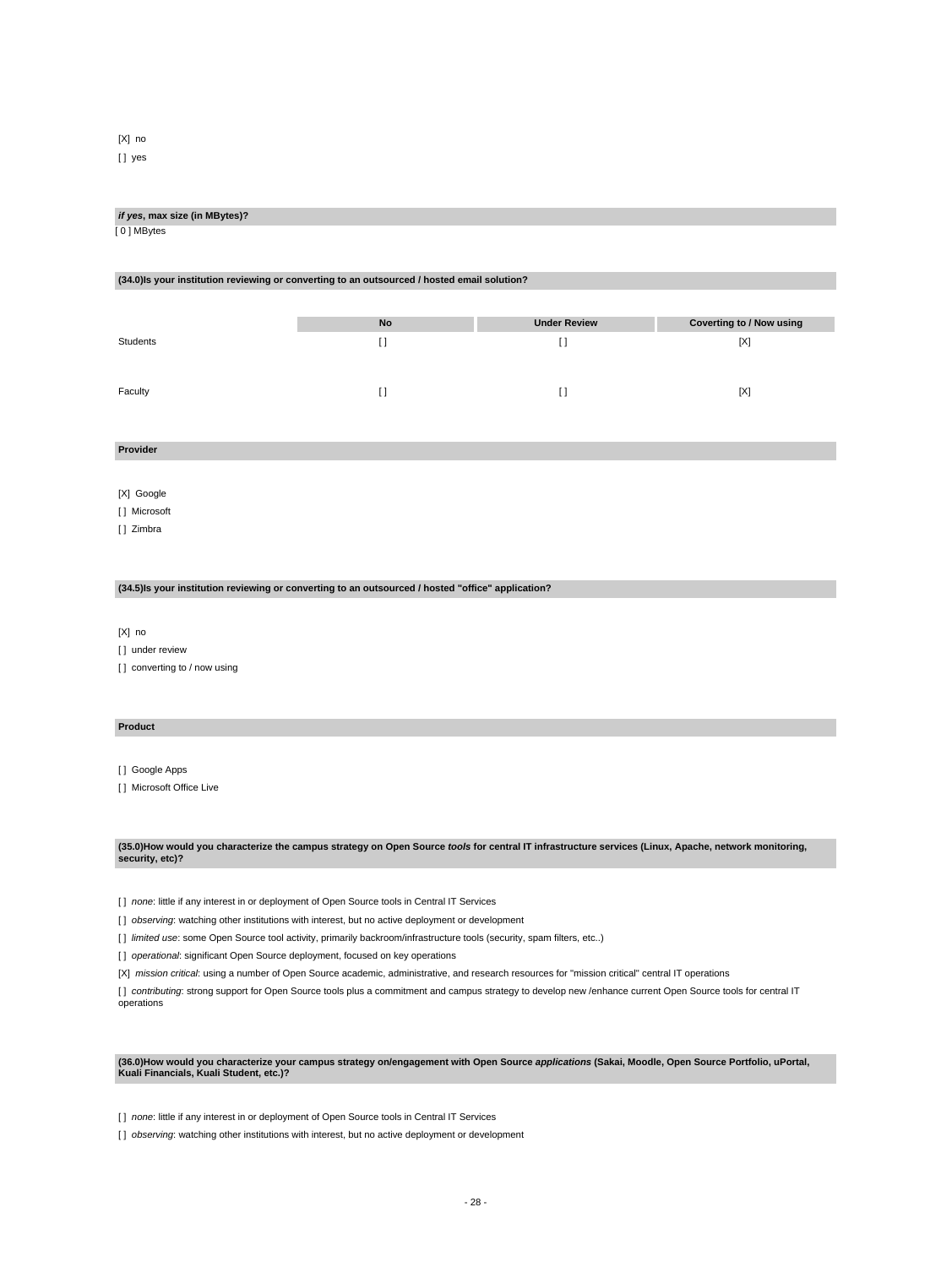[X] no [] yes

#### **if yes, max size (in MBytes)?**

[ 0 ] MBytes

#### **(34.0)Is your institution reviewing or converting to an outsourced / hosted email solution?**

|          | No | <b>Under Review</b> | <b>Coverting to / Now using</b> |
|----------|----|---------------------|---------------------------------|
| Students |    |                     | [X]                             |
| Faculty  |    |                     | [X]                             |

**Provider**

#### [X] Google

[ ] Microsoft

[ ] Zimbra

#### **(34.5)Is your institution reviewing or converting to an outsourced / hosted "office" application?**

[X] no

[ ] under review

[] converting to / now using

#### **Product**

[ ] Google Apps

[ ] Microsoft Office Live

**(35.0)How would you characterize the campus strategy on Open Source tools for central IT infrastructure services (Linux, Apache, network monitoring, security, etc)?**

[ ] none: little if any interest in or deployment of Open Source tools in Central IT Services

[ ] observing: watching other institutions with interest, but no active deployment or development

[ ] limited use: some Open Source tool activity, primarily backroom/infrastructure tools (security, spam filters, etc..)

[1] operational: significant Open Source deployment, focused on key operations

[X] mission critical: using a number of Open Source academic, administrative, and research resources for "mission critical" central IT operations

[] contributing: strong support for Open Source tools plus a commitment and campus strategy to develop new /enhance current Open Source tools for central IT operations

**(36.0)How would you characterize your campus strategy on/engagement with Open Source applications (Sakai, Moodle, Open Source Portfolio, uPortal, Kuali Financials, Kuali Student, etc.)?**

[ ] none: little if any interest in or deployment of Open Source tools in Central IT Services

[ ] observing: watching other institutions with interest, but no active deployment or development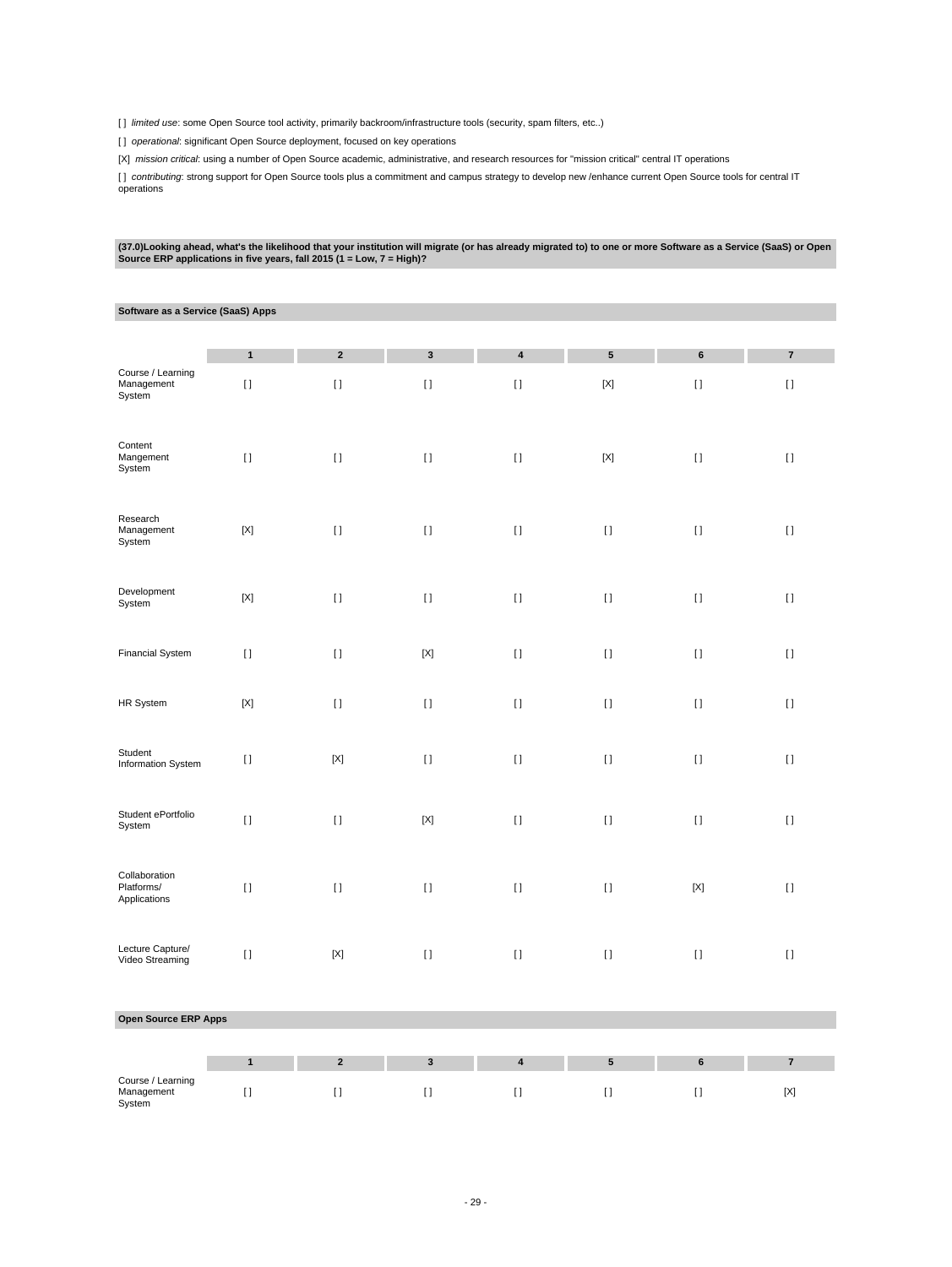[ ] limited use: some Open Source tool activity, primarily backroom/infrastructure tools (security, spam filters, etc..)

[] operational: significant Open Source deployment, focused on key operations

[X] mission critical: using a number of Open Source academic, administrative, and research resources for "mission critical" central IT operations

[] contributing: strong support for Open Source tools plus a commitment and campus strategy to develop new /enhance current Open Source tools for central IT operations

# (37.0)Looking ahead, what's the likelihood that your institution will migrate (or has already migrated to) to one or more Software as a Service (SaaS) or Open<br>Source ERP applications in five years, fall 2015 (1 = Low, 7 =

| Software as a Service (SaaS) Apps           |              |              |                |                |              |             |                          |
|---------------------------------------------|--------------|--------------|----------------|----------------|--------------|-------------|--------------------------|
|                                             |              |              |                |                |              |             |                          |
|                                             | $\mathbf{1}$ | $\mathbf 2$  | $\mathbf 3$    | 4              | ${\bf 5}$    | 6           | $\bf 7$                  |
| Course / Learning<br>Management<br>System   | $[ \ ]$      | $[ \ ]$      | $[ \; ]$       | []             | $[{\sf X}]$  | $[ \; ]$    | $[ \ ]$                  |
| Content<br>Mangement<br>System              | $[ \ ]$      | $[ \ ]$      | $[ \ ]$        | $[ \ ]$        | $[{\sf X}]$  | $[ \; ]$    | $[ \ ]$                  |
| Research<br>Management<br>System            | $[{\sf X}]$  | H            | $\mathfrak{g}$ | $\mathbf{I}$   | $[ \ ]$      | $[ \ ]$     | $[ \ ]$                  |
| Development<br>System                       | $[{\sf X}]$  | $[ \; ]$     | $[ \ ]$        | $[ \: ]$       | $[ \ ]$      | $[ \; ]$    | $[ \ ]$                  |
| <b>Financial System</b>                     | $[ \ ]$      | H            | $[{\sf X}]$    | $\mathfrak{g}$ | $[ \ ]$      | $[ \ ]$     | $[ \ ]$                  |
| HR System                                   | $[{\sf X}]$  | $[ \ ]$      | $\lceil$       | $[ \ ]$        | $\mathbf{I}$ | $[ \ ]$     | $[ \ ]$                  |
| Student<br>Information System               | $[ \ ]$      | $[{\sf X}]$  | $\mathfrak{g}$ | H              | $[ \ ]$      | $[ \ ]$     | $[ \ ]$                  |
| Student ePortfolio<br>System                | $[ \ ]$      | $[ \ ]$      | $[{\sf X}]$    | $[ \ ]$        | $[ \ ]$      | $[ \ ]$     | $\lceil$                 |
| Collaboration<br>Platforms/<br>Applications | $[ \ ]$      | $\mathbf{I}$ | $[ \ ]$        | $[ \ ]$        | $[ \ ]$      | $[{\sf X}]$ | $\lceil$                 |
| Lecture Capture/<br>Video Streaming         | $[ \; ]$     | $[{\sf X}]$  | $[ \; ]$       | $[ \: ]$       | $[ \ ]$      | $[ \; ]$    | $[ \ ]$                  |
| <b>Open Source ERP Apps</b>                 |              |              |                |                |              |             |                          |
|                                             |              |              |                |                |              |             |                          |
|                                             | $\mathbf{1}$ | $\mathbf 2$  | $\mathbf 3$    | 4              | ${\bf 5}$    | $\bf 6$     | $\overline{\phantom{a}}$ |
| Course / Learning<br>Management<br>System   | $[ \ ]$      | $[ \; ]$     | $[ \; ]$       | $[ \ ]$        | $[ \ ]$      | $[ \ ]$     | $[{\sf X}]$              |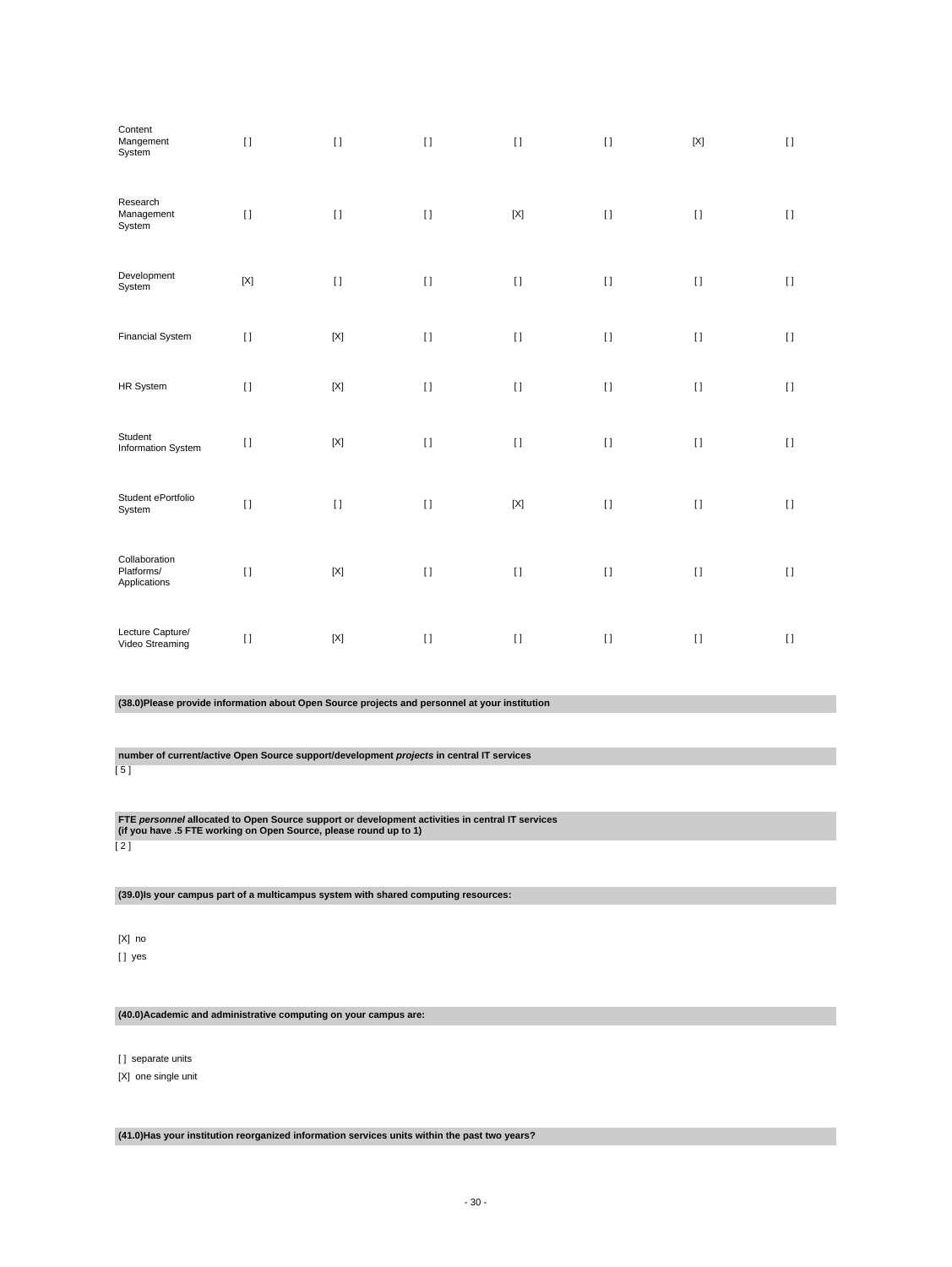| Content<br>Mangement<br>System                                                                                                                                       | $[ \; ]$    | $\mathbf{I}$ | $[ \ ]$  | $[ \; ]$ | $\mathbf{I}$ | $[{\sf X}]$ | $[ \; ]$ |  |  |
|----------------------------------------------------------------------------------------------------------------------------------------------------------------------|-------------|--------------|----------|----------|--------------|-------------|----------|--|--|
| Research<br>Management<br>System                                                                                                                                     | $[ \ ]$     | $\mathbf{I}$ | $[ \ ]$  | [X]      | $[ \; ]$     | $[ \ ]$     | $[ \ ]$  |  |  |
| Development<br>System                                                                                                                                                | $[{\sf X}]$ | $\mathbf{I}$ | $[ \ ]$  | $[ \ ]$  | $[ \ ]$      | $[ \ ]$     | $[ \ ]$  |  |  |
| <b>Financial System</b>                                                                                                                                              | $[ \ ]$     | [X]          | $[ \ ]$  | H        | H            | H           | H        |  |  |
| HR System                                                                                                                                                            | $[ \ ]$     | $[{\sf X}]$  | $[ \ ]$  | $[ \ ]$  | $[ \ ]$      | $[ \ ]$     | $[ \ ]$  |  |  |
| Student<br>Information System                                                                                                                                        | $[ \ ]$     | $[{\sf X}]$  | $\lceil$ | $\Box$   | $\mathbf{I}$ | $[ \ ]$     | $\Box$   |  |  |
| Student ePortfolio<br>System                                                                                                                                         | $[ \ ]$     | $\mathbf{I}$ | $[ \ ]$  | [X]      | $[ \ ]$      | $[ \ ]$     | $[ \ ]$  |  |  |
| Collaboration<br>Platforms/<br>Applications                                                                                                                          | $[ \ ]$     | [X]          | $[ \ ]$  | $[ \ ]$  | $\mathbf{I}$ | $[ \ ]$     | $[ \ ]$  |  |  |
| Lecture Capture/<br>Video Streaming                                                                                                                                  | $[ \ ]$     | $[{\sf X}]$  | $\lceil$ | $[ \ ]$  | $\mathbf{I}$ | $[ \ ]$     | $[ \ ]$  |  |  |
| (38.0) Please provide information about Open Source projects and personnel at your institution                                                                       |             |              |          |          |              |             |          |  |  |
|                                                                                                                                                                      |             |              |          |          |              |             |          |  |  |
| number of current/active Open Source support/development projects in central IT services<br>[5]                                                                      |             |              |          |          |              |             |          |  |  |
| FTE personnel allocated to Open Source support or development activities in central IT services<br>(if you have .5 FTE working on Open Source, please round up to 1) |             |              |          |          |              |             |          |  |  |
| [2]                                                                                                                                                                  |             |              |          |          |              |             |          |  |  |
| (39.0) Is your campus part of a multicampus system with shared computing resources:                                                                                  |             |              |          |          |              |             |          |  |  |

[X] no [ ] yes

# **(40.0)Academic and administrative computing on your campus are:**

[ ] separate units

[X] one single unit

# **(41.0)Has your institution reorganized information services units within the past two years?**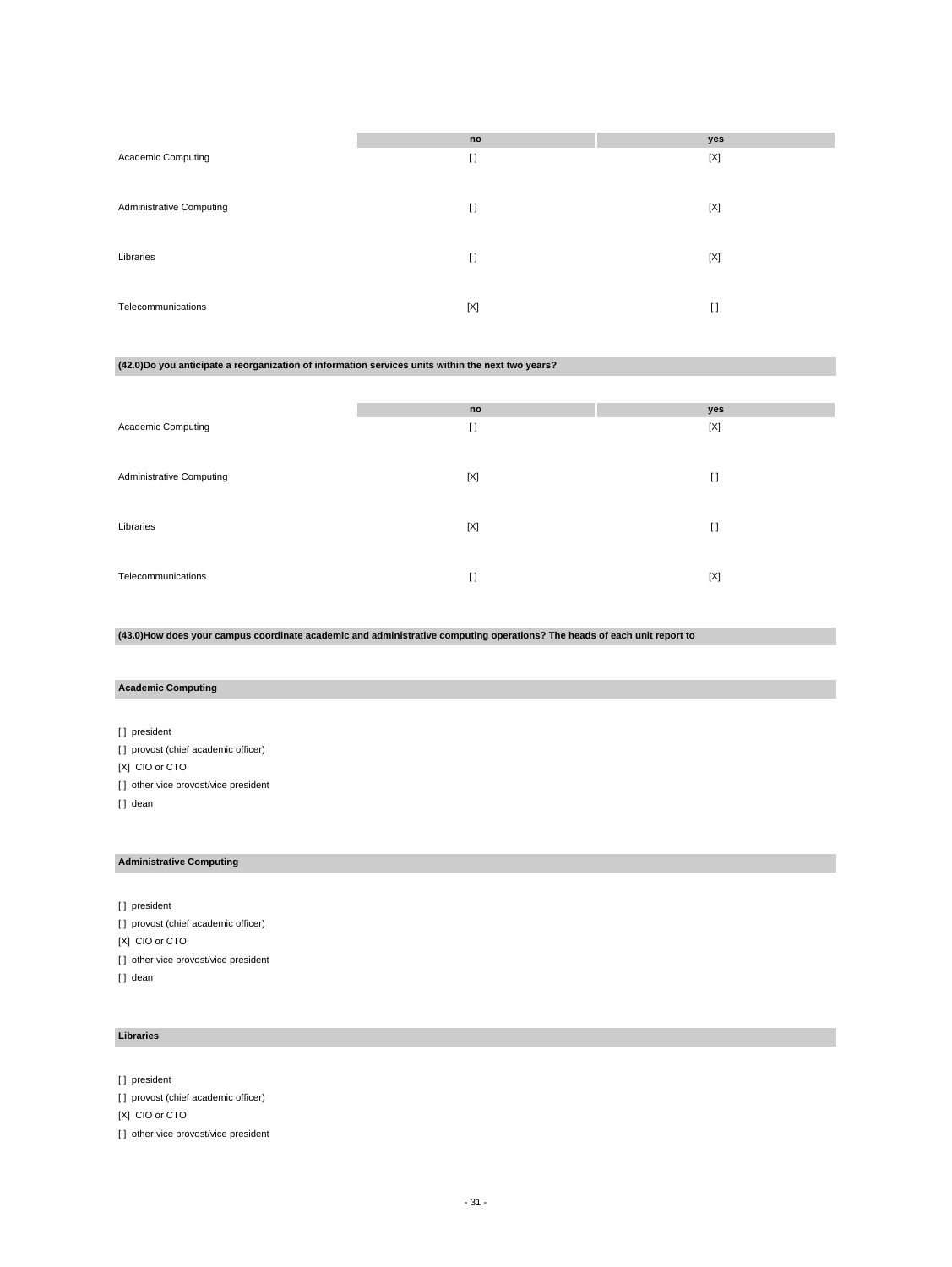|                          | no      | yes         |
|--------------------------|---------|-------------|
| Academic Computing       | $[ \ ]$ | $[{\sf X}]$ |
|                          |         |             |
|                          |         |             |
| Administrative Computing | $[ \ ]$ | $[{\sf X}]$ |
|                          |         |             |
| Libraries                | $[ \ ]$ | $[{\sf X}]$ |
|                          |         |             |
|                          |         |             |
| Telecommunications       | [X]     | $[ \ ]$     |
|                          |         |             |

# **(42.0)Do you anticipate a reorganization of information services units within the next two years?**

|                          | no       | yes     |
|--------------------------|----------|---------|
| Academic Computing       | $\lceil$ | [X]     |
|                          |          |         |
| Administrative Computing | [X]      | $[ \ ]$ |
|                          |          |         |
| Libraries                | [X]      | $[ \ ]$ |
|                          |          |         |
| Telecommunications       | $\lceil$ | [X]     |
|                          |          |         |

**(43.0)How does your campus coordinate academic and administrative computing operations? The heads of each unit report to**

# **Academic Computing**

[] president [ ] provost (chief academic officer) [X] CIO or CTO [] other vice provost/vice president [] dean

# **Administrative Computing**

[] president [ ] provost (chief academic officer) [X] CIO or CTO [ ] other vice provost/vice president [] dean

# **Libraries**

[] president [ ] provost (chief academic officer) [X] CIO or CTO [ ] other vice provost/vice president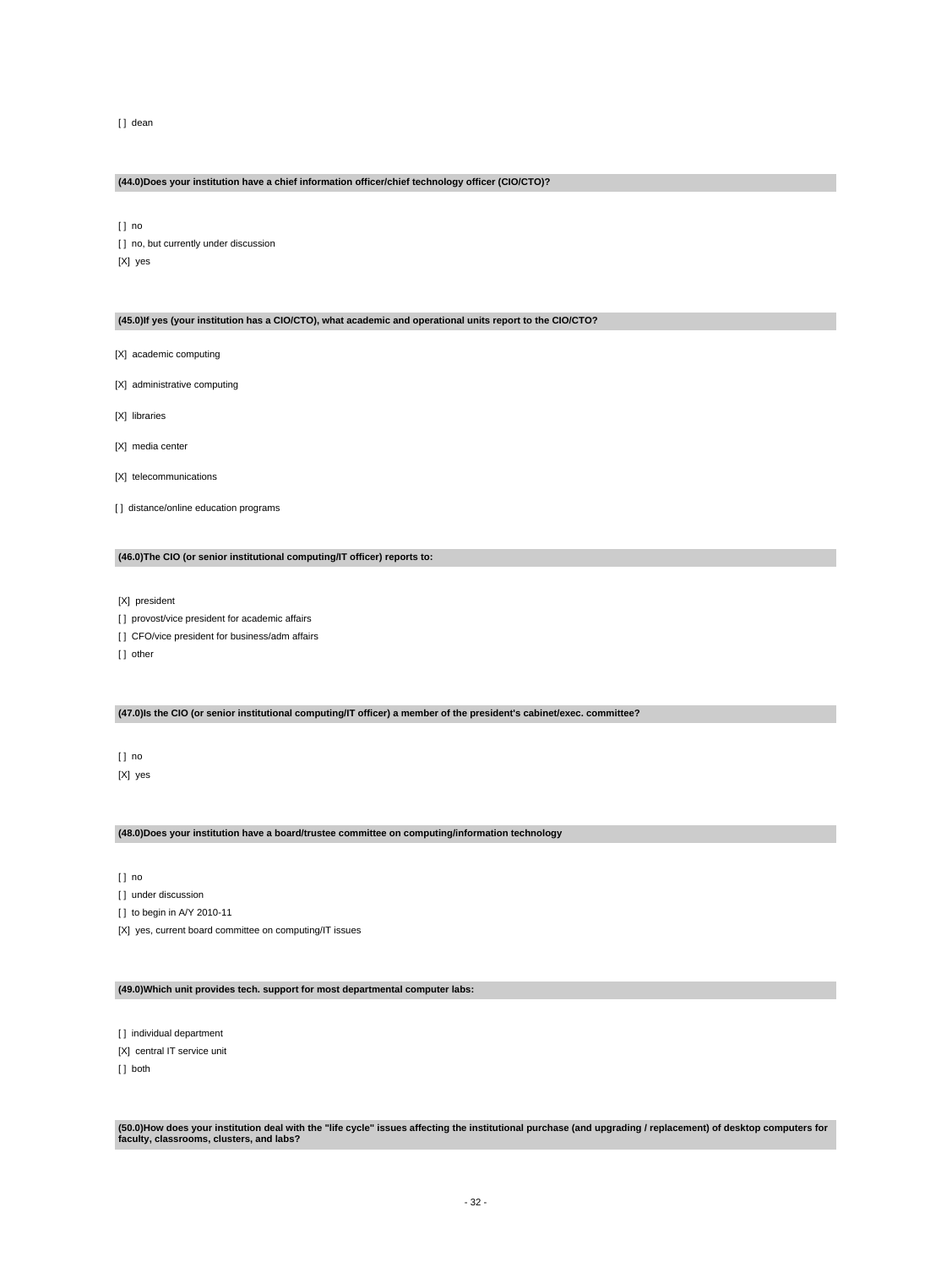[] dean

#### **(44.0)Does your institution have a chief information officer/chief technology officer (CIO/CTO)?**

[ ] no

[ ] no, but currently under discussion [X] yes

#### **(45.0)If yes (your institution has a CIO/CTO), what academic and operational units report to the CIO/CTO?**

- [X] academic computing
- [X] administrative computing
- [X] libraries
- [X] media center
- [X] telecommunications
- [] distance/online education programs

#### **(46.0)The CIO (or senior institutional computing/IT officer) reports to:**

[X] president

- [] provost/vice president for academic affairs
- [] CFO/vice president for business/adm affairs
- [] other

# **(47.0)Is the CIO (or senior institutional computing/IT officer) a member of the president's cabinet/exec. committee?**

[ ] no [X] yes

# **(48.0)Does your institution have a board/trustee committee on computing/information technology**

[ ] no

- [ ] under discussion
- [ ] to begin in A/Y 2010-11

[X] yes, current board committee on computing/IT issues

# **(49.0)Which unit provides tech. support for most departmental computer labs:**

[] individual department

[X] central IT service unit

[ ] both

**(50.0)How does your institution deal with the "life cycle" issues affecting the institutional purchase (and upgrading / replacement) of desktop computers for faculty, classrooms, clusters, and labs?**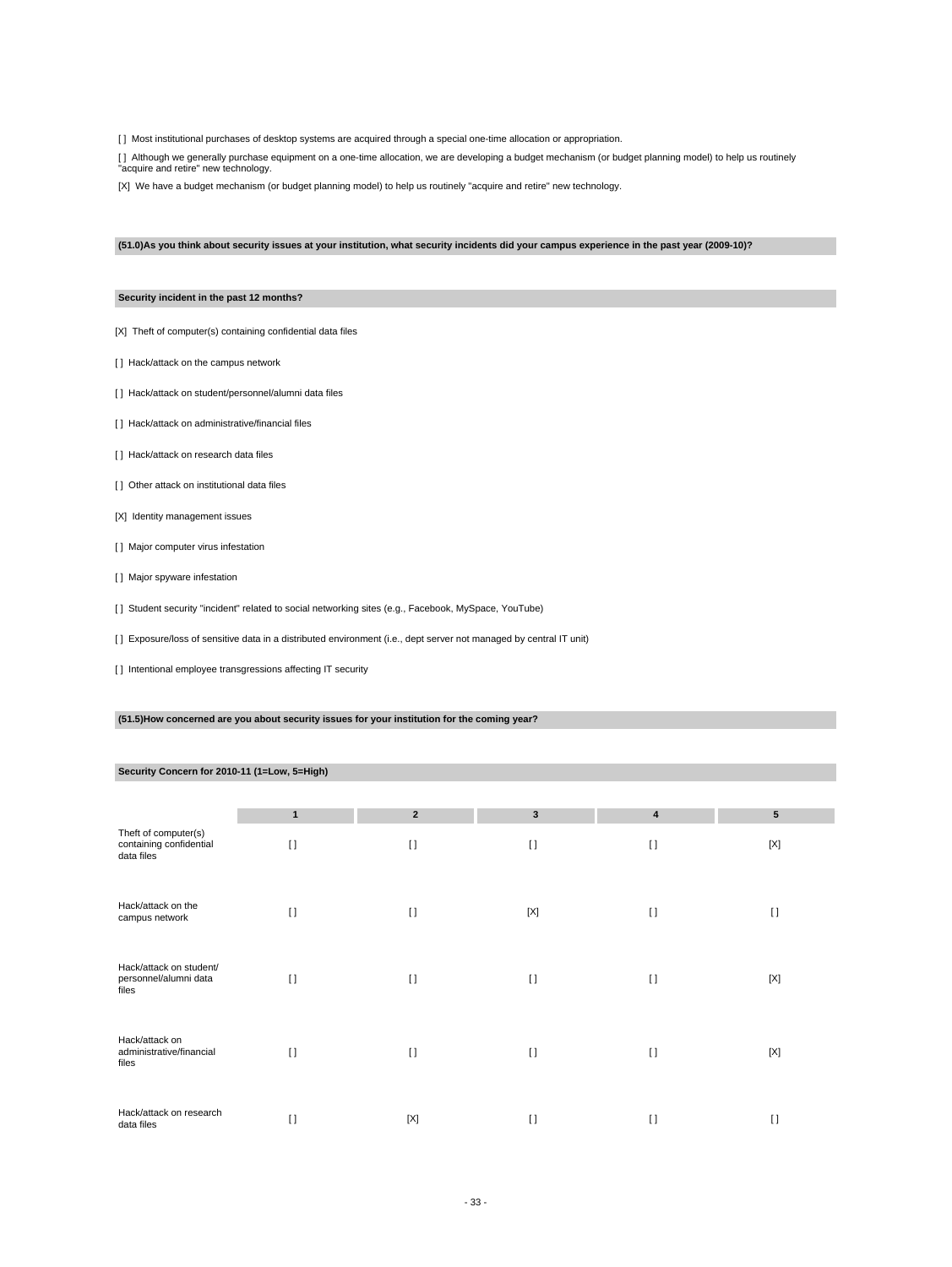[ ] Most institutional purchases of desktop systems are acquired through a special one-time allocation or appropriation.

[ ] Although we generally purchase equipment on a one-time allocation, we are developing a budget mechanism (or budget planning model) to help us routinely "acquire and retire" new technology.

[X] We have a budget mechanism (or budget planning model) to help us routinely "acquire and retire" new technology.

**(51.0)As you think about security issues at your institution, what security incidents did your campus experience in the past year (2009-10)?**

# **Security incident in the past 12 months?**

[X] Theft of computer(s) containing confidential data files

- [ ] Hack/attack on the campus network
- [] Hack/attack on student/personnel/alumni data files
- [] Hack/attack on administrative/financial files
- [ ] Hack/attack on research data files
- [ ] Other attack on institutional data files
- [X] Identity management issues
- [ ] Major computer virus infestation
- [ ] Major spyware infestation
- [ ] Student security "incident" related to social networking sites (e.g., Facebook, MySpace, YouTube)
- [ ] Exposure/loss of sensitive data in a distributed environment (i.e., dept server not managed by central IT unit)
- [] Intentional employee transgressions affecting IT security

#### **(51.5)How concerned are you about security issues for your institution for the coming year?**

#### **Security Concern for 2010-11 (1=Low, 5=High)**

|                                                               | $\mathbf{1}$ | $\overline{2}$ | 3        | 4        | $5\phantom{1}$ |
|---------------------------------------------------------------|--------------|----------------|----------|----------|----------------|
| Theft of computer(s)<br>containing confidential<br>data files | $\lceil$     | $\lceil$       | $[ \ ]$  | $\lceil$ | [X]            |
| Hack/attack on the<br>campus network                          | $\lceil$     | $\Box$         | [X]      | $\lceil$ | $[ \ ]$        |
| Hack/attack on student/<br>personnel/alumni data<br>files     | $\Box$       | $\lceil$       | $\lceil$ | $\lceil$ | [X]            |
| Hack/attack on<br>administrative/financial<br>files           | $\Box$       | $\Box$         | $\Box$   | $\lceil$ | [X]            |
| Hack/attack on research<br>data files                         | $[ \ ]$      | [X]            | $\lceil$ | $\lceil$ | $\Box$         |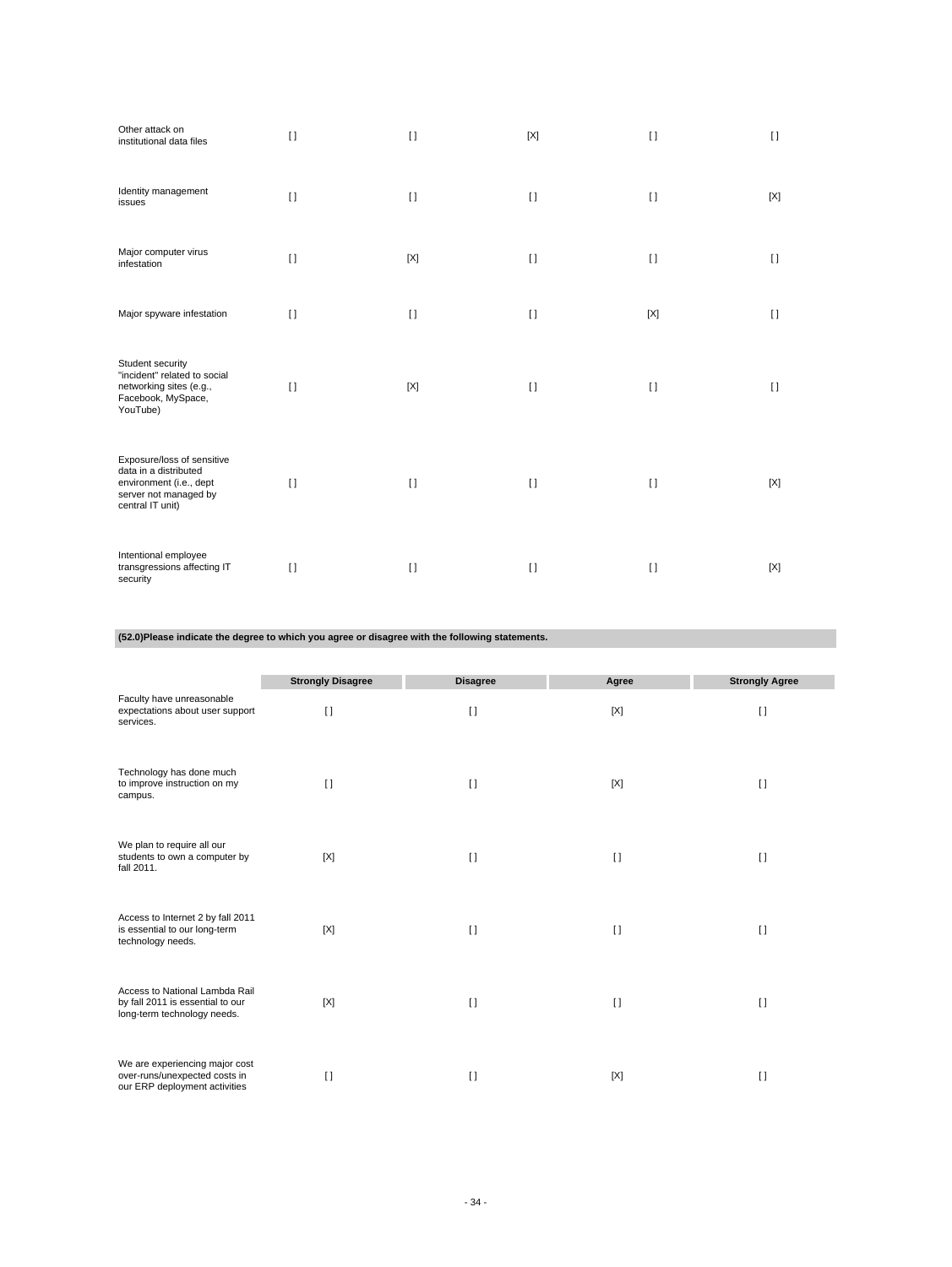| Other attack on<br>institutional data files                                                                                 | $\Box$  | $\Box$      | [X]      | $\Box$   | $\lceil$ |
|-----------------------------------------------------------------------------------------------------------------------------|---------|-------------|----------|----------|----------|
| Identity management<br>issues                                                                                               | $[ \ ]$ | $\lceil$    | $\lceil$ | $[ \ ]$  | [X]      |
| Major computer virus<br>infestation                                                                                         | $\Box$  | $[{\sf X}]$ | $\lceil$ | $[ \ ]$  | $\lceil$ |
| Major spyware infestation                                                                                                   | $\Box$  | $\lceil$    | $\Box$   | [X]      | $\Box$   |
| Student security<br>"incident" related to social<br>networking sites (e.g.,<br>Facebook, MySpace,<br>YouTube)               | $\Box$  | $[{\sf X}]$ | $\lceil$ | $[ \ ]$  | $\lceil$ |
| Exposure/loss of sensitive<br>data in a distributed<br>environment (i.e., dept<br>server not managed by<br>central IT unit) | $\Box$  | $\lceil$    | $\lceil$ | $\lceil$ | [X]      |
| Intentional employee<br>transgressions affecting IT<br>security                                                             | $[ \ ]$ | $\lceil$    | $\lceil$ | $\lceil$ | [X]      |

**(52.0)Please indicate the degree to which you agree or disagree with the following statements.**

|                                                                                                   | <b>Strongly Disagree</b> | <b>Disagree</b> | Agree    | <b>Strongly Agree</b> |
|---------------------------------------------------------------------------------------------------|--------------------------|-----------------|----------|-----------------------|
| Faculty have unreasonable<br>expectations about user support<br>services.                         | $\Box$                   | $[ \ ]$         | [X]      | $\Box$                |
| Technology has done much<br>to improve instruction on my<br>campus.                               | $\Box$                   | $\Box$          | [X]      | $\Box$                |
| We plan to require all our<br>students to own a computer by<br>fall 2011.                         | [X]                      | $\Box$          | $\lceil$ | $\left[ \right]$      |
| Access to Internet 2 by fall 2011<br>is essential to our long-term<br>technology needs.           | [X]                      | $[ \ ]$         | $\lceil$ | $\lceil$              |
| Access to National Lambda Rail<br>by fall 2011 is essential to our<br>long-term technology needs. | [X]                      | $[ \ ]$         | $\lceil$ | $\lceil$              |
| We are experiencing major cost<br>over-runs/unexpected costs in<br>our ERP deployment activities  | $\Box$                   | $\Box$          | [X]      | $\Box$                |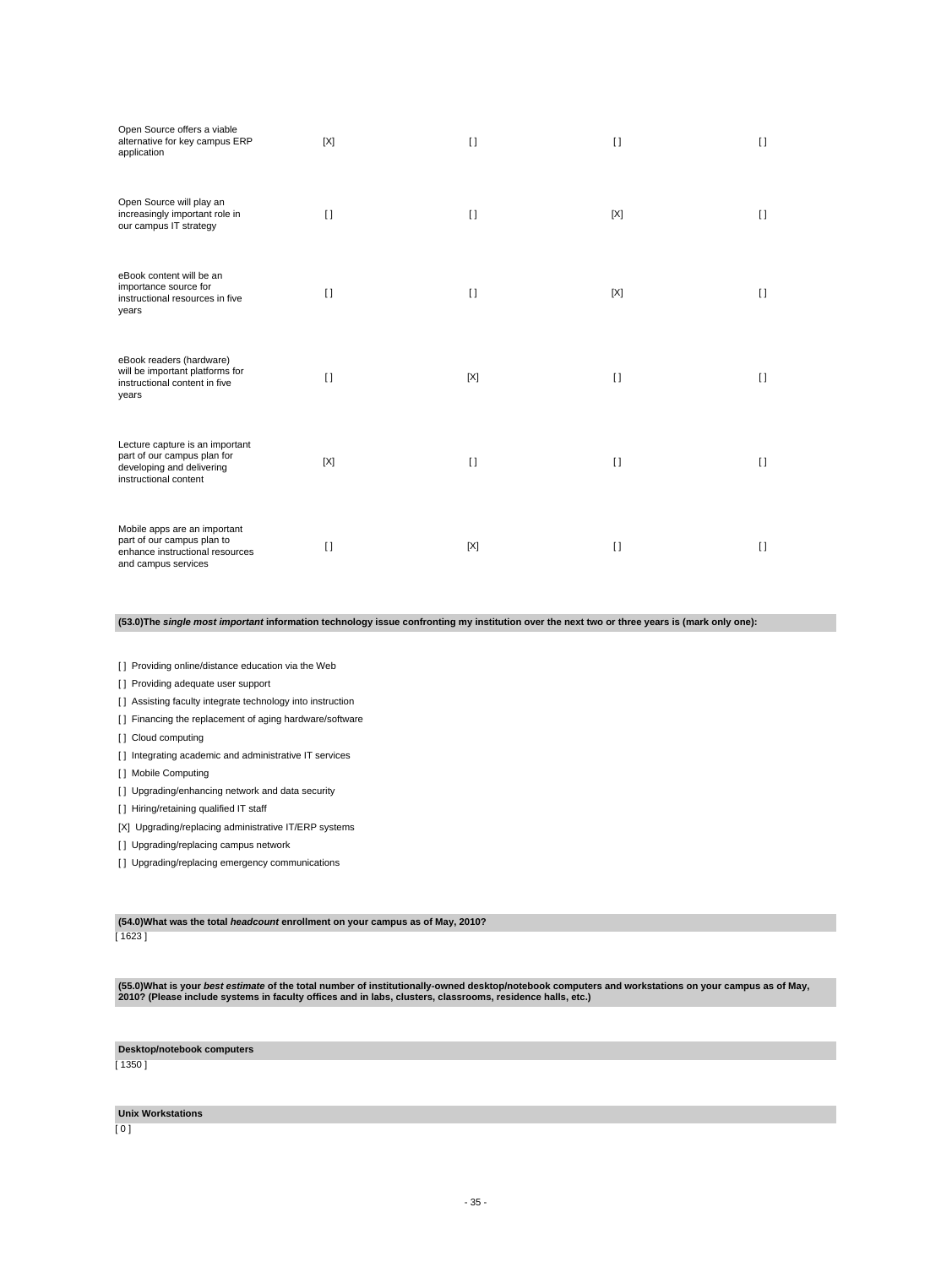| Open Source offers a viable<br>alternative for key campus ERP<br>application                                         | [X]    | $\Box$ | $\Box$ | $\Box$  |
|----------------------------------------------------------------------------------------------------------------------|--------|--------|--------|---------|
| Open Source will play an<br>increasingly important role in<br>our campus IT strategy                                 | $\Box$ | $\Box$ | [X]    | $\Box$  |
| eBook content will be an<br>importance source for<br>instructional resources in five<br>years                        | $\Box$ | $\Box$ | [X]    | $\Box$  |
| eBook readers (hardware)<br>will be important platforms for<br>instructional content in five<br>years                | $\Box$ | [X]    | $\Box$ | $\Box$  |
| Lecture capture is an important<br>part of our campus plan for<br>developing and delivering<br>instructional content | [X]    | $\Box$ | $\Box$ | $[ \ ]$ |
| Mobile apps are an important<br>part of our campus plan to<br>enhance instructional resources<br>and campus services | $\Box$ | [X]    | $\Box$ | $[ \ ]$ |

**(53.0)The single most important information technology issue confronting my institution over the next two or three years is (mark only one):**

[] Providing online/distance education via the Web

[] Providing adequate user support

[] Assisting faculty integrate technology into instruction

[] Financing the replacement of aging hardware/software

[ ] Cloud computing

[] Integrating academic and administrative IT services

[ ] Mobile Computing

[ ] Upgrading/enhancing network and data security

[ ] Hiring/retaining qualified IT staff

[X] Upgrading/replacing administrative IT/ERP systems

[ ] Upgrading/replacing campus network

[ ] Upgrading/replacing emergency communications

**(54.0)What was the total headcount enrollment on your campus as of May, 2010?**

 $\frac{1}{2}$ [ 1623 ]

(55.0)What is your *best estimate* of the total number of institutionally-owned desktop/notebook computers and workstations on your campus as of May,<br>2010? (Please include systems in faculty offices and in labs, clusters,

**Desktop/notebook computers**

[ 1350 ]

**Unix Workstations**

 $[0]$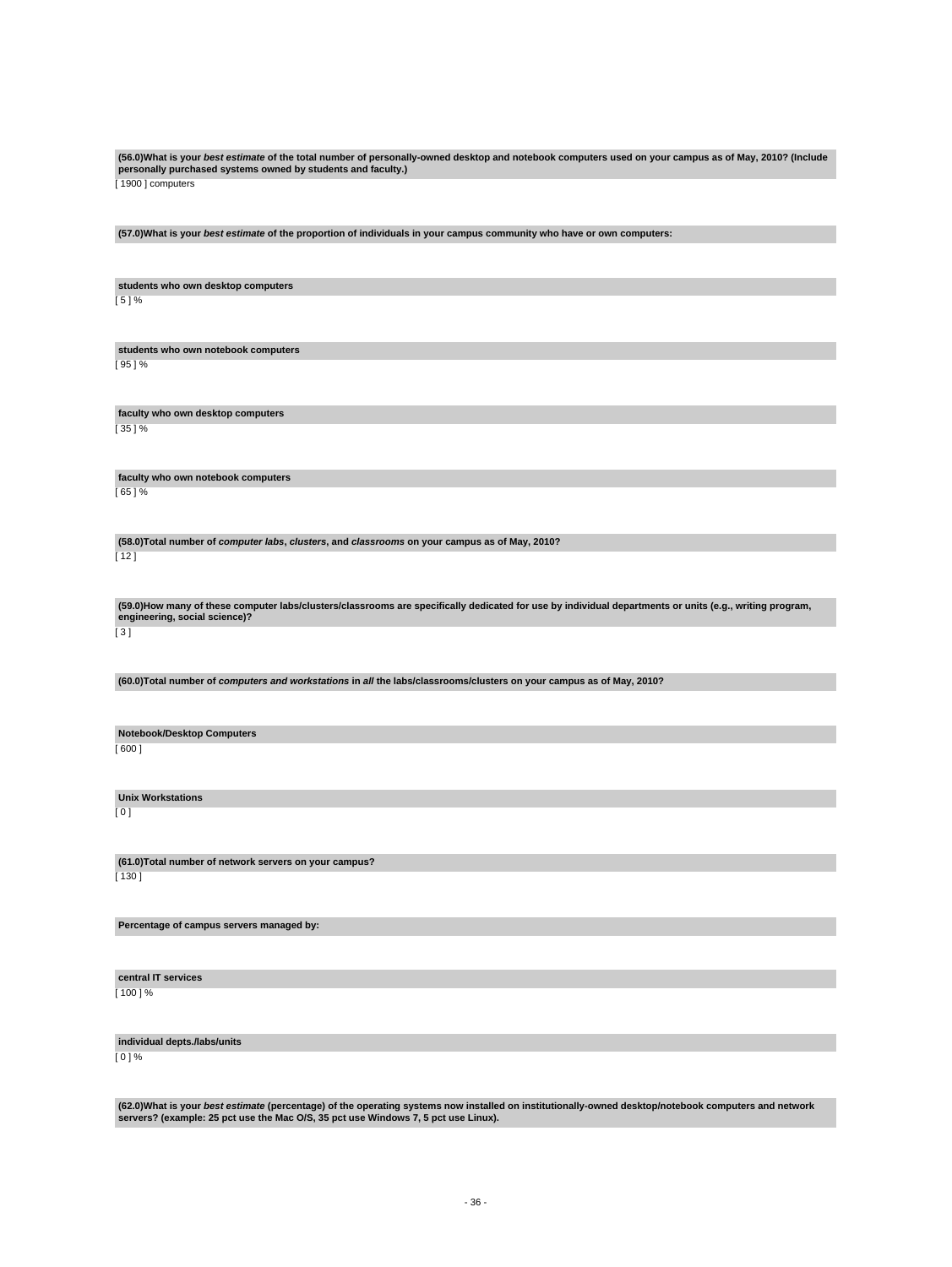**(56.0)What is your best estimate of the total number of personally-owned desktop and notebook computers used on your campus as of May, 2010? (Include personally purchased systems owned by students and faculty.)** [ 1900 ] computers **(57.0)What is your best estimate of the proportion of individuals in your campus community who have or own computers: students who own desktop computers** [ 5 ] % **students who own notebook computers** [ 95 ] % **faculty who own desktop computers** [ 35 ] % **faculty who own notebook computers** [ 65 ] % **(58.0)Total number of computer labs, clusters, and classrooms on your campus as of May, 2010?** [ 12 ] **(59.0)How many of these computer labs/clusters/classrooms are specifically dedicated for use by individual departments or units (e.g., writing program, engineering, social science)?** [ 3 ] **(60.0)Total number of computers and workstations in all the labs/classrooms/clusters on your campus as of May, 2010? Notebook/Desktop Computers** [ 600 ] **Unix Workstations** [ 0 ] **(61.0)Total number of network servers on your campus?**  $[ 130 ]$ **Percentage of campus servers managed by: central IT services** [ 100 ] % **individual depts./labs/units**

[ 0 ] %

(62.0)What is your *best estimate* (percentage) of the operating systems now installed on institutionally-owned desktop/notebook computers and network<br>servers? (example: 25 pct use the Mac O/S, 35 pct use Windows 7, 5 pct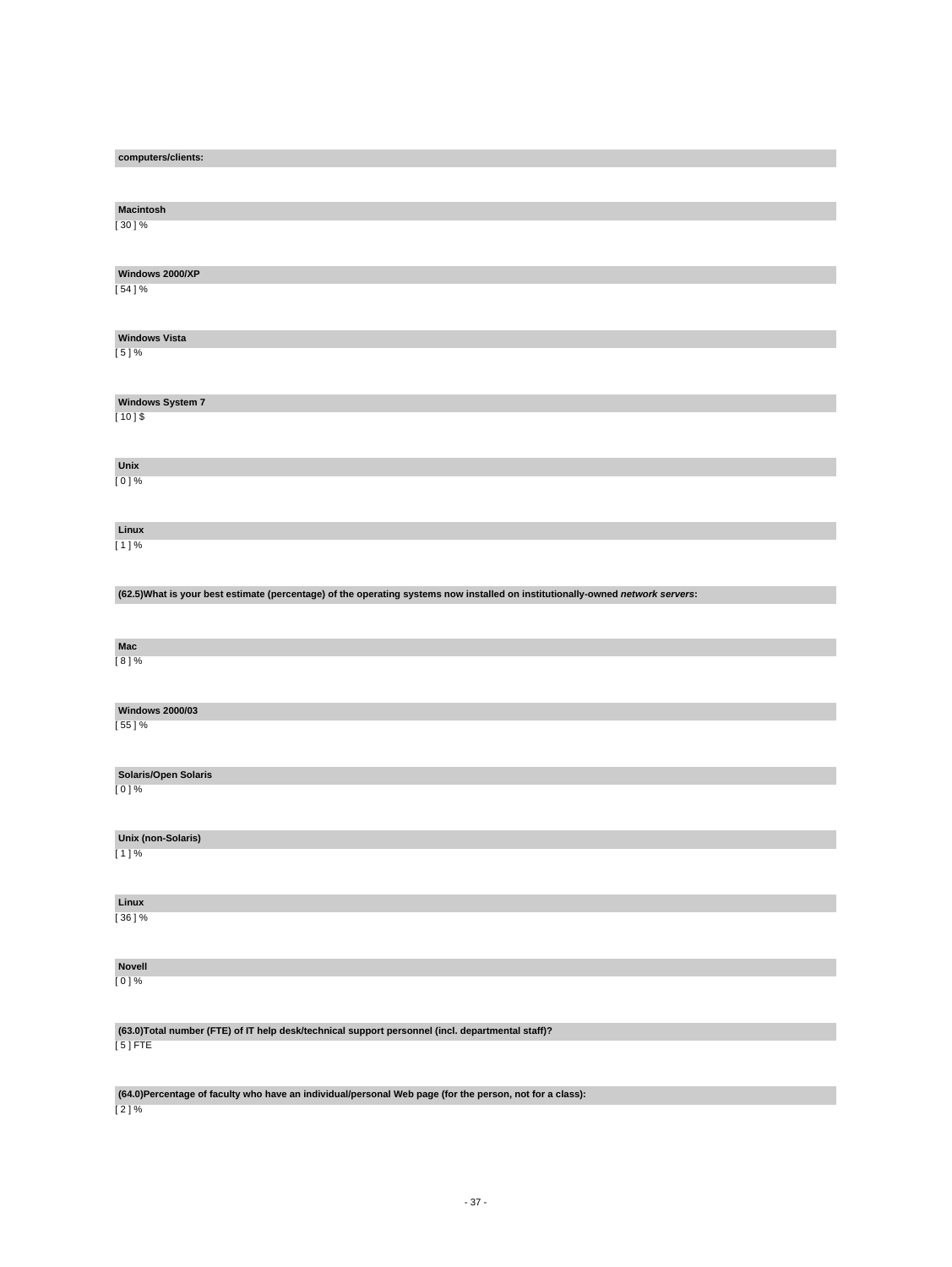|  | computers/clients: |  |
|--|--------------------|--|
|  |                    |  |

| <b>Macintosh</b>                                                                                                                |
|---------------------------------------------------------------------------------------------------------------------------------|
| $[30]$ %                                                                                                                        |
|                                                                                                                                 |
|                                                                                                                                 |
| Windows 2000/XP                                                                                                                 |
| [54]%                                                                                                                           |
|                                                                                                                                 |
| <b>Windows Vista</b>                                                                                                            |
| [5]%                                                                                                                            |
|                                                                                                                                 |
|                                                                                                                                 |
| <b>Windows System 7</b><br>$[10]$ \$                                                                                            |
|                                                                                                                                 |
|                                                                                                                                 |
| Unix                                                                                                                            |
| $[0]$ %                                                                                                                         |
|                                                                                                                                 |
| Linux                                                                                                                           |
| $[1]$ %                                                                                                                         |
|                                                                                                                                 |
|                                                                                                                                 |
| (62.5) What is your best estimate (percentage) of the operating systems now installed on institutionally-owned network servers: |
|                                                                                                                                 |
|                                                                                                                                 |
| Mac<br>[8]%                                                                                                                     |
|                                                                                                                                 |
|                                                                                                                                 |
| <b>Windows 2000/03</b>                                                                                                          |
| [55]%                                                                                                                           |
|                                                                                                                                 |
| Solaris/Open Solaris                                                                                                            |
| $[0]$ %                                                                                                                         |
|                                                                                                                                 |
|                                                                                                                                 |
| Unix (non-Solaris)                                                                                                              |
| $[1]$ %                                                                                                                         |
|                                                                                                                                 |
| Linux                                                                                                                           |
| [36]%                                                                                                                           |
|                                                                                                                                 |
|                                                                                                                                 |
| Novell                                                                                                                          |
| $[0]$ %                                                                                                                         |
|                                                                                                                                 |
| (63.0) Total number (FTE) of IT help desk/technical support personnel (incl. departmental staff)?                               |
| $[5]$ FTE                                                                                                                       |
|                                                                                                                                 |
| (64.0)Percentage of faculty who have an individual/personal Web page (for the person, not for a class):                         |
|                                                                                                                                 |

[ 2 ] %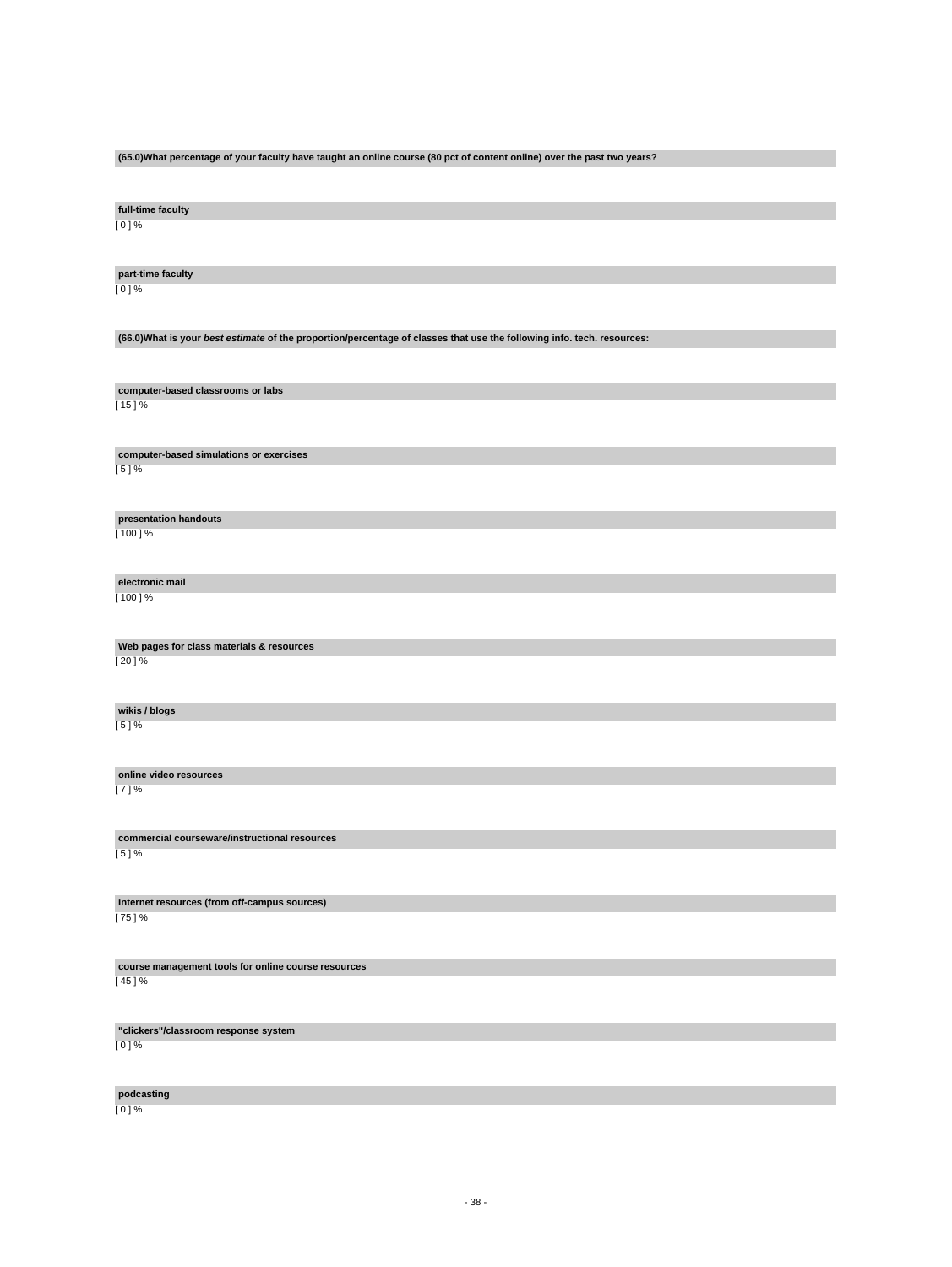**(65.0)What percentage of your faculty have taught an online course (80 pct of content online) over the past two years?**

**full-time faculty** [ 0 ] %

**part-time faculty**

[ 0 ] %

**(66.0)What is your best estimate of the proportion/percentage of classes that use the following info. tech. resources:**

**computer-based classrooms or labs** [ 15 ] %

**computer-based simulations or exercises** [ 5 ] %

**presentation handouts**

[ 100 ] %

**electronic mail**

[ 100 ] %

**Web pages for class materials & resources**  $[20] %$ 

**wikis / blogs**

[ 5 ] %

**online video resources**

[ 7 ] %

**commercial courseware/instructional resources** [ 5 ] %

**Internet resources (from off-campus sources)**

[ 75 ] %

**course management tools for online course resources** [ 45 ] %

**"clickers"/classroom response system**

[ 0 ] %

**podcasting**

[ 0 ] %